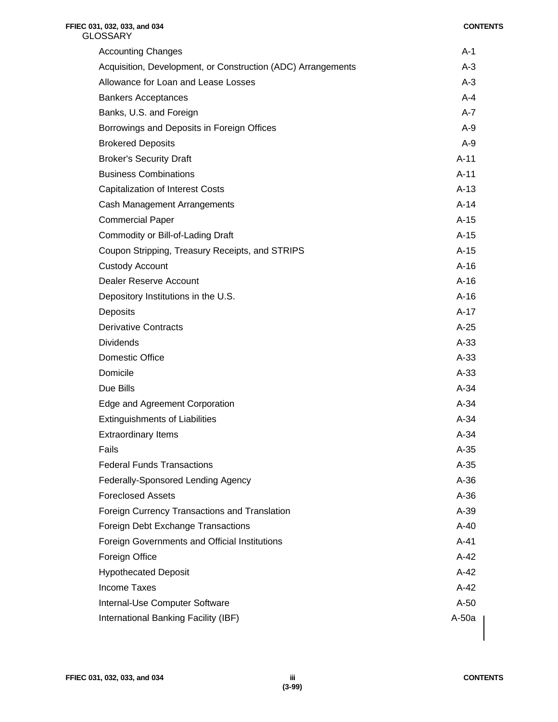# **FFIEC 031, 032, 033, and 034 CONTENTS GLOSSARY** Accounting Changes **A-1** Acquisition, Development, or Construction (ADC) Arrangements A-3 Allowance for Loan and Lease Losses A-3 Bankers Acceptances **A-4** Banks, U.S. and Foreign A-7 Borrowings and Deposits in Foreign Offices A-9 Brokered Deposits A-9 Broker's Security Draft A-11 and the Security Draft A-11 and the Security Draft A-11 and the Security Draft A-Business Combinations **A-11** Capitalization of Interest Costs **A-13** Cash Management Arrangements **A-14** A-14 Commercial Paper A-15 Commodity or Bill-of-Lading Draft A-15 Coupon Stripping, Treasury Receipts, and STRIPS **A-15** A-15 Custody Account A-16 Dealer Reserve Account **A-16** Depository Institutions in the U.S. A-16 Deposits A-17 Derivative Contracts A-25 Dividends A-33 **Domestic Office** A-33 Domicile A-33 Due Bills A-34 Edge and Agreement Corporation A-34 Extinguishments of Liabilities **A-34** A-34 Extraordinary Items **A-34** Fails A-35 **Federal Funds Transactions A-35** A-35 Federally-Sponsored Lending Agency A-36 Foreclosed Assets A-36 Foreign Currency Transactions and Translation A-39 Foreign Debt Exchange Transactions A-40 Foreign Governments and Official Institutions **A-41** Foreign Office A-42 Hypothecated Deposit A-42 Income Taxes A-42 Internal-Use Computer Software A-50 International Banking Facility (IBF) A-50a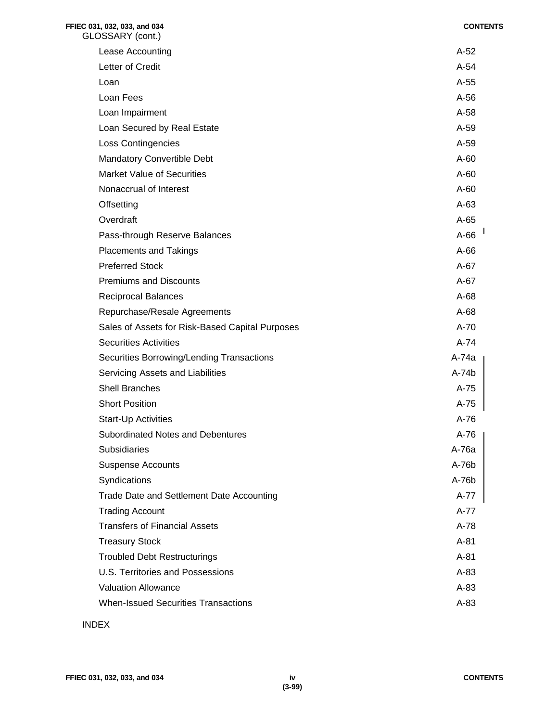| FFIEC 031, 032, 033, and 034<br>GLOSSARY (cont.) | <b>CONTENTS</b> |
|--------------------------------------------------|-----------------|
| Lease Accounting                                 | $A-52$          |
| Letter of Credit                                 | A-54            |
| Loan                                             | $A-55$          |
| Loan Fees                                        | $A-56$          |
| Loan Impairment                                  | $A-58$          |
| Loan Secured by Real Estate                      | A-59            |
| <b>Loss Contingencies</b>                        | A-59            |
| <b>Mandatory Convertible Debt</b>                | $A-60$          |
| <b>Market Value of Securities</b>                | $A-60$          |
| Nonaccrual of Interest                           | $A-60$          |
| Offsetting                                       | $A-63$          |
| Overdraft                                        | $A-65$          |
| Pass-through Reserve Balances                    | $A-66$          |
| <b>Placements and Takings</b>                    | $A-66$          |
| <b>Preferred Stock</b>                           | $A-67$          |
| <b>Premiums and Discounts</b>                    | $A-67$          |
| <b>Reciprocal Balances</b>                       | $A-68$          |
| Repurchase/Resale Agreements                     | $A-68$          |
| Sales of Assets for Risk-Based Capital Purposes  | $A-70$          |
| <b>Securities Activities</b>                     | $A-74$          |
| Securities Borrowing/Lending Transactions        | A-74a           |
| Servicing Assets and Liabilities                 | A-74b           |
| <b>Shell Branches</b>                            | $A-75$          |
| <b>Short Position</b>                            | $A-75$          |
| Start-Up Activities                              | A-76            |
| Subordinated Notes and Debentures                | $A-76$          |
| <b>Subsidiaries</b>                              | A-76a           |
| <b>Suspense Accounts</b>                         | $A-76b$         |
| Syndications                                     | A-76b           |
| Trade Date and Settlement Date Accounting        | $A-77$          |
| <b>Trading Account</b>                           | $A-77$          |
| <b>Transfers of Financial Assets</b>             | A-78            |
| <b>Treasury Stock</b>                            | $A-81$          |
| <b>Troubled Debt Restructurings</b>              | $A-81$          |
| U.S. Territories and Possessions                 | $A-83$          |
| <b>Valuation Allowance</b>                       | $A-83$          |
| <b>When-Issued Securities Transactions</b>       | $A-83$          |
|                                                  |                 |

# INDEX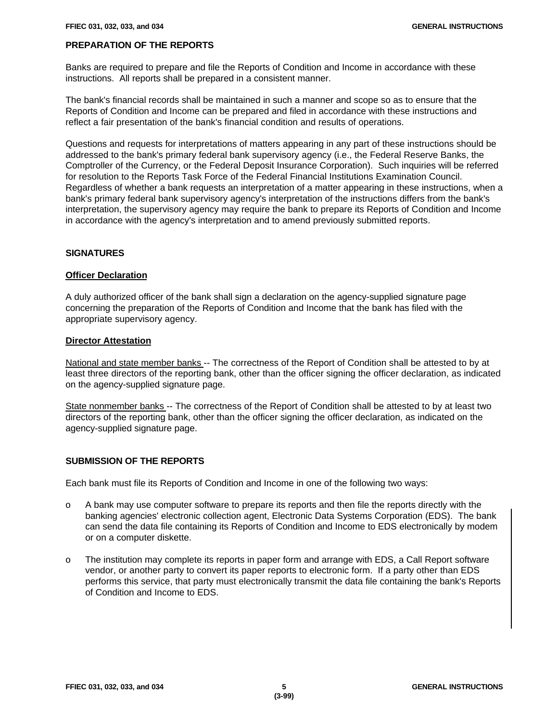# **PREPARATION OF THE REPORTS**

Banks are required to prepare and file the Reports of Condition and Income in accordance with these instructions. All reports shall be prepared in a consistent manner.

The bank's financial records shall be maintained in such a manner and scope so as to ensure that the Reports of Condition and Income can be prepared and filed in accordance with these instructions and reflect a fair presentation of the bank's financial condition and results of operations.

Questions and requests for interpretations of matters appearing in any part of these instructions should be addressed to the bank's primary federal bank supervisory agency (i.e., the Federal Reserve Banks, the Comptroller of the Currency, or the Federal Deposit Insurance Corporation). Such inquiries will be referred for resolution to the Reports Task Force of the Federal Financial Institutions Examination Council. Regardless of whether a bank requests an interpretation of a matter appearing in these instructions, when a bank's primary federal bank supervisory agency's interpretation of the instructions differs from the bank's interpretation, the supervisory agency may require the bank to prepare its Reports of Condition and Income in accordance with the agency's interpretation and to amend previously submitted reports.

# **SIGNATURES**

# **Officer Declaration**

A duly authorized officer of the bank shall sign a declaration on the agency-supplied signature page concerning the preparation of the Reports of Condition and Income that the bank has filed with the appropriate supervisory agency.

#### **Director Attestation**

National and state member banks -- The correctness of the Report of Condition shall be attested to by at least three directors of the reporting bank, other than the officer signing the officer declaration, as indicated on the agency-supplied signature page.

State nonmember banks -- The correctness of the Report of Condition shall be attested to by at least two directors of the reporting bank, other than the officer signing the officer declaration, as indicated on the agency-supplied signature page.

# **SUBMISSION OF THE REPORTS**

Each bank must file its Reports of Condition and Income in one of the following two ways:

- o A bank may use computer software to prepare its reports and then file the reports directly with the banking agencies' electronic collection agent, Electronic Data Systems Corporation (EDS). The bank can send the data file containing its Reports of Condition and Income to EDS electronically by modem or on a computer diskette.
- o The institution may complete its reports in paper form and arrange with EDS, a Call Report software vendor, or another party to convert its paper reports to electronic form. If a party other than EDS performs this service, that party must electronically transmit the data file containing the bank's Reports of Condition and Income to EDS.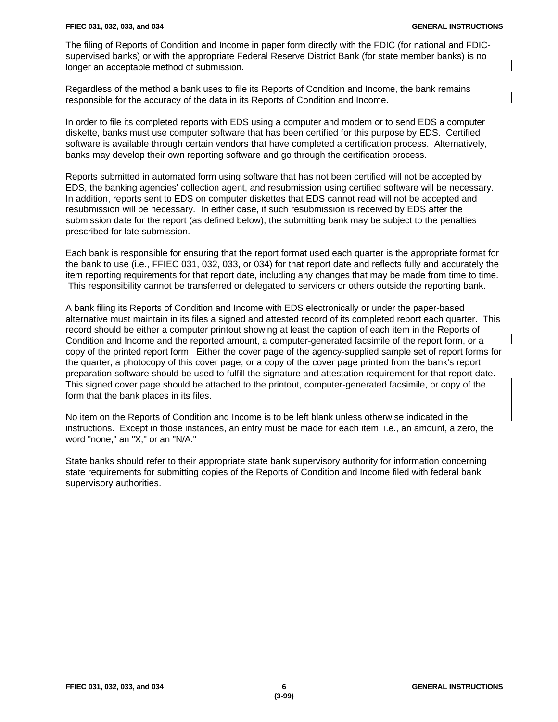$\mathbf l$ 

The filing of Reports of Condition and Income in paper form directly with the FDIC (for national and FDICsupervised banks) or with the appropriate Federal Reserve District Bank (for state member banks) is no longer an acceptable method of submission.

Regardless of the method a bank uses to file its Reports of Condition and Income, the bank remains responsible for the accuracy of the data in its Reports of Condition and Income.

In order to file its completed reports with EDS using a computer and modem or to send EDS a computer diskette, banks must use computer software that has been certified for this purpose by EDS. Certified software is available through certain vendors that have completed a certification process. Alternatively, banks may develop their own reporting software and go through the certification process.

Reports submitted in automated form using software that has not been certified will not be accepted by EDS, the banking agencies' collection agent, and resubmission using certified software will be necessary. In addition, reports sent to EDS on computer diskettes that EDS cannot read will not be accepted and resubmission will be necessary. In either case, if such resubmission is received by EDS after the submission date for the report (as defined below), the submitting bank may be subject to the penalties prescribed for late submission.

Each bank is responsible for ensuring that the report format used each quarter is the appropriate format for the bank to use (i.e., FFIEC 031, 032, 033, or 034) for that report date and reflects fully and accurately the item reporting requirements for that report date, including any changes that may be made from time to time. This responsibility cannot be transferred or delegated to servicers or others outside the reporting bank.

A bank filing its Reports of Condition and Income with EDS electronically or under the paper-based alternative must maintain in its files a signed and attested record of its completed report each quarter. This record should be either a computer printout showing at least the caption of each item in the Reports of Condition and Income and the reported amount, a computer-generated facsimile of the report form, or a copy of the printed report form. Either the cover page of the agency-supplied sample set of report forms for the quarter, a photocopy of this cover page, or a copy of the cover page printed from the bank's report preparation software should be used to fulfill the signature and attestation requirement for that report date. This signed cover page should be attached to the printout, computer-generated facsimile, or copy of the form that the bank places in its files.

No item on the Reports of Condition and Income is to be left blank unless otherwise indicated in the instructions. Except in those instances, an entry must be made for each item, i.e., an amount, a zero, the word "none," an "X," or an "N/A."

State banks should refer to their appropriate state bank supervisory authority for information concerning state requirements for submitting copies of the Reports of Condition and Income filed with federal bank supervisory authorities.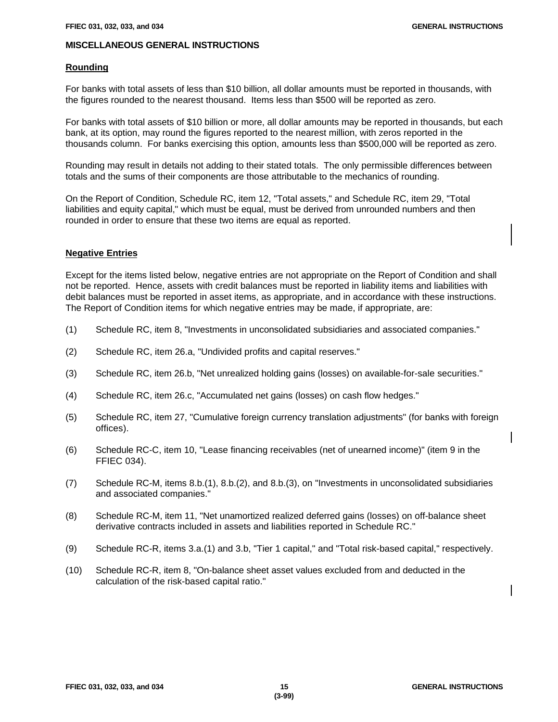# **MISCELLANEOUS GENERAL INSTRUCTIONS**

## **Rounding**

For banks with total assets of less than \$10 billion, all dollar amounts must be reported in thousands, with the figures rounded to the nearest thousand. Items less than \$500 will be reported as zero.

For banks with total assets of \$10 billion or more, all dollar amounts may be reported in thousands, but each bank, at its option, may round the figures reported to the nearest million, with zeros reported in the thousands column. For banks exercising this option, amounts less than \$500,000 will be reported as zero.

Rounding may result in details not adding to their stated totals. The only permissible differences between totals and the sums of their components are those attributable to the mechanics of rounding.

On the Report of Condition, Schedule RC, item 12, "Total assets," and Schedule RC, item 29, "Total liabilities and equity capital," which must be equal, must be derived from unrounded numbers and then rounded in order to ensure that these two items are equal as reported.

# **Negative Entries**

Except for the items listed below, negative entries are not appropriate on the Report of Condition and shall not be reported. Hence, assets with credit balances must be reported in liability items and liabilities with debit balances must be reported in asset items, as appropriate, and in accordance with these instructions. The Report of Condition items for which negative entries may be made, if appropriate, are:

- (1) Schedule RC, item 8, "Investments in unconsolidated subsidiaries and associated companies."
- (2) Schedule RC, item 26.a, "Undivided profits and capital reserves."
- (3) Schedule RC, item 26.b, "Net unrealized holding gains (losses) on available-for-sale securities."
- (4) Schedule RC, item 26.c, "Accumulated net gains (losses) on cash flow hedges."
- (5) Schedule RC, item 27, "Cumulative foreign currency translation adjustments" (for banks with foreign offices).
- (6) Schedule RC-C, item 10, "Lease financing receivables (net of unearned income)" (item 9 in the FFIEC 034).
- (7) Schedule RC-M, items 8.b.(1), 8.b.(2), and 8.b.(3), on "Investments in unconsolidated subsidiaries and associated companies."
- (8) Schedule RC-M, item 11, "Net unamortized realized deferred gains (losses) on off-balance sheet derivative contracts included in assets and liabilities reported in Schedule RC."
- (9) Schedule RC-R, items 3.a.(1) and 3.b, "Tier 1 capital," and "Total risk-based capital," respectively.
- (10) Schedule RC-R, item 8, "On-balance sheet asset values excluded from and deducted in the calculation of the risk-based capital ratio."

 $\mathbf l$ 

 $\mathbf l$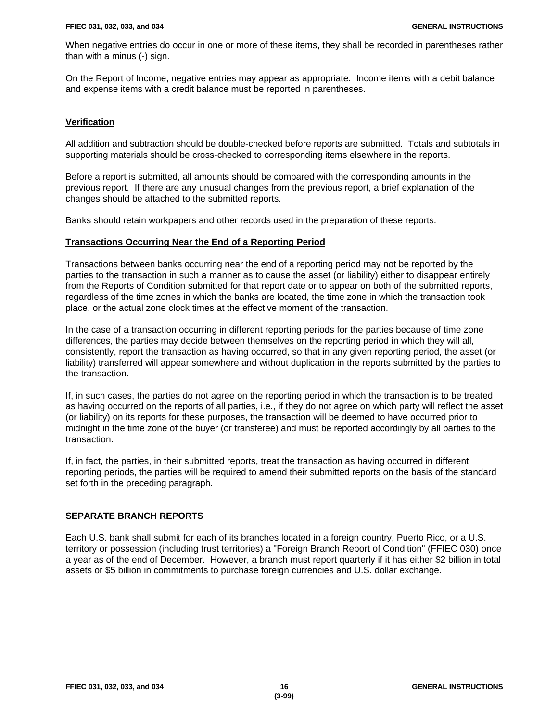When negative entries do occur in one or more of these items, they shall be recorded in parentheses rather than with a minus (-) sign.

On the Report of Income, negative entries may appear as appropriate. Income items with a debit balance and expense items with a credit balance must be reported in parentheses.

# **Verification**

All addition and subtraction should be double-checked before reports are submitted. Totals and subtotals in supporting materials should be cross-checked to corresponding items elsewhere in the reports.

Before a report is submitted, all amounts should be compared with the corresponding amounts in the previous report. If there are any unusual changes from the previous report, a brief explanation of the changes should be attached to the submitted reports.

Banks should retain workpapers and other records used in the preparation of these reports.

# **Transactions Occurring Near the End of a Reporting Period**

Transactions between banks occurring near the end of a reporting period may not be reported by the parties to the transaction in such a manner as to cause the asset (or liability) either to disappear entirely from the Reports of Condition submitted for that report date or to appear on both of the submitted reports, regardless of the time zones in which the banks are located, the time zone in which the transaction took place, or the actual zone clock times at the effective moment of the transaction.

In the case of a transaction occurring in different reporting periods for the parties because of time zone differences, the parties may decide between themselves on the reporting period in which they will all, consistently, report the transaction as having occurred, so that in any given reporting period, the asset (or liability) transferred will appear somewhere and without duplication in the reports submitted by the parties to the transaction.

If, in such cases, the parties do not agree on the reporting period in which the transaction is to be treated as having occurred on the reports of all parties, i.e., if they do not agree on which party will reflect the asset (or liability) on its reports for these purposes, the transaction will be deemed to have occurred prior to midnight in the time zone of the buyer (or transferee) and must be reported accordingly by all parties to the transaction.

If, in fact, the parties, in their submitted reports, treat the transaction as having occurred in different reporting periods, the parties will be required to amend their submitted reports on the basis of the standard set forth in the preceding paragraph.

# **SEPARATE BRANCH REPORTS**

Each U.S. bank shall submit for each of its branches located in a foreign country, Puerto Rico, or a U.S. territory or possession (including trust territories) a "Foreign Branch Report of Condition" (FFIEC 030) once a year as of the end of December. However, a branch must report quarterly if it has either \$2 billion in total assets or \$5 billion in commitments to purchase foreign currencies and U.S. dollar exchange.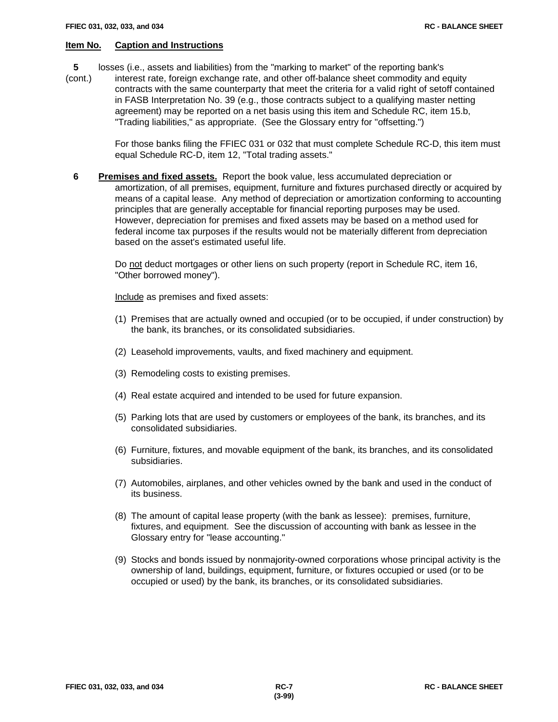- **5** losses (i.e., assets and liabilities) from the "marking to market" of the reporting bank's
- (cont.) interest rate, foreign exchange rate, and other off-balance sheet commodity and equity contracts with the same counterparty that meet the criteria for a valid right of setoff contained in FASB Interpretation No. 39 (e.g., those contracts subject to a qualifying master netting agreement) may be reported on a net basis using this item and Schedule RC, item 15.b, "Trading liabilities," as appropriate. (See the Glossary entry for "offsetting.")

For those banks filing the FFIEC 031 or 032 that must complete Schedule RC-D, this item must equal Schedule RC-D, item 12, "Total trading assets."

 **6 Premises and fixed assets.** Report the book value, less accumulated depreciation or amortization, of all premises, equipment, furniture and fixtures purchased directly or acquired by means of a capital lease. Any method of depreciation or amortization conforming to accounting principles that are generally acceptable for financial reporting purposes may be used. However, depreciation for premises and fixed assets may be based on a method used for federal income tax purposes if the results would not be materially different from depreciation based on the asset's estimated useful life.

Do not deduct mortgages or other liens on such property (report in Schedule RC, item 16, "Other borrowed money").

Include as premises and fixed assets:

- (1) Premises that are actually owned and occupied (or to be occupied, if under construction) by the bank, its branches, or its consolidated subsidiaries.
- (2) Leasehold improvements, vaults, and fixed machinery and equipment.
- (3) Remodeling costs to existing premises.
- (4) Real estate acquired and intended to be used for future expansion.
- (5) Parking lots that are used by customers or employees of the bank, its branches, and its consolidated subsidiaries.
- (6) Furniture, fixtures, and movable equipment of the bank, its branches, and its consolidated subsidiaries.
- (7) Automobiles, airplanes, and other vehicles owned by the bank and used in the conduct of its business.
- (8) The amount of capital lease property (with the bank as lessee): premises, furniture, fixtures, and equipment. See the discussion of accounting with bank as lessee in the Glossary entry for "lease accounting."
- (9) Stocks and bonds issued by nonmajority-owned corporations whose principal activity is the ownership of land, buildings, equipment, furniture, or fixtures occupied or used (or to be occupied or used) by the bank, its branches, or its consolidated subsidiaries.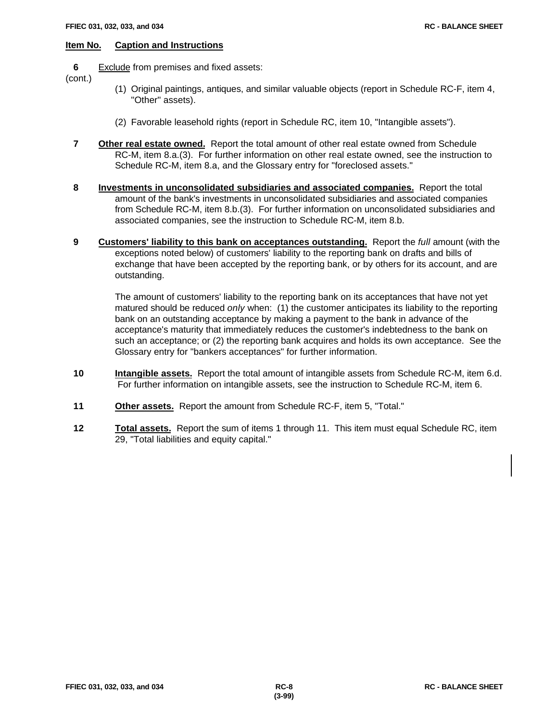**6** Exclude from premises and fixed assets:

(cont.)

- (1) Original paintings, antiques, and similar valuable objects (report in Schedule RC-F, item 4, "Other" assets).
- (2) Favorable leasehold rights (report in Schedule RC, item 10, "Intangible assets").
- **7 Other real estate owned.** Report the total amount of other real estate owned from Schedule RC-M, item 8.a.(3). For further information on other real estate owned, see the instruction to Schedule RC-M, item 8.a, and the Glossary entry for "foreclosed assets."
- **8 Investments in unconsolidated subsidiaries and associated companies.** Report the total amount of the bank's investments in unconsolidated subsidiaries and associated companies from Schedule RC-M, item 8.b.(3). For further information on unconsolidated subsidiaries and associated companies, see the instruction to Schedule RC-M, item 8.b.
- **9 Customers' liability to this bank on acceptances outstanding.** Report the *full* amount (with the exceptions noted below) of customers' liability to the reporting bank on drafts and bills of exchange that have been accepted by the reporting bank, or by others for its account, and are outstanding.

The amount of customers' liability to the reporting bank on its acceptances that have not yet matured should be reduced *only* when: (1) the customer anticipates its liability to the reporting bank on an outstanding acceptance by making a payment to the bank in advance of the acceptance's maturity that immediately reduces the customer's indebtedness to the bank on such an acceptance; or (2) the reporting bank acquires and holds its own acceptance. See the Glossary entry for "bankers acceptances" for further information.

- **10 Intangible assets.** Report the total amount of intangible assets from Schedule RC-M, item 6.d. For further information on intangible assets, see the instruction to Schedule RC-M, item 6.
- **11 Other assets.** Report the amount from Schedule RC-F, item 5, "Total."
- **12 Total assets.** Report the sum of items 1 through 11. This item must equal Schedule RC, item 29, "Total liabilities and equity capital."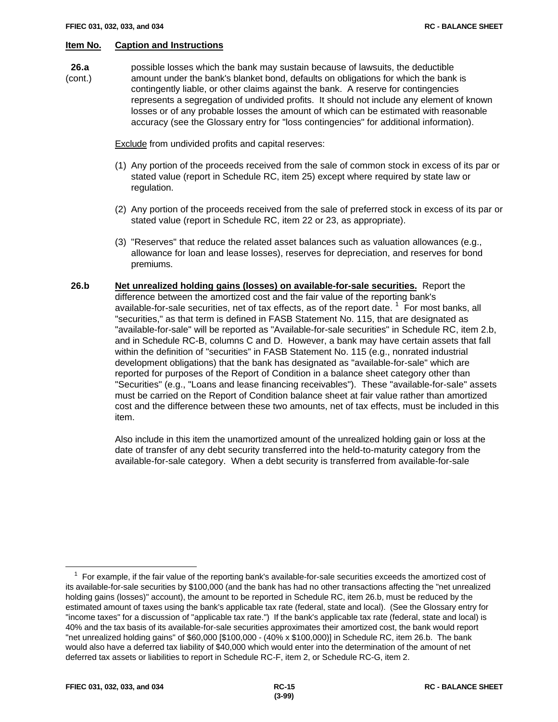**26.a** possible losses which the bank may sustain because of lawsuits, the deductible (cont.) amount under the bank's blanket bond, defaults on obligations for which the bank is contingently liable, or other claims against the bank. A reserve for contingencies represents a segregation of undivided profits. It should not include any element of known losses or of any probable losses the amount of which can be estimated with reasonable accuracy (see the Glossary entry for "loss contingencies" for additional information).

Exclude from undivided profits and capital reserves:

- (1) Any portion of the proceeds received from the sale of common stock in excess of its par or stated value (report in Schedule RC, item 25) except where required by state law or regulation.
- (2) Any portion of the proceeds received from the sale of preferred stock in excess of its par or stated value (report in Schedule RC, item 22 or 23, as appropriate).
- (3) "Reserves" that reduce the related asset balances such as valuation allowances (e.g., allowance for loan and lease losses), reserves for depreciation, and reserves for bond premiums.
- **26.b Net unrealized holding gains (losses) on available-for-sale securities.** Report the difference between the amortized cost and the fair value of the reporting bank's available-for-sale securities, net of tax effects, as of the report date.  $1$  For most banks, all "securities," as that term is defined in FASB Statement No. 115, that are designated as "available-for-sale" will be reported as "Available-for-sale securities" in Schedule RC, item 2.b, and in Schedule RC-B, columns C and D. However, a bank may have certain assets that fall within the definition of "securities" in FASB Statement No. 115 (e.g., nonrated industrial development obligations) that the bank has designated as "available-for-sale" which are reported for purposes of the Report of Condition in a balance sheet category other than "Securities" (e.g., "Loans and lease financing receivables"). These "available-for-sale" assets must be carried on the Report of Condition balance sheet at fair value rather than amortized cost and the difference between these two amounts, net of tax effects, must be included in this item.

Also include in this item the unamortized amount of the unrealized holding gain or loss at the date of transfer of any debt security transferred into the held-to-maturity category from the available-for-sale category. When a debt security is transferred from available-for-sale

1

 $1$  For example, if the fair value of the reporting bank's available-for-sale securities exceeds the amortized cost of its available-for-sale securities by \$100,000 (and the bank has had no other transactions affecting the "net unrealized holding gains (losses)" account), the amount to be reported in Schedule RC, item 26.b, must be reduced by the estimated amount of taxes using the bank's applicable tax rate (federal, state and local). (See the Glossary entry for "income taxes" for a discussion of "applicable tax rate.") If the bank's applicable tax rate (federal, state and local) is 40% and the tax basis of its available-for-sale securities approximates their amortized cost, the bank would report "net unrealized holding gains" of \$60,000 [\$100,000 - (40% x \$100,000)] in Schedule RC, item 26.b. The bank would also have a deferred tax liability of \$40,000 which would enter into the determination of the amount of net deferred tax assets or liabilities to report in Schedule RC-F, item 2, or Schedule RC-G, item 2.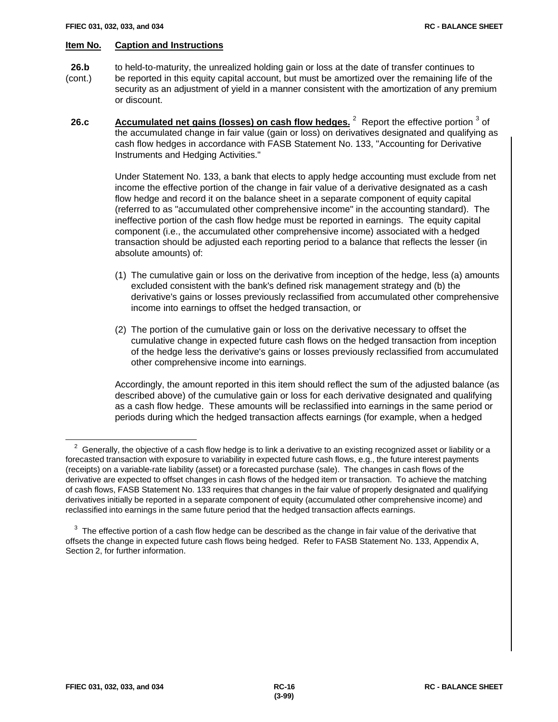- **26.b** to held-to-maturity, the unrealized holding gain or loss at the date of transfer continues to (cont.) be reported in this equity capital account, but must be amortized over the remaining life of the
	- security as an adjustment of yield in a manner consistent with the amortization of any premium or discount.
- **26.c Accumulated net gains (losses) on cash flow hedges.** <sup>2</sup> Report the effective portion <sup>3</sup> of the accumulated change in fair value (gain or loss) on derivatives designated and qualifying as cash flow hedges in accordance with FASB Statement No. 133, "Accounting for Derivative Instruments and Hedging Activities."

Under Statement No. 133, a bank that elects to apply hedge accounting must exclude from net income the effective portion of the change in fair value of a derivative designated as a cash flow hedge and record it on the balance sheet in a separate component of equity capital (referred to as "accumulated other comprehensive income" in the accounting standard). The ineffective portion of the cash flow hedge must be reported in earnings. The equity capital component (i.e., the accumulated other comprehensive income) associated with a hedged transaction should be adjusted each reporting period to a balance that reflects the lesser (in absolute amounts) of:

- (1) The cumulative gain or loss on the derivative from inception of the hedge, less (a) amounts excluded consistent with the bank's defined risk management strategy and (b) the derivative's gains or losses previously reclassified from accumulated other comprehensive income into earnings to offset the hedged transaction, or
- (2) The portion of the cumulative gain or loss on the derivative necessary to offset the cumulative change in expected future cash flows on the hedged transaction from inception of the hedge less the derivative's gains or losses previously reclassified from accumulated other comprehensive income into earnings.

Accordingly, the amount reported in this item should reflect the sum of the adjusted balance (as described above) of the cumulative gain or loss for each derivative designated and qualifying as a cash flow hedge. These amounts will be reclassified into earnings in the same period or periods during which the hedged transaction affects earnings (for example, when a hedged

 $\overline{a}$ 

 $2$  Generally, the objective of a cash flow hedge is to link a derivative to an existing recognized asset or liability or a forecasted transaction with exposure to variability in expected future cash flows, e.g., the future interest payments (receipts) on a variable-rate liability (asset) or a forecasted purchase (sale). The changes in cash flows of the derivative are expected to offset changes in cash flows of the hedged item or transaction. To achieve the matching of cash flows, FASB Statement No. 133 requires that changes in the fair value of properly designated and qualifying derivatives initially be reported in a separate component of equity (accumulated other comprehensive income) and reclassified into earnings in the same future period that the hedged transaction affects earnings.

 $3$  The effective portion of a cash flow hedge can be described as the change in fair value of the derivative that offsets the change in expected future cash flows being hedged. Refer to FASB Statement No. 133, Appendix A, Section 2, for further information.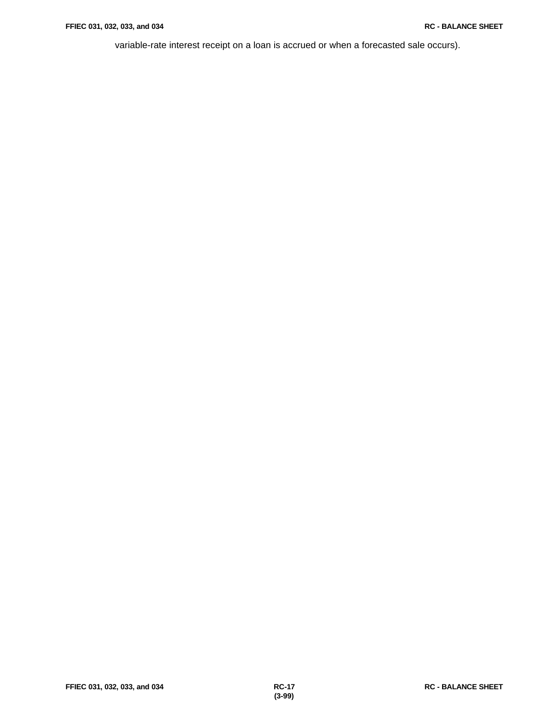variable-rate interest receipt on a loan is accrued or when a forecasted sale occurs).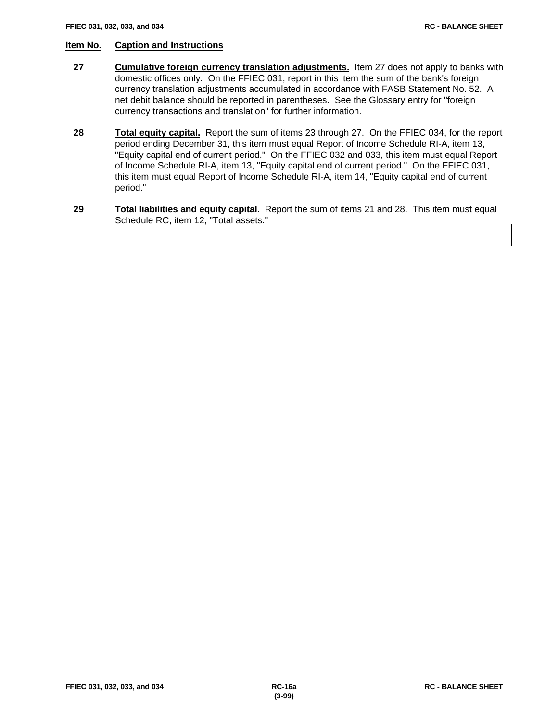- **27 Cumulative foreign currency translation adjustments.** Item 27 does not apply to banks with domestic offices only. On the FFIEC 031, report in this item the sum of the bank's foreign currency translation adjustments accumulated in accordance with FASB Statement No. 52. A net debit balance should be reported in parentheses. See the Glossary entry for "foreign currency transactions and translation" for further information.
- **28 Total equity capital.** Report the sum of items 23 through 27. On the FFIEC 034, for the report period ending December 31, this item must equal Report of Income Schedule RI-A, item 13, "Equity capital end of current period." On the FFIEC 032 and 033, this item must equal Report of Income Schedule RI-A, item 13, "Equity capital end of current period." On the FFIEC 031, this item must equal Report of Income Schedule RI-A, item 14, "Equity capital end of current period."
- **29 Total liabilities and equity capital.** Report the sum of items 21 and 28. This item must equal Schedule RC, item 12, "Total assets."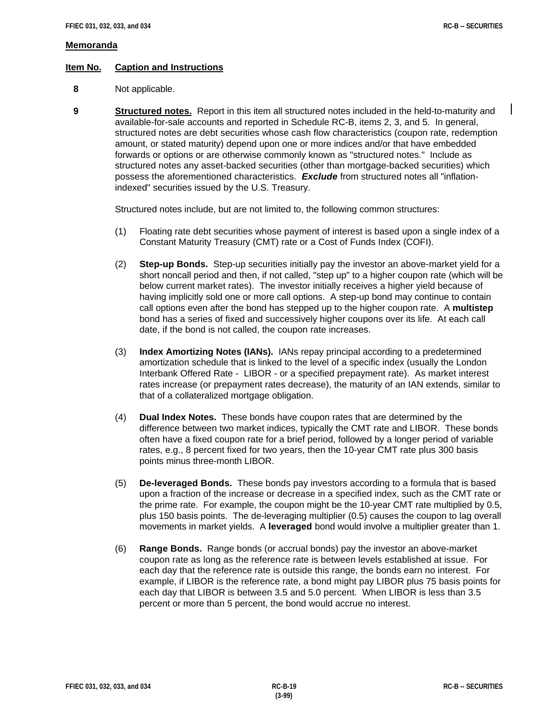$\mathsf{l}$ 

### **Memoranda**

# **Item No. Caption and Instructions**

- **8** Not applicable.
- **9 Structured notes.** Report in this item all structured notes included in the held-to-maturity and available-for-sale accounts and reported in Schedule RC-B, items 2, 3, and 5. In general, structured notes are debt securities whose cash flow characteristics (coupon rate, redemption amount, or stated maturity) depend upon one or more indices and/or that have embedded forwards or options or are otherwise commonly known as "structured notes." Include as structured notes any asset-backed securities (other than mortgage-backed securities) which possess the aforementioned characteristics. *Exclude* from structured notes all "inflationindexed" securities issued by the U.S. Treasury.

Structured notes include, but are not limited to, the following common structures:

- (1) Floating rate debt securities whose payment of interest is based upon a single index of a Constant Maturity Treasury (CMT) rate or a Cost of Funds Index (COFI).
- (2) **Step-up Bonds.** Step-up securities initially pay the investor an above-market yield for a short noncall period and then, if not called, "step up" to a higher coupon rate (which will be below current market rates). The investor initially receives a higher yield because of having implicitly sold one or more call options. A step-up bond may continue to contain call options even after the bond has stepped up to the higher coupon rate. A **multistep** bond has a series of fixed and successively higher coupons over its life. At each call date, if the bond is not called, the coupon rate increases.
- (3) **Index Amortizing Notes (IANs).** IANs repay principal according to a predetermined amortization schedule that is linked to the level of a specific index (usually the London Interbank Offered Rate - LIBOR - or a specified prepayment rate). As market interest rates increase (or prepayment rates decrease), the maturity of an IAN extends, similar to that of a collateralized mortgage obligation.
- (4) **Dual Index Notes.** These bonds have coupon rates that are determined by the difference between two market indices, typically the CMT rate and LIBOR. These bonds often have a fixed coupon rate for a brief period, followed by a longer period of variable rates, e.g., 8 percent fixed for two years, then the 10-year CMT rate plus 300 basis points minus three-month LIBOR.
- (5) **De-leveraged Bonds.** These bonds pay investors according to a formula that is based upon a fraction of the increase or decrease in a specified index, such as the CMT rate or the prime rate. For example, the coupon might be the 10-year CMT rate multiplied by 0.5, plus 150 basis points. The de-leveraging multiplier (0.5) causes the coupon to lag overall movements in market yields. A **leveraged** bond would involve a multiplier greater than 1.
- (6) **Range Bonds.** Range bonds (or accrual bonds) pay the investor an above-market coupon rate as long as the reference rate is between levels established at issue. For each day that the reference rate is outside this range, the bonds earn no interest. For example, if LIBOR is the reference rate, a bond might pay LIBOR plus 75 basis points for each day that LIBOR is between 3.5 and 5.0 percent. When LIBOR is less than 3.5 percent or more than 5 percent, the bond would accrue no interest.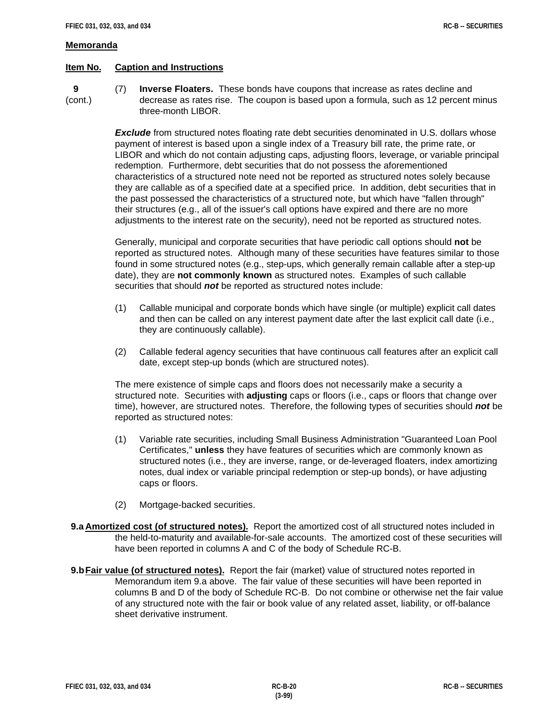#### **Memoranda**

## **Item No. Caption and Instructions**

 **9** (7) **Inverse Floaters.** These bonds have coupons that increase as rates decline and (cont.) decrease as rates rise. The coupon is based upon a formula, such as 12 percent minus three-month LIBOR.

> **Exclude** from structured notes floating rate debt securities denominated in U.S. dollars whose payment of interest is based upon a single index of a Treasury bill rate, the prime rate, or LIBOR and which do not contain adjusting caps, adjusting floors, leverage, or variable principal redemption. Furthermore, debt securities that do not possess the aforementioned characteristics of a structured note need not be reported as structured notes solely because they are callable as of a specified date at a specified price. In addition, debt securities that in the past possessed the characteristics of a structured note, but which have "fallen through" their structures (e.g., all of the issuer's call options have expired and there are no more adjustments to the interest rate on the security), need not be reported as structured notes.

> Generally, municipal and corporate securities that have periodic call options should **not** be reported as structured notes. Although many of these securities have features similar to those found in some structured notes (e.g., step-ups, which generally remain callable after a step-up date), they are **not commonly known** as structured notes. Examples of such callable securities that should *not* be reported as structured notes include:

- (1) Callable municipal and corporate bonds which have single (or multiple) explicit call dates and then can be called on any interest payment date after the last explicit call date (i.e., they are continuously callable).
- (2) Callable federal agency securities that have continuous call features after an explicit call date, except step-up bonds (which are structured notes).

The mere existence of simple caps and floors does not necessarily make a security a structured note. Securities with **adjusting** caps or floors (i.e., caps or floors that change over time), however, are structured notes. Therefore, the following types of securities should *not* be reported as structured notes:

- (1) Variable rate securities, including Small Business Administration "Guaranteed Loan Pool Certificates," **unless** they have features of securities which are commonly known as structured notes (i.e., they are inverse, range, or de-leveraged floaters, index amortizing notes, dual index or variable principal redemption or step-up bonds), or have adjusting caps or floors.
- (2) Mortgage-backed securities.
- **9.a Amortized cost (of structured notes).** Report the amortized cost of all structured notes included in the held-to-maturity and available-for-sale accounts. The amortized cost of these securities will have been reported in columns A and C of the body of Schedule RC-B.
- **9.bFair value (of structured notes).** Report the fair (market) value of structured notes reported in Memorandum item 9.a above. The fair value of these securities will have been reported in columns B and D of the body of Schedule RC-B. Do not combine or otherwise net the fair value of any structured note with the fair or book value of any related asset, liability, or off-balance sheet derivative instrument.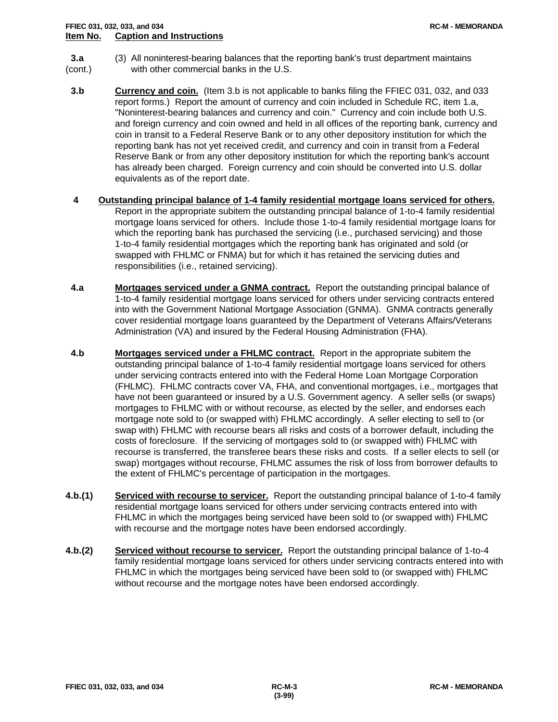- **3.a** (3) All noninterest-bearing balances that the reporting bank's trust department maintains (cont.) with other commercial banks in the U.S.
- **3.b Currency and coin.** (Item 3.b is not applicable to banks filing the FFIEC 031, 032, and 033 report forms.) Report the amount of currency and coin included in Schedule RC, item 1.a, "Noninterest-bearing balances and currency and coin." Currency and coin include both U.S. and foreign currency and coin owned and held in all offices of the reporting bank, currency and coin in transit to a Federal Reserve Bank or to any other depository institution for which the reporting bank has not yet received credit, and currency and coin in transit from a Federal Reserve Bank or from any other depository institution for which the reporting bank's account has already been charged. Foreign currency and coin should be converted into U.S. dollar equivalents as of the report date.
- **4 Outstanding principal balance of 1-4 family residential mortgage loans serviced for others.** Report in the appropriate subitem the outstanding principal balance of 1-to-4 family residential mortgage loans serviced for others. Include those 1-to-4 family residential mortgage loans for which the reporting bank has purchased the servicing (i.e., purchased servicing) and those 1-to-4 family residential mortgages which the reporting bank has originated and sold (or swapped with FHLMC or FNMA) but for which it has retained the servicing duties and responsibilities (i.e., retained servicing).
- **4.a Mortgages serviced under a GNMA contract.** Report the outstanding principal balance of 1-to-4 family residential mortgage loans serviced for others under servicing contracts entered into with the Government National Mortgage Association (GNMA). GNMA contracts generally cover residential mortgage loans guaranteed by the Department of Veterans Affairs/Veterans Administration (VA) and insured by the Federal Housing Administration (FHA).
- **4.b Mortgages serviced under a FHLMC contract.** Report in the appropriate subitem the outstanding principal balance of 1-to-4 family residential mortgage loans serviced for others under servicing contracts entered into with the Federal Home Loan Mortgage Corporation (FHLMC). FHLMC contracts cover VA, FHA, and conventional mortgages, i.e., mortgages that have not been guaranteed or insured by a U.S. Government agency. A seller sells (or swaps) mortgages to FHLMC with or without recourse, as elected by the seller, and endorses each mortgage note sold to (or swapped with) FHLMC accordingly. A seller electing to sell to (or swap with) FHLMC with recourse bears all risks and costs of a borrower default, including the costs of foreclosure. If the servicing of mortgages sold to (or swapped with) FHLMC with recourse is transferred, the transferee bears these risks and costs. If a seller elects to sell (or swap) mortgages without recourse, FHLMC assumes the risk of loss from borrower defaults to the extent of FHLMC's percentage of participation in the mortgages.
- **4.b.(1) Serviced with recourse to servicer.** Report the outstanding principal balance of 1-to-4 family residential mortgage loans serviced for others under servicing contracts entered into with FHLMC in which the mortgages being serviced have been sold to (or swapped with) FHLMC with recourse and the mortgage notes have been endorsed accordingly.
- **4.b.(2) Serviced without recourse to servicer.** Report the outstanding principal balance of 1-to-4 family residential mortgage loans serviced for others under servicing contracts entered into with FHLMC in which the mortgages being serviced have been sold to (or swapped with) FHLMC without recourse and the mortgage notes have been endorsed accordingly.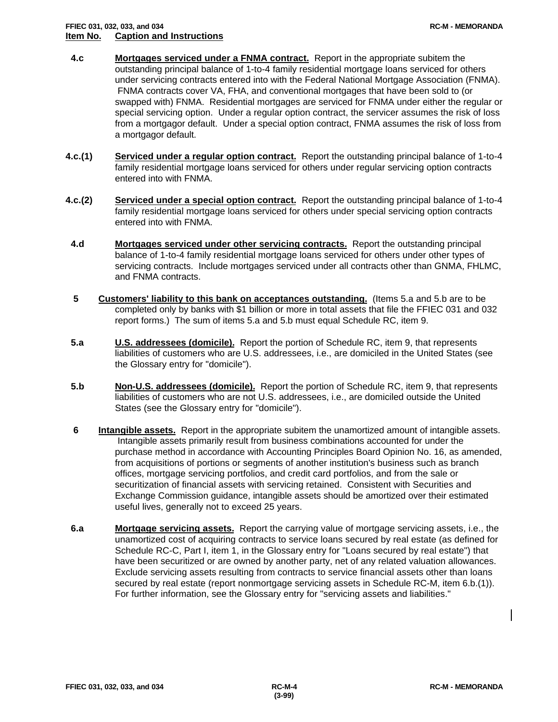# **FFIEC 031, 032, 033, and 034 RC-M - MEMORANDA Item No. Caption and Instructions**

- **4.c Mortgages serviced under a FNMA contract.** Report in the appropriate subitem the outstanding principal balance of 1-to-4 family residential mortgage loans serviced for others under servicing contracts entered into with the Federal National Mortgage Association (FNMA). FNMA contracts cover VA, FHA, and conventional mortgages that have been sold to (or swapped with) FNMA. Residential mortgages are serviced for FNMA under either the regular or special servicing option. Under a regular option contract, the servicer assumes the risk of loss from a mortgagor default. Under a special option contract, FNMA assumes the risk of loss from a mortgagor default.
- **4.c.(1) Serviced under a regular option contract.** Report the outstanding principal balance of 1-to-4 family residential mortgage loans serviced for others under regular servicing option contracts entered into with FNMA.
- **4.c.(2) Serviced under a special option contract.** Report the outstanding principal balance of 1-to-4 family residential mortgage loans serviced for others under special servicing option contracts entered into with FNMA.
- **4.d Mortgages serviced under other servicing contracts.** Report the outstanding principal balance of 1-to-4 family residential mortgage loans serviced for others under other types of servicing contracts. Include mortgages serviced under all contracts other than GNMA, FHLMC, and FNMA contracts.
- **5 Customers' liability to this bank on acceptances outstanding.** (Items 5.a and 5.b are to be completed only by banks with \$1 billion or more in total assets that file the FFIEC 031 and 032 report forms.) The sum of items 5.a and 5.b must equal Schedule RC, item 9.
- **5.a U.S. addressees (domicile).** Report the portion of Schedule RC, item 9, that represents liabilities of customers who are U.S. addressees, i.e., are domiciled in the United States (see the Glossary entry for "domicile").
- **5.b Non-U.S. addressees (domicile).** Report the portion of Schedule RC, item 9, that represents liabilities of customers who are not U.S. addressees, i.e., are domiciled outside the United States (see the Glossary entry for "domicile").
- **6 Intangible assets.** Report in the appropriate subitem the unamortized amount of intangible assets. Intangible assets primarily result from business combinations accounted for under the purchase method in accordance with Accounting Principles Board Opinion No. 16, as amended, from acquisitions of portions or segments of another institution's business such as branch offices, mortgage servicing portfolios, and credit card portfolios, and from the sale or securitization of financial assets with servicing retained. Consistent with Securities and Exchange Commission guidance, intangible assets should be amortized over their estimated useful lives, generally not to exceed 25 years.
- **6.a Mortgage servicing assets.** Report the carrying value of mortgage servicing assets, i.e., the unamortized cost of acquiring contracts to service loans secured by real estate (as defined for Schedule RC-C, Part I, item 1, in the Glossary entry for "Loans secured by real estate") that have been securitized or are owned by another party, net of any related valuation allowances. Exclude servicing assets resulting from contracts to service financial assets other than loans secured by real estate (report nonmortgage servicing assets in Schedule RC-M, item 6.b.(1)). For further information, see the Glossary entry for "servicing assets and liabilities."

 $\mathsf{l}$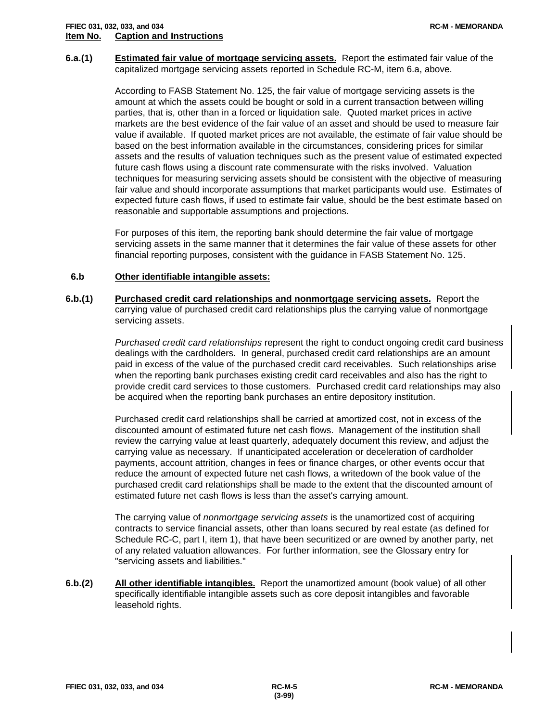**6.a.(1) Estimated fair value of mortgage servicing assets.** Report the estimated fair value of the capitalized mortgage servicing assets reported in Schedule RC-M, item 6.a, above.

> According to FASB Statement No. 125, the fair value of mortgage servicing assets is the amount at which the assets could be bought or sold in a current transaction between willing parties, that is, other than in a forced or liquidation sale. Quoted market prices in active markets are the best evidence of the fair value of an asset and should be used to measure fair value if available. If quoted market prices are not available, the estimate of fair value should be based on the best information available in the circumstances, considering prices for similar assets and the results of valuation techniques such as the present value of estimated expected future cash flows using a discount rate commensurate with the risks involved. Valuation techniques for measuring servicing assets should be consistent with the objective of measuring fair value and should incorporate assumptions that market participants would use. Estimates of expected future cash flows, if used to estimate fair value, should be the best estimate based on reasonable and supportable assumptions and projections.

For purposes of this item, the reporting bank should determine the fair value of mortgage servicing assets in the same manner that it determines the fair value of these assets for other financial reporting purposes, consistent with the guidance in FASB Statement No. 125.

# **6.b Other identifiable intangible assets:**

**6.b.(1) Purchased credit card relationships and nonmortgage servicing assets.** Report the carrying value of purchased credit card relationships plus the carrying value of nonmortgage servicing assets.

> *Purchased credit card relationships* represent the right to conduct ongoing credit card business dealings with the cardholders. In general, purchased credit card relationships are an amount paid in excess of the value of the purchased credit card receivables. Such relationships arise when the reporting bank purchases existing credit card receivables and also has the right to provide credit card services to those customers. Purchased credit card relationships may also be acquired when the reporting bank purchases an entire depository institution.

Purchased credit card relationships shall be carried at amortized cost, not in excess of the discounted amount of estimated future net cash flows. Management of the institution shall review the carrying value at least quarterly, adequately document this review, and adjust the carrying value as necessary. If unanticipated acceleration or deceleration of cardholder payments, account attrition, changes in fees or finance charges, or other events occur that reduce the amount of expected future net cash flows, a writedown of the book value of the purchased credit card relationships shall be made to the extent that the discounted amount of estimated future net cash flows is less than the asset's carrying amount.

The carrying value of *nonmortgage servicing assets* is the unamortized cost of acquiring contracts to service financial assets, other than loans secured by real estate (as defined for Schedule RC-C, part I, item 1), that have been securitized or are owned by another party, net of any related valuation allowances. For further information, see the Glossary entry for "servicing assets and liabilities."

**6.b.(2) All other identifiable intangibles.** Report the unamortized amount (book value) of all other specifically identifiable intangible assets such as core deposit intangibles and favorable leasehold rights.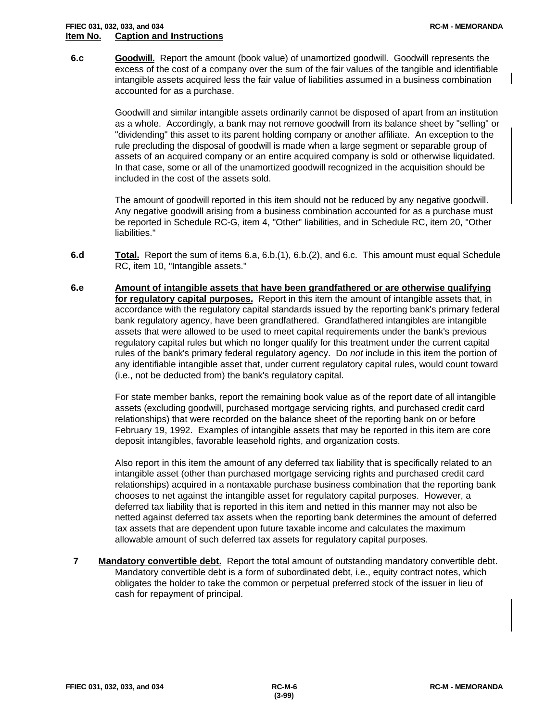### **FFIEC 031, 032, 033, and 034 RC-M - MEMORANDA Item No. Caption and Instructions**

 **6.c Goodwill.** Report the amount (book value) of unamortized goodwill. Goodwill represents the excess of the cost of a company over the sum of the fair values of the tangible and identifiable intangible assets acquired less the fair value of liabilities assumed in a business combination accounted for as a purchase.

> Goodwill and similar intangible assets ordinarily cannot be disposed of apart from an institution as a whole. Accordingly, a bank may not remove goodwill from its balance sheet by "selling" or "dividending" this asset to its parent holding company or another affiliate. An exception to the rule precluding the disposal of goodwill is made when a large segment or separable group of assets of an acquired company or an entire acquired company is sold or otherwise liquidated. In that case, some or all of the unamortized goodwill recognized in the acquisition should be included in the cost of the assets sold.

The amount of goodwill reported in this item should not be reduced by any negative goodwill. Any negative goodwill arising from a business combination accounted for as a purchase must be reported in Schedule RC-G, item 4, "Other" liabilities, and in Schedule RC, item 20, "Other liabilities."

- **6.d Total.** Report the sum of items 6.a, 6.b.(1), 6.b.(2), and 6.c. This amount must equal Schedule RC, item 10, "Intangible assets."
- **6.e Amount of intangible assets that have been grandfathered or are otherwise qualifying for regulatory capital purposes.** Report in this item the amount of intangible assets that, in accordance with the regulatory capital standards issued by the reporting bank's primary federal bank regulatory agency, have been grandfathered. Grandfathered intangibles are intangible assets that were allowed to be used to meet capital requirements under the bank's previous regulatory capital rules but which no longer qualify for this treatment under the current capital rules of the bank's primary federal regulatory agency. Do *not* include in this item the portion of any identifiable intangible asset that, under current regulatory capital rules, would count toward (i.e., not be deducted from) the bank's regulatory capital.

For state member banks, report the remaining book value as of the report date of all intangible assets (excluding goodwill, purchased mortgage servicing rights, and purchased credit card relationships) that were recorded on the balance sheet of the reporting bank on or before February 19, 1992. Examples of intangible assets that may be reported in this item are core deposit intangibles, favorable leasehold rights, and organization costs.

Also report in this item the amount of any deferred tax liability that is specifically related to an intangible asset (other than purchased mortgage servicing rights and purchased credit card relationships) acquired in a nontaxable purchase business combination that the reporting bank chooses to net against the intangible asset for regulatory capital purposes. However, a deferred tax liability that is reported in this item and netted in this manner may not also be netted against deferred tax assets when the reporting bank determines the amount of deferred tax assets that are dependent upon future taxable income and calculates the maximum allowable amount of such deferred tax assets for regulatory capital purposes.

 **7 Mandatory convertible debt.** Report the total amount of outstanding mandatory convertible debt. Mandatory convertible debt is a form of subordinated debt, i.e., equity contract notes, which obligates the holder to take the common or perpetual preferred stock of the issuer in lieu of cash for repayment of principal.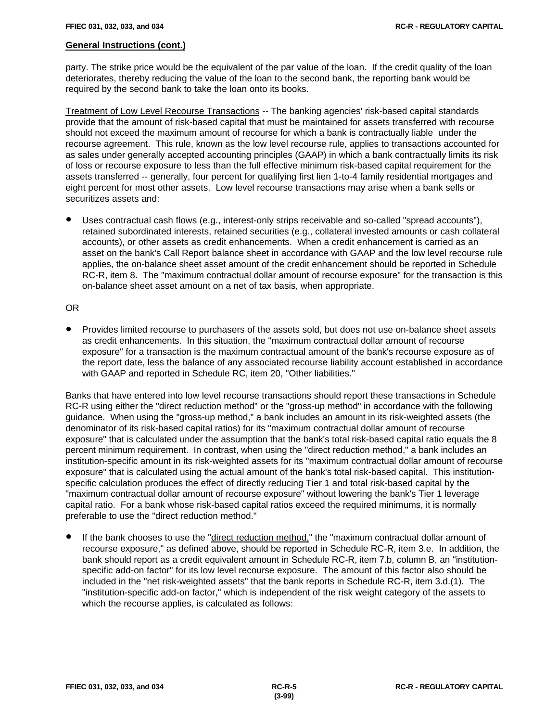party. The strike price would be the equivalent of the par value of the loan. If the credit quality of the loan deteriorates, thereby reducing the value of the loan to the second bank, the reporting bank would be required by the second bank to take the loan onto its books.

Treatment of Low Level Recourse Transactions -- The banking agencies' risk-based capital standards provide that the amount of risk-based capital that must be maintained for assets transferred with recourse should not exceed the maximum amount of recourse for which a bank is contractually liable under the recourse agreement. This rule, known as the low level recourse rule, applies to transactions accounted for as sales under generally accepted accounting principles (GAAP) in which a bank contractually limits its risk of loss or recourse exposure to less than the full effective minimum risk-based capital requirement for the assets transferred -- generally, four percent for qualifying first lien 1-to-4 family residential mortgages and eight percent for most other assets. Low level recourse transactions may arise when a bank sells or securitizes assets and:

Uses contractual cash flows (e.g., interest-only strips receivable and so-called "spread accounts"), retained subordinated interests, retained securities (e.g., collateral invested amounts or cash collateral accounts), or other assets as credit enhancements. When a credit enhancement is carried as an asset on the bank's Call Report balance sheet in accordance with GAAP and the low level recourse rule applies, the on-balance sheet asset amount of the credit enhancement should be reported in Schedule RC-R, item 8. The "maximum contractual dollar amount of recourse exposure" for the transaction is this on-balance sheet asset amount on a net of tax basis, when appropriate.

#### OR

! Provides limited recourse to purchasers of the assets sold, but does not use on-balance sheet assets as credit enhancements. In this situation, the "maximum contractual dollar amount of recourse exposure" for a transaction is the maximum contractual amount of the bank's recourse exposure as of the report date, less the balance of any associated recourse liability account established in accordance with GAAP and reported in Schedule RC, item 20, "Other liabilities."

Banks that have entered into low level recourse transactions should report these transactions in Schedule RC-R using either the "direct reduction method" or the "gross-up method" in accordance with the following guidance. When using the "gross-up method," a bank includes an amount in its risk-weighted assets (the denominator of its risk-based capital ratios) for its "maximum contractual dollar amount of recourse exposure" that is calculated under the assumption that the bank's total risk-based capital ratio equals the 8 percent minimum requirement. In contrast, when using the "direct reduction method," a bank includes an institution-specific amount in its risk-weighted assets for its "maximum contractual dollar amount of recourse exposure" that is calculated using the actual amount of the bank's total risk-based capital. This institutionspecific calculation produces the effect of directly reducing Tier 1 and total risk-based capital by the "maximum contractual dollar amount of recourse exposure" without lowering the bank's Tier 1 leverage capital ratio. For a bank whose risk-based capital ratios exceed the required minimums, it is normally preferable to use the "direct reduction method."

! If the bank chooses to use the "direct reduction method," the "maximum contractual dollar amount of recourse exposure," as defined above, should be reported in Schedule RC-R, item 3.e. In addition, the bank should report as a credit equivalent amount in Schedule RC-R, item 7.b, column B, an "institutionspecific add-on factor" for its low level recourse exposure. The amount of this factor also should be included in the "net risk-weighted assets" that the bank reports in Schedule RC-R, item 3.d.(1). The "institution-specific add-on factor," which is independent of the risk weight category of the assets to which the recourse applies, is calculated as follows: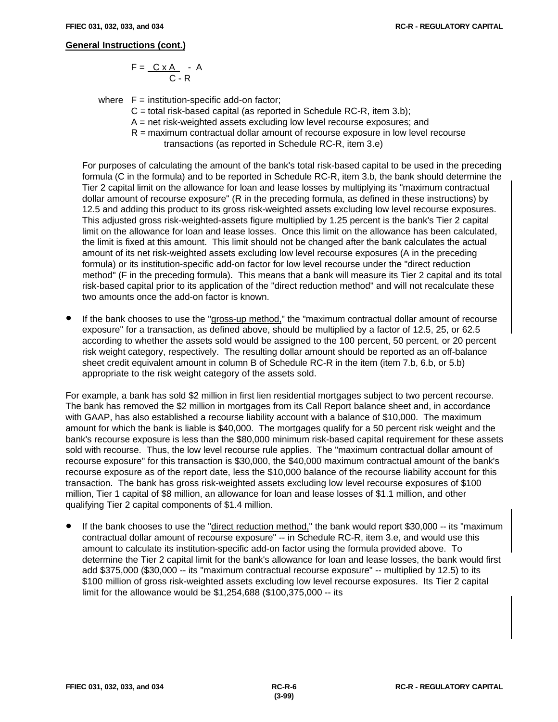$$
F = \frac{C \times A}{C - R} - A
$$

where  $F =$  institution-specific add-on factor;

- $C =$  total risk-based capital (as reported in Schedule RC-R, item 3.b);
- A = net risk-weighted assets excluding low level recourse exposures; and
- R = maximum contractual dollar amount of recourse exposure in low level recourse
	- transactions (as reported in Schedule RC-R, item 3.e)

For purposes of calculating the amount of the bank's total risk-based capital to be used in the preceding formula (C in the formula) and to be reported in Schedule RC-R, item 3.b, the bank should determine the Tier 2 capital limit on the allowance for loan and lease losses by multiplying its "maximum contractual dollar amount of recourse exposure" (R in the preceding formula, as defined in these instructions) by 12.5 and adding this product to its gross risk-weighted assets excluding low level recourse exposures. This adjusted gross risk-weighted-assets figure multiplied by 1.25 percent is the bank's Tier 2 capital limit on the allowance for loan and lease losses. Once this limit on the allowance has been calculated, the limit is fixed at this amount. This limit should not be changed after the bank calculates the actual amount of its net risk-weighted assets excluding low level recourse exposures (A in the preceding formula) or its institution-specific add-on factor for low level recourse under the "direct reduction method" (F in the preceding formula). This means that a bank will measure its Tier 2 capital and its total risk-based capital prior to its application of the "direct reduction method" and will not recalculate these two amounts once the add-on factor is known.

If the bank chooses to use the "gross-up method," the "maximum contractual dollar amount of recourse exposure" for a transaction, as defined above, should be multiplied by a factor of 12.5, 25, or 62.5 according to whether the assets sold would be assigned to the 100 percent, 50 percent, or 20 percent risk weight category, respectively. The resulting dollar amount should be reported as an off-balance sheet credit equivalent amount in column B of Schedule RC-R in the item (item 7.b, 6.b, or 5.b) appropriate to the risk weight category of the assets sold.

For example, a bank has sold \$2 million in first lien residential mortgages subject to two percent recourse. The bank has removed the \$2 million in mortgages from its Call Report balance sheet and, in accordance with GAAP, has also established a recourse liability account with a balance of \$10,000. The maximum amount for which the bank is liable is \$40,000. The mortgages qualify for a 50 percent risk weight and the bank's recourse exposure is less than the \$80,000 minimum risk-based capital requirement for these assets sold with recourse. Thus, the low level recourse rule applies. The "maximum contractual dollar amount of recourse exposure" for this transaction is \$30,000, the \$40,000 maximum contractual amount of the bank's recourse exposure as of the report date, less the \$10,000 balance of the recourse liability account for this transaction. The bank has gross risk-weighted assets excluding low level recourse exposures of \$100 million, Tier 1 capital of \$8 million, an allowance for loan and lease losses of \$1.1 million, and other qualifying Tier 2 capital components of \$1.4 million.

If the bank chooses to use the "direct reduction method," the bank would report \$30,000 -- its "maximum" contractual dollar amount of recourse exposure" -- in Schedule RC-R, item 3.e, and would use this amount to calculate its institution-specific add-on factor using the formula provided above. To determine the Tier 2 capital limit for the bank's allowance for loan and lease losses, the bank would first add \$375,000 (\$30,000 -- its "maximum contractual recourse exposure" -- multiplied by 12.5) to its \$100 million of gross risk-weighted assets excluding low level recourse exposures. Its Tier 2 capital limit for the allowance would be \$1,254,688 (\$100,375,000 -- its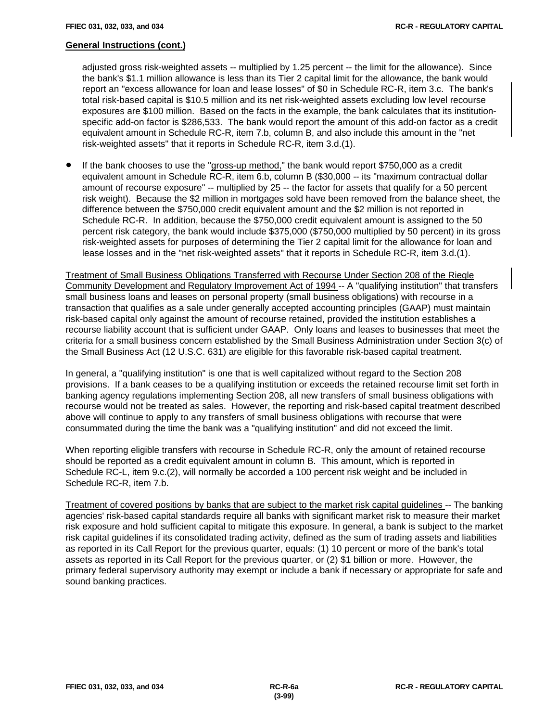adjusted gross risk-weighted assets -- multiplied by 1.25 percent -- the limit for the allowance). Since the bank's \$1.1 million allowance is less than its Tier 2 capital limit for the allowance, the bank would report an "excess allowance for loan and lease losses" of \$0 in Schedule RC-R, item 3.c. The bank's total risk-based capital is \$10.5 million and its net risk-weighted assets excluding low level recourse exposures are \$100 million. Based on the facts in the example, the bank calculates that its institutionspecific add-on factor is \$286,533. The bank would report the amount of this add-on factor as a credit equivalent amount in Schedule RC-R, item 7.b, column B, and also include this amount in the "net risk-weighted assets" that it reports in Schedule RC-R, item 3.d.(1).

! If the bank chooses to use the "gross-up method," the bank would report \$750,000 as a credit equivalent amount in Schedule RC-R, item 6.b, column B (\$30,000 -- its "maximum contractual dollar amount of recourse exposure" -- multiplied by 25 -- the factor for assets that qualify for a 50 percent risk weight). Because the \$2 million in mortgages sold have been removed from the balance sheet, the difference between the \$750,000 credit equivalent amount and the \$2 million is not reported in Schedule RC-R. In addition, because the \$750,000 credit equivalent amount is assigned to the 50 percent risk category, the bank would include \$375,000 (\$750,000 multiplied by 50 percent) in its gross risk-weighted assets for purposes of determining the Tier 2 capital limit for the allowance for loan and lease losses and in the "net risk-weighted assets" that it reports in Schedule RC-R, item 3.d.(1).

Treatment of Small Business Obligations Transferred with Recourse Under Section 208 of the Riegle Community Development and Regulatory Improvement Act of 1994 -- A "qualifying institution" that transfers small business loans and leases on personal property (small business obligations) with recourse in a transaction that qualifies as a sale under generally accepted accounting principles (GAAP) must maintain risk-based capital only against the amount of recourse retained, provided the institution establishes a recourse liability account that is sufficient under GAAP. Only loans and leases to businesses that meet the criteria for a small business concern established by the Small Business Administration under Section 3(c) of the Small Business Act (12 U.S.C. 631) are eligible for this favorable risk-based capital treatment.

In general, a "qualifying institution" is one that is well capitalized without regard to the Section 208 provisions. If a bank ceases to be a qualifying institution or exceeds the retained recourse limit set forth in banking agency regulations implementing Section 208, all new transfers of small business obligations with recourse would not be treated as sales. However, the reporting and risk-based capital treatment described above will continue to apply to any transfers of small business obligations with recourse that were consummated during the time the bank was a "qualifying institution" and did not exceed the limit.

When reporting eligible transfers with recourse in Schedule RC-R, only the amount of retained recourse should be reported as a credit equivalent amount in column B. This amount, which is reported in Schedule RC-L, item 9.c.(2), will normally be accorded a 100 percent risk weight and be included in Schedule RC-R, item 7.b.

Treatment of covered positions by banks that are subject to the market risk capital guidelines -- The banking agencies' risk-based capital standards require all banks with significant market risk to measure their market risk exposure and hold sufficient capital to mitigate this exposure. In general, a bank is subject to the market risk capital guidelines if its consolidated trading activity, defined as the sum of trading assets and liabilities as reported in its Call Report for the previous quarter, equals: (1) 10 percent or more of the bank's total assets as reported in its Call Report for the previous quarter, or (2) \$1 billion or more. However, the primary federal supervisory authority may exempt or include a bank if necessary or appropriate for safe and sound banking practices.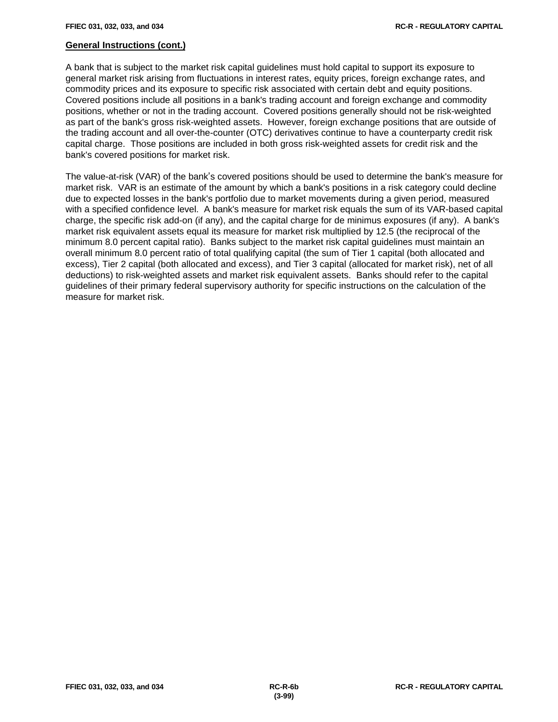A bank that is subject to the market risk capital guidelines must hold capital to support its exposure to general market risk arising from fluctuations in interest rates, equity prices, foreign exchange rates, and commodity prices and its exposure to specific risk associated with certain debt and equity positions. Covered positions include all positions in a bank's trading account and foreign exchange and commodity positions, whether or not in the trading account. Covered positions generally should not be risk-weighted as part of the bank's gross risk-weighted assets. However, foreign exchange positions that are outside of the trading account and all over-the-counter (OTC) derivatives continue to have a counterparty credit risk capital charge. Those positions are included in both gross risk-weighted assets for credit risk and the bank's covered positions for market risk.

The value-at-risk (VAR) of the bank's covered positions should be used to determine the bank's measure for market risk. VAR is an estimate of the amount by which a bank's positions in a risk category could decline due to expected losses in the bank's portfolio due to market movements during a given period, measured with a specified confidence level. A bank's measure for market risk equals the sum of its VAR-based capital charge, the specific risk add-on (if any), and the capital charge for de minimus exposures (if any). A bank's market risk equivalent assets equal its measure for market risk multiplied by 12.5 (the reciprocal of the minimum 8.0 percent capital ratio). Banks subject to the market risk capital guidelines must maintain an overall minimum 8.0 percent ratio of total qualifying capital (the sum of Tier 1 capital (both allocated and excess), Tier 2 capital (both allocated and excess), and Tier 3 capital (allocated for market risk), net of all deductions) to risk-weighted assets and market risk equivalent assets. Banks should refer to the capital guidelines of their primary federal supervisory authority for specific instructions on the calculation of the measure for market risk.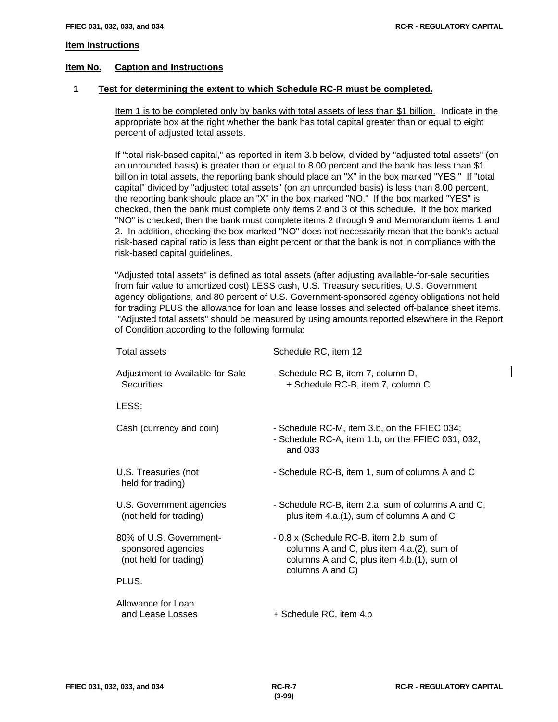#### **Item Instructions**

#### **Item No. Caption and Instructions**

#### **1 Test for determining the extent to which Schedule RC-R must be completed.**

Item 1 is to be completed only by banks with total assets of less than \$1 billion. Indicate in the appropriate box at the right whether the bank has total capital greater than or equal to eight percent of adjusted total assets.

If "total risk-based capital," as reported in item 3.b below, divided by "adjusted total assets" (on an unrounded basis) is greater than or equal to 8.00 percent and the bank has less than \$1 billion in total assets, the reporting bank should place an "X" in the box marked "YES." If "total capital" divided by "adjusted total assets" (on an unrounded basis) is less than 8.00 percent, the reporting bank should place an "X" in the box marked "NO." If the box marked "YES" is checked, then the bank must complete only items 2 and 3 of this schedule. If the box marked "NO" is checked, then the bank must complete items 2 through 9 and Memorandum items 1 and 2. In addition, checking the box marked "NO" does not necessarily mean that the bank's actual risk-based capital ratio is less than eight percent or that the bank is not in compliance with the risk-based capital guidelines.

"Adjusted total assets" is defined as total assets (after adjusting available-for-sale securities from fair value to amortized cost) LESS cash, U.S. Treasury securities, U.S. Government agency obligations, and 80 percent of U.S. Government-sponsored agency obligations not held for trading PLUS the allowance for loan and lease losses and selected off-balance sheet items. "Adjusted total assets" should be measured by using amounts reported elsewhere in the Report of Condition according to the following formula:

| <b>Total assets</b>                                                     | Schedule RC, item 12                                                                                                                                     |
|-------------------------------------------------------------------------|----------------------------------------------------------------------------------------------------------------------------------------------------------|
| Adjustment to Available-for-Sale<br><b>Securities</b>                   | - Schedule RC-B, item 7, column D,<br>+ Schedule RC-B, item 7, column C                                                                                  |
| LESS:                                                                   |                                                                                                                                                          |
| Cash (currency and coin)                                                | - Schedule RC-M, item 3.b, on the FFIEC 034;<br>- Schedule RC-A, item 1.b, on the FFIEC 031, 032,<br>and 033                                             |
| U.S. Treasuries (not<br>held for trading)                               | - Schedule RC-B, item 1, sum of columns A and C                                                                                                          |
| U.S. Government agencies<br>(not held for trading)                      | - Schedule RC-B, item 2.a, sum of columns A and C,<br>plus item 4.a.(1), sum of columns A and C                                                          |
| 80% of U.S. Government-<br>sponsored agencies<br>(not held for trading) | - 0.8 x (Schedule RC-B, item 2.b, sum of<br>columns A and C, plus item 4.a.(2), sum of<br>columns A and C, plus item 4.b.(1), sum of<br>columns A and C) |
| PLUS:                                                                   |                                                                                                                                                          |
| Allowance for Loan<br>and Lease Losses                                  | + Schedule RC, item 4.b                                                                                                                                  |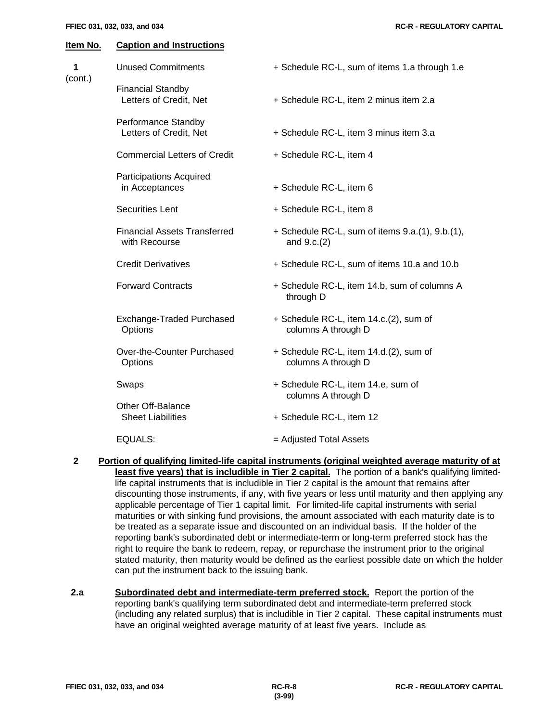| 1<br>(cont.) | <b>Unused Commitments</b>                            | + Schedule RC-L, sum of items 1.a through 1.e                    |  |  |  |
|--------------|------------------------------------------------------|------------------------------------------------------------------|--|--|--|
|              | <b>Financial Standby</b><br>Letters of Credit, Net   | + Schedule RC-L, item 2 minus item 2.a                           |  |  |  |
|              | Performance Standby<br>Letters of Credit, Net        | + Schedule RC-L, item 3 minus item 3.a                           |  |  |  |
|              | <b>Commercial Letters of Credit</b>                  | + Schedule RC-L, item 4                                          |  |  |  |
|              | <b>Participations Acquired</b><br>in Acceptances     | + Schedule RC-L, item 6                                          |  |  |  |
|              | <b>Securities Lent</b>                               | + Schedule RC-L, item 8                                          |  |  |  |
|              | <b>Financial Assets Transferred</b><br>with Recourse | + Schedule RC-L, sum of items 9.a.(1), 9.b.(1),<br>and $9.c.(2)$ |  |  |  |
|              | <b>Credit Derivatives</b>                            | + Schedule RC-L, sum of items 10.a and 10.b                      |  |  |  |
|              | <b>Forward Contracts</b>                             | + Schedule RC-L, item 14.b, sum of columns A<br>through D        |  |  |  |
|              | Exchange-Traded Purchased<br>Options                 | + Schedule RC-L, item 14.c.(2), sum of<br>columns A through D    |  |  |  |
|              | Over-the-Counter Purchased<br>Options                | + Schedule RC-L, item 14.d.(2), sum of<br>columns A through D    |  |  |  |
|              | Swaps                                                | + Schedule RC-L, item 14.e, sum of                               |  |  |  |
|              | Other Off-Balance<br><b>Sheet Liabilities</b>        | columns A through D<br>+ Schedule RC-L, item 12                  |  |  |  |
|              | <b>EQUALS:</b>                                       | = Adjusted Total Assets                                          |  |  |  |

- **2 Portion of qualifying limited-life capital instruments (original weighted average maturity of at** least five years) that is includible in Tier 2 capital. The portion of a bank's qualifying limitedlife capital instruments that is includible in Tier 2 capital is the amount that remains after discounting those instruments, if any, with five years or less until maturity and then applying any applicable percentage of Tier 1 capital limit. For limited-life capital instruments with serial maturities or with sinking fund provisions, the amount associated with each maturity date is to be treated as a separate issue and discounted on an individual basis. If the holder of the reporting bank's subordinated debt or intermediate-term or long-term preferred stock has the right to require the bank to redeem, repay, or repurchase the instrument prior to the original stated maturity, then maturity would be defined as the earliest possible date on which the holder can put the instrument back to the issuing bank.
- **2.a Subordinated debt and intermediate-term preferred stock.** Report the portion of the reporting bank's qualifying term subordinated debt and intermediate-term preferred stock (including any related surplus) that is includible in Tier 2 capital. These capital instruments must have an original weighted average maturity of at least five years. Include as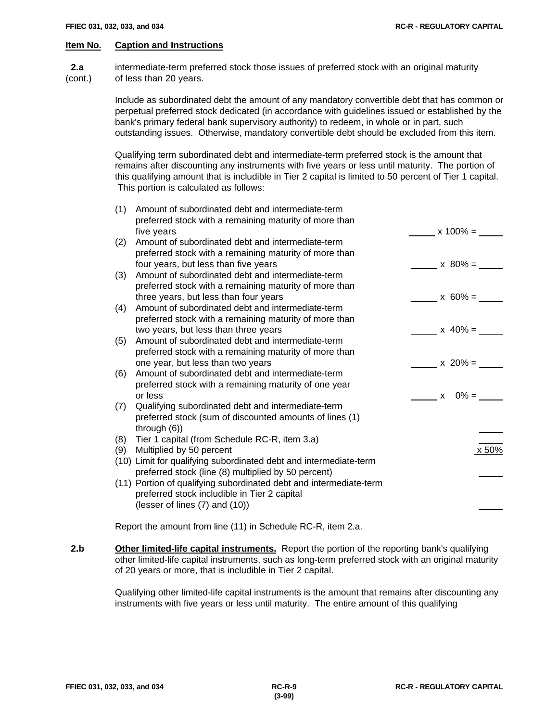**2.a** intermediate-term preferred stock those issues of preferred stock with an original maturity (cont.) of less than 20 years.

> Include as subordinated debt the amount of any mandatory convertible debt that has common or perpetual preferred stock dedicated (in accordance with guidelines issued or established by the bank's primary federal bank supervisory authority) to redeem, in whole or in part, such outstanding issues. Otherwise, mandatory convertible debt should be excluded from this item.

Qualifying term subordinated debt and intermediate-term preferred stock is the amount that remains after discounting any instruments with five years or less until maturity. The portion of this qualifying amount that is includible in Tier 2 capital is limited to 50 percent of Tier 1 capital. This portion is calculated as follows:

| (1) | Amount of subordinated debt and intermediate-term<br>preferred stock with a remaining maturity of more than |              |
|-----|-------------------------------------------------------------------------------------------------------------|--------------|
|     | five years                                                                                                  | $x 100\% =$  |
| (2) | Amount of subordinated debt and intermediate-term<br>preferred stock with a remaining maturity of more than |              |
|     | four years, but less than five years                                                                        | $x 80\% =$   |
| (3) | Amount of subordinated debt and intermediate-term                                                           |              |
|     | preferred stock with a remaining maturity of more than                                                      |              |
|     | three years, but less than four years                                                                       | $x 60\% =$   |
| (4) | Amount of subordinated debt and intermediate-term                                                           |              |
|     | preferred stock with a remaining maturity of more than                                                      |              |
|     | two years, but less than three years                                                                        | $x 40\% =$   |
| (5) | Amount of subordinated debt and intermediate-term                                                           |              |
|     | preferred stock with a remaining maturity of more than                                                      |              |
|     | one year, but less than two years                                                                           | $x = 20\% =$ |
| (6) | Amount of subordinated debt and intermediate-term                                                           |              |
|     | preferred stock with a remaining maturity of one year                                                       |              |
|     | or less                                                                                                     | $x = 0\% =$  |
| (7) | Qualifying subordinated debt and intermediate-term                                                          |              |
|     | preferred stock (sum of discounted amounts of lines (1)                                                     |              |
|     | through $(6)$ )                                                                                             |              |
| (8) | Tier 1 capital (from Schedule RC-R, item 3.a)                                                               |              |
| (9) | Multiplied by 50 percent                                                                                    | x 50%        |
|     | (10) Limit for qualifying subordinated debt and intermediate-term                                           |              |
|     | preferred stock (line (8) multiplied by 50 percent)                                                         |              |
|     | (11) Portion of qualifying subordinated debt and intermediate-term                                          |              |
|     | preferred stock includible in Tier 2 capital                                                                |              |
|     | (lesser of lines $(7)$ and $(10)$ )                                                                         |              |
|     |                                                                                                             |              |

Report the amount from line (11) in Schedule RC-R, item 2.a.

 **2.b Other limited-life capital instruments.** Report the portion of the reporting bank's qualifying other limited-life capital instruments, such as long-term preferred stock with an original maturity of 20 years or more, that is includible in Tier 2 capital.

> Qualifying other limited-life capital instruments is the amount that remains after discounting any instruments with five years or less until maturity. The entire amount of this qualifying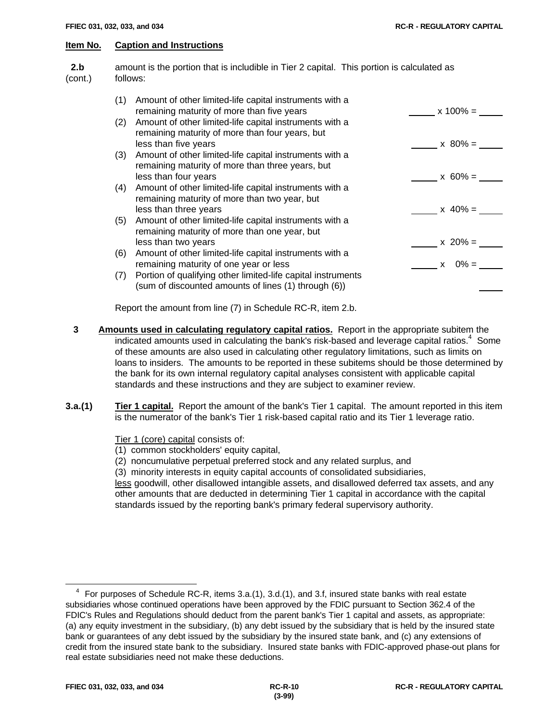**2.b** amount is the portion that is includible in Tier 2 capital. This portion is calculated as (cont.) follows: (1) Amount of other limited-life capital instruments with a

| (1) | Amount of other limited-life capital instruments with a<br>remaining maturity of more than five years                              | $x 100\% =$ |
|-----|------------------------------------------------------------------------------------------------------------------------------------|-------------|
| (2) | Amount of other limited-life capital instruments with a<br>remaining maturity of more than four years, but<br>less than five years | $x 80\% =$  |
| (3) | Amount of other limited-life capital instruments with a<br>remaining maturity of more than three years, but                        |             |
|     | less than four years                                                                                                               | $x 60\% =$  |
| (4) | Amount of other limited-life capital instruments with a<br>remaining maturity of more than two year, but<br>less than three years  | $x 40\% =$  |
| (5) | Amount of other limited-life capital instruments with a<br>remaining maturity of more than one year, but<br>less than two years    | $x 20\% =$  |
| (6) | Amount of other limited-life capital instruments with a<br>remaining maturity of one year or less                                  | $x = 0\% =$ |
| (7) | Portion of qualifying other limited-life capital instruments<br>(sum of discounted amounts of lines (1) through (6))               |             |
|     |                                                                                                                                    |             |

Report the amount from line (7) in Schedule RC-R, item 2.b.

- **3 Amounts used in calculating regulatory capital ratios.** Report in the appropriate subitem the indicated amounts used in calculating the bank's risk-based and leverage capital ratios.<sup>4</sup> Some of these amounts are also used in calculating other regulatory limitations, such as limits on loans to insiders. The amounts to be reported in these subitems should be those determined by the bank for its own internal regulatory capital analyses consistent with applicable capital standards and these instructions and they are subject to examiner review.
- **3.a.(1) Tier 1 capital.** Report the amount of the bank's Tier 1 capital. The amount reported in this item is the numerator of the bank's Tier 1 risk-based capital ratio and its Tier 1 leverage ratio.

Tier 1 (core) capital consists of:

- (1) common stockholders' equity capital,
- (2) noncumulative perpetual preferred stock and any related surplus, and

(3) minority interests in equity capital accounts of consolidated subsidiaries,

less goodwill, other disallowed intangible assets, and disallowed deferred tax assets, and any other amounts that are deducted in determining Tier 1 capital in accordance with the capital standards issued by the reporting bank's primary federal supervisory authority.

 $\overline{a}$ 

<sup>4</sup> For purposes of Schedule RC-R, items 3.a.(1), 3.d.(1), and 3.f, insured state banks with real estate subsidiaries whose continued operations have been approved by the FDIC pursuant to Section 362.4 of the FDIC's Rules and Regulations should deduct from the parent bank's Tier 1 capital and assets, as appropriate: (a) any equity investment in the subsidiary, (b) any debt issued by the subsidiary that is held by the insured state bank or guarantees of any debt issued by the subsidiary by the insured state bank, and (c) any extensions of credit from the insured state bank to the subsidiary. Insured state banks with FDIC-approved phase-out plans for real estate subsidiaries need not make these deductions.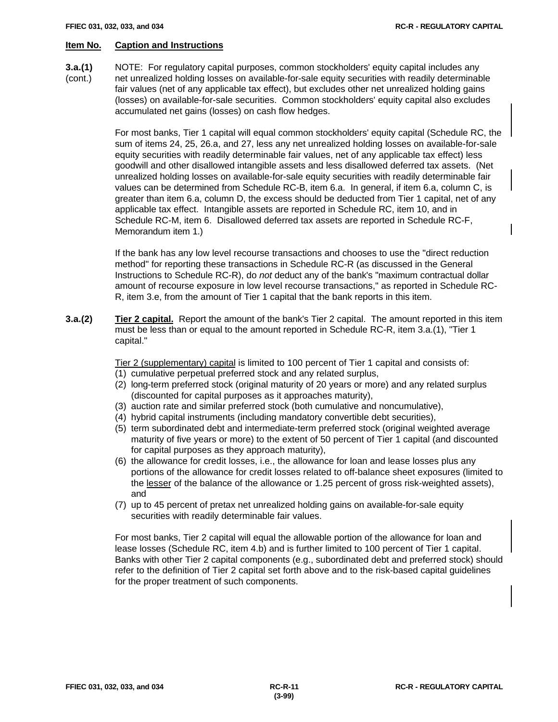- **3.a.(1)** NOTE: For regulatory capital purposes, common stockholders' equity capital includes any
- (cont.) net unrealized holding losses on available-for-sale equity securities with readily determinable fair values (net of any applicable tax effect), but excludes other net unrealized holding gains (losses) on available-for-sale securities. Common stockholders' equity capital also excludes accumulated net gains (losses) on cash flow hedges.

For most banks, Tier 1 capital will equal common stockholders' equity capital (Schedule RC, the sum of items 24, 25, 26.a, and 27, less any net unrealized holding losses on available-for-sale equity securities with readily determinable fair values, net of any applicable tax effect) less goodwill and other disallowed intangible assets and less disallowed deferred tax assets. (Net unrealized holding losses on available-for-sale equity securities with readily determinable fair values can be determined from Schedule RC-B, item 6.a. In general, if item 6.a, column C, is greater than item 6.a, column D, the excess should be deducted from Tier 1 capital, net of any applicable tax effect. Intangible assets are reported in Schedule RC, item 10, and in Schedule RC-M, item 6. Disallowed deferred tax assets are reported in Schedule RC-F, Memorandum item 1.)

If the bank has any low level recourse transactions and chooses to use the "direct reduction method" for reporting these transactions in Schedule RC-R (as discussed in the General Instructions to Schedule RC-R), do *not* deduct any of the bank's "maximum contractual dollar amount of recourse exposure in low level recourse transactions," as reported in Schedule RC-R, item 3.e, from the amount of Tier 1 capital that the bank reports in this item.

**3.a.(2) Tier 2 capital.** Report the amount of the bank's Tier 2 capital. The amount reported in this item must be less than or equal to the amount reported in Schedule RC-R, item 3.a.(1), "Tier 1 capital."

Tier 2 (supplementary) capital is limited to 100 percent of Tier 1 capital and consists of:

- (1) cumulative perpetual preferred stock and any related surplus,
- (2) long-term preferred stock (original maturity of 20 years or more) and any related surplus (discounted for capital purposes as it approaches maturity),
- (3) auction rate and similar preferred stock (both cumulative and noncumulative),
- (4) hybrid capital instruments (including mandatory convertible debt securities),
- (5) term subordinated debt and intermediate-term preferred stock (original weighted average maturity of five years or more) to the extent of 50 percent of Tier 1 capital (and discounted for capital purposes as they approach maturity),
- (6) the allowance for credit losses, i.e., the allowance for loan and lease losses plus any portions of the allowance for credit losses related to off-balance sheet exposures (limited to the lesser of the balance of the allowance or 1.25 percent of gross risk-weighted assets), and
- (7) up to 45 percent of pretax net unrealized holding gains on available-for-sale equity securities with readily determinable fair values.

For most banks, Tier 2 capital will equal the allowable portion of the allowance for loan and lease losses (Schedule RC, item 4.b) and is further limited to 100 percent of Tier 1 capital. Banks with other Tier 2 capital components (e.g., subordinated debt and preferred stock) should refer to the definition of Tier 2 capital set forth above and to the risk-based capital guidelines for the proper treatment of such components.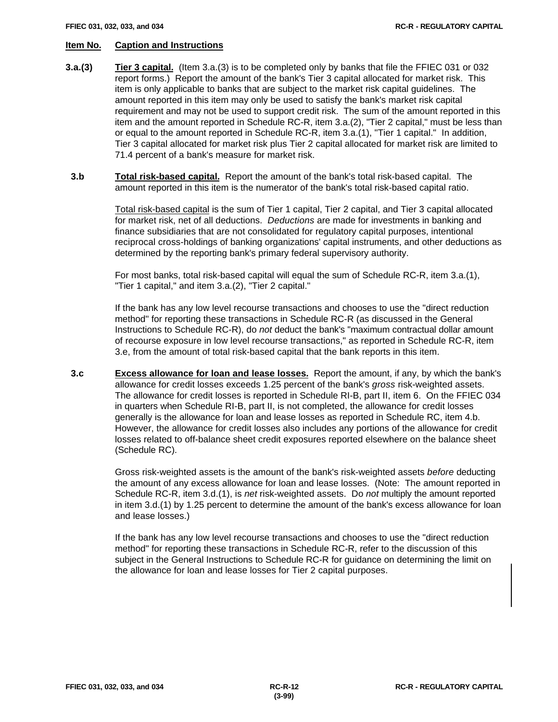- **3.a.(3) Tier 3 capital.** (Item 3.a.(3) is to be completed only by banks that file the FFIEC 031 or 032 report forms.) Report the amount of the bank's Tier 3 capital allocated for market risk. This item is only applicable to banks that are subject to the market risk capital guidelines. The amount reported in this item may only be used to satisfy the bank's market risk capital requirement and may not be used to support credit risk. The sum of the amount reported in this item and the amount reported in Schedule RC-R, item 3.a.(2), "Tier 2 capital," must be less than or equal to the amount reported in Schedule RC-R, item 3.a.(1), "Tier 1 capital." In addition, Tier 3 capital allocated for market risk plus Tier 2 capital allocated for market risk are limited to 71.4 percent of a bank's measure for market risk.
- **3.b Total risk-based capital.** Report the amount of the bank's total risk-based capital. The amount reported in this item is the numerator of the bank's total risk-based capital ratio.

Total risk-based capital is the sum of Tier 1 capital, Tier 2 capital, and Tier 3 capital allocated for market risk, net of all deductions. *Deductions* are made for investments in banking and finance subsidiaries that are not consolidated for regulatory capital purposes, intentional reciprocal cross-holdings of banking organizations' capital instruments, and other deductions as determined by the reporting bank's primary federal supervisory authority.

For most banks, total risk-based capital will equal the sum of Schedule RC-R, item 3.a.(1), "Tier 1 capital," and item 3.a.(2), "Tier 2 capital."

If the bank has any low level recourse transactions and chooses to use the "direct reduction method" for reporting these transactions in Schedule RC-R (as discussed in the General Instructions to Schedule RC-R), do *not* deduct the bank's "maximum contractual dollar amount of recourse exposure in low level recourse transactions," as reported in Schedule RC-R, item 3.e, from the amount of total risk-based capital that the bank reports in this item.

 **3.c Excess allowance for loan and lease losses.** Report the amount, if any, by which the bank's allowance for credit losses exceeds 1.25 percent of the bank's *gross* risk-weighted assets. The allowance for credit losses is reported in Schedule RI-B, part II, item 6. On the FFIEC 034 in quarters when Schedule RI-B, part II, is not completed, the allowance for credit losses generally is the allowance for loan and lease losses as reported in Schedule RC, item 4.b. However, the allowance for credit losses also includes any portions of the allowance for credit losses related to off-balance sheet credit exposures reported elsewhere on the balance sheet (Schedule RC).

> Gross risk-weighted assets is the amount of the bank's risk-weighted assets *before* deducting the amount of any excess allowance for loan and lease losses. (Note: The amount reported in Schedule RC-R, item 3.d.(1), is *net* risk-weighted assets. Do *not* multiply the amount reported in item 3.d.(1) by 1.25 percent to determine the amount of the bank's excess allowance for loan and lease losses.)

If the bank has any low level recourse transactions and chooses to use the "direct reduction method" for reporting these transactions in Schedule RC-R, refer to the discussion of this subject in the General Instructions to Schedule RC-R for guidance on determining the limit on the allowance for loan and lease losses for Tier 2 capital purposes.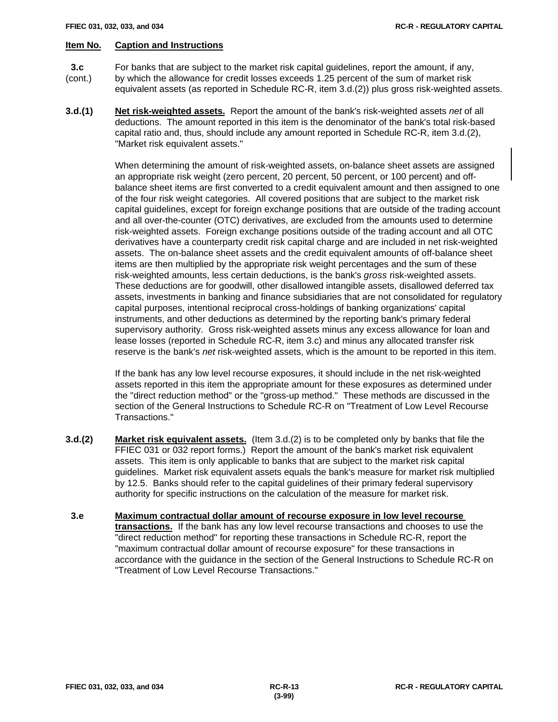- **3.c** For banks that are subject to the market risk capital guidelines, report the amount, if any,
- (cont.) by which the allowance for credit losses exceeds 1.25 percent of the sum of market risk equivalent assets (as reported in Schedule RC-R, item 3.d.(2)) plus gross risk-weighted assets.
- **3.d.(1) Net risk-weighted assets.** Report the amount of the bank's risk-weighted assets *net* of all deductions. The amount reported in this item is the denominator of the bank's total risk-based capital ratio and, thus, should include any amount reported in Schedule RC-R, item 3.d.(2), "Market risk equivalent assets."

When determining the amount of risk-weighted assets, on-balance sheet assets are assigned an appropriate risk weight (zero percent, 20 percent, 50 percent, or 100 percent) and offbalance sheet items are first converted to a credit equivalent amount and then assigned to one of the four risk weight categories. All covered positions that are subject to the market risk capital guidelines, except for foreign exchange positions that are outside of the trading account and all over-the-counter (OTC) derivatives, are excluded from the amounts used to determine risk-weighted assets. Foreign exchange positions outside of the trading account and all OTC derivatives have a counterparty credit risk capital charge and are included in net risk-weighted assets. The on-balance sheet assets and the credit equivalent amounts of off-balance sheet items are then multiplied by the appropriate risk weight percentages and the sum of these risk-weighted amounts, less certain deductions, is the bank's *gross* risk-weighted assets. These deductions are for goodwill, other disallowed intangible assets, disallowed deferred tax assets, investments in banking and finance subsidiaries that are not consolidated for regulatory capital purposes, intentional reciprocal cross-holdings of banking organizations' capital instruments, and other deductions as determined by the reporting bank's primary federal supervisory authority. Gross risk-weighted assets minus any excess allowance for loan and lease losses (reported in Schedule RC-R, item 3.c) and minus any allocated transfer risk reserve is the bank's *net* risk-weighted assets, which is the amount to be reported in this item.

If the bank has any low level recourse exposures, it should include in the net risk-weighted assets reported in this item the appropriate amount for these exposures as determined under the "direct reduction method" or the "gross-up method." These methods are discussed in the section of the General Instructions to Schedule RC-R on "Treatment of Low Level Recourse Transactions."

- **3.d.(2) Market risk equivalent assets.** (Item 3.d.(2) is to be completed only by banks that file the FFIEC 031 or 032 report forms.) Report the amount of the bank's market risk equivalent assets. This item is only applicable to banks that are subject to the market risk capital guidelines. Market risk equivalent assets equals the bank's measure for market risk multiplied by 12.5. Banks should refer to the capital guidelines of their primary federal supervisory authority for specific instructions on the calculation of the measure for market risk.
- **3.e Maximum contractual dollar amount of recourse exposure in low level recourse transactions.** If the bank has any low level recourse transactions and chooses to use the "direct reduction method" for reporting these transactions in Schedule RC-R, report the "maximum contractual dollar amount of recourse exposure" for these transactions in accordance with the guidance in the section of the General Instructions to Schedule RC-R on "Treatment of Low Level Recourse Transactions."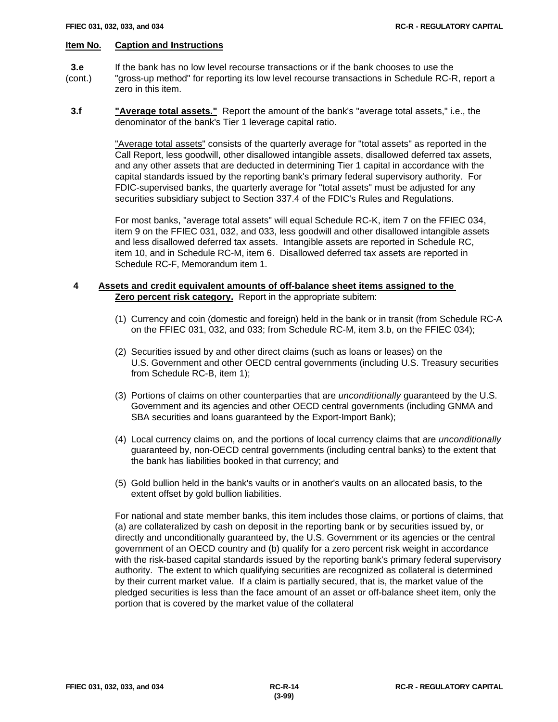- **3.e** If the bank has no low level recourse transactions or if the bank chooses to use the
- (cont.) "gross-up method" for reporting its low level recourse transactions in Schedule RC-R, report a zero in this item.
- **3.f "Average total assets."** Report the amount of the bank's "average total assets," i.e., the denominator of the bank's Tier 1 leverage capital ratio.

"Average total assets" consists of the quarterly average for "total assets" as reported in the Call Report, less goodwill, other disallowed intangible assets, disallowed deferred tax assets, and any other assets that are deducted in determining Tier 1 capital in accordance with the capital standards issued by the reporting bank's primary federal supervisory authority. For FDIC-supervised banks, the quarterly average for "total assets" must be adjusted for any securities subsidiary subject to Section 337.4 of the FDIC's Rules and Regulations.

For most banks, "average total assets" will equal Schedule RC-K, item 7 on the FFIEC 034, item 9 on the FFIEC 031, 032, and 033, less goodwill and other disallowed intangible assets and less disallowed deferred tax assets. Intangible assets are reported in Schedule RC, item 10, and in Schedule RC-M, item 6. Disallowed deferred tax assets are reported in Schedule RC-F, Memorandum item 1.

# **4 Assets and credit equivalent amounts of off-balance sheet items assigned to the Zero percent risk category.** Report in the appropriate subitem:

- (1) Currency and coin (domestic and foreign) held in the bank or in transit (from Schedule RC-A on the FFIEC 031, 032, and 033; from Schedule RC-M, item 3.b, on the FFIEC 034);
- (2) Securities issued by and other direct claims (such as loans or leases) on the U.S. Government and other OECD central governments (including U.S. Treasury securities from Schedule RC-B, item 1);
- (3) Portions of claims on other counterparties that are *unconditionally* guaranteed by the U.S. Government and its agencies and other OECD central governments (including GNMA and SBA securities and loans guaranteed by the Export-Import Bank);
- (4) Local currency claims on, and the portions of local currency claims that are *unconditionally* guaranteed by, non-OECD central governments (including central banks) to the extent that the bank has liabilities booked in that currency; and
- (5) Gold bullion held in the bank's vaults or in another's vaults on an allocated basis, to the extent offset by gold bullion liabilities.

For national and state member banks, this item includes those claims, or portions of claims, that (a) are collateralized by cash on deposit in the reporting bank or by securities issued by, or directly and unconditionally guaranteed by, the U.S. Government or its agencies or the central government of an OECD country and (b) qualify for a zero percent risk weight in accordance with the risk-based capital standards issued by the reporting bank's primary federal supervisory authority. The extent to which qualifying securities are recognized as collateral is determined by their current market value. If a claim is partially secured, that is, the market value of the pledged securities is less than the face amount of an asset or off-balance sheet item, only the portion that is covered by the market value of the collateral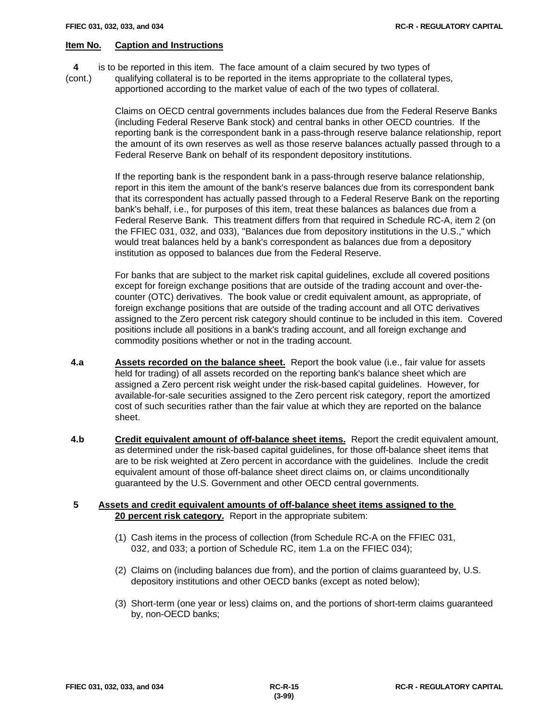**4** is to be reported in this item. The face amount of a claim secured by two types of

(cont.) qualifying collateral is to be reported in the items appropriate to the collateral types, apportioned according to the market value of each of the two types of collateral.

> Claims on OECD central governments includes balances due from the Federal Reserve Banks (including Federal Reserve Bank stock) and central banks in other OECD countries. If the reporting bank is the correspondent bank in a pass-through reserve balance relationship, report the amount of its own reserves as well as those reserve balances actually passed through to a Federal Reserve Bank on behalf of its respondent depository institutions.

> If the reporting bank is the respondent bank in a pass-through reserve balance relationship, report in this item the amount of the bank's reserve balances due from its correspondent bank that its correspondent has actually passed through to a Federal Reserve Bank on the reporting bank's behalf, i.e., for purposes of this item, treat these balances as balances due from a Federal Reserve Bank. This treatment differs from that required in Schedule RC-A, item 2 (on the FFIEC 031, 032, and 033), "Balances due from depository institutions in the U.S.," which would treat balances held by a bank's correspondent as balances due from a depository institution as opposed to balances due from the Federal Reserve.

> For banks that are subject to the market risk capital guidelines, exclude all covered positions except for foreign exchange positions that are outside of the trading account and over-thecounter (OTC) derivatives. The book value or credit equivalent amount, as appropriate, of foreign exchange positions that are outside of the trading account and all OTC derivatives assigned to the Zero percent risk category should continue to be included in this item. Covered positions include all positions in a bank's trading account, and all foreign exchange and commodity positions whether or not in the trading account.

- **4.a Assets recorded on the balance sheet.** Report the book value (i.e., fair value for assets held for trading) of all assets recorded on the reporting bank's balance sheet which are assigned a Zero percent risk weight under the risk-based capital guidelines. However, for available-for-sale securities assigned to the Zero percent risk category, report the amortized cost of such securities rather than the fair value at which they are reported on the balance sheet.
- **4.b Credit equivalent amount of off-balance sheet items.** Report the credit equivalent amount, as determined under the risk-based capital guidelines, for those off-balance sheet items that are to be risk weighted at Zero percent in accordance with the guidelines. Include the credit equivalent amount of those off-balance sheet direct claims on, or claims unconditionally guaranteed by the U.S. Government and other OECD central governments.

# **5 Assets and credit equivalent amounts of off-balance sheet items assigned to the 20 percent risk category.** Report in the appropriate subitem:

- (1) Cash items in the process of collection (from Schedule RC-A on the FFIEC 031, 032, and 033; a portion of Schedule RC, item 1.a on the FFIEC 034);
- (2) Claims on (including balances due from), and the portion of claims guaranteed by, U.S. depository institutions and other OECD banks (except as noted below);
- (3) Short-term (one year or less) claims on, and the portions of short-term claims guaranteed by, non-OECD banks;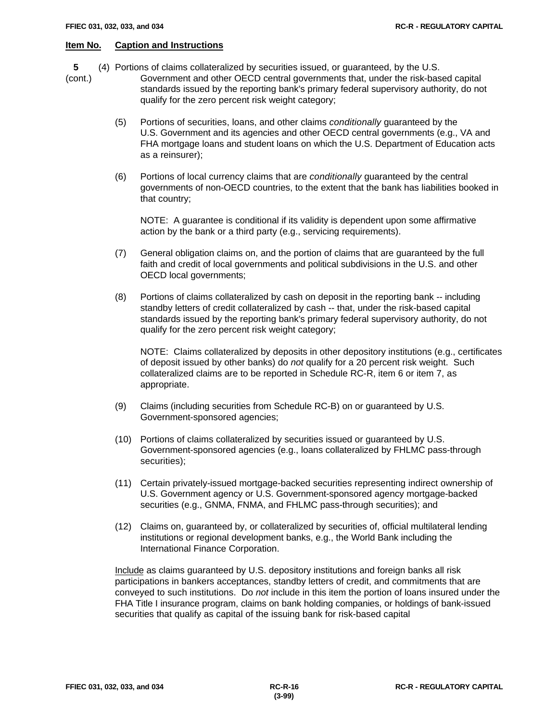**5** (4) Portions of claims collateralized by securities issued, or guaranteed, by the U.S.

(cont.) Government and other OECD central governments that, under the risk-based capital standards issued by the reporting bank's primary federal supervisory authority, do not qualify for the zero percent risk weight category;

- (5) Portions of securities, loans, and other claims *conditionally* guaranteed by the U.S. Government and its agencies and other OECD central governments (e.g., VA and FHA mortgage loans and student loans on which the U.S. Department of Education acts as a reinsurer);
- (6) Portions of local currency claims that are *conditionally* guaranteed by the central governments of non-OECD countries, to the extent that the bank has liabilities booked in that country;

NOTE: A guarantee is conditional if its validity is dependent upon some affirmative action by the bank or a third party (e.g., servicing requirements).

- (7) General obligation claims on, and the portion of claims that are guaranteed by the full faith and credit of local governments and political subdivisions in the U.S. and other OECD local governments;
- (8) Portions of claims collateralized by cash on deposit in the reporting bank -- including standby letters of credit collateralized by cash -- that, under the risk-based capital standards issued by the reporting bank's primary federal supervisory authority, do not qualify for the zero percent risk weight category;

NOTE: Claims collateralized by deposits in other depository institutions (e.g., certificates of deposit issued by other banks) do *not* qualify for a 20 percent risk weight. Such collateralized claims are to be reported in Schedule RC-R, item 6 or item 7, as appropriate.

- (9) Claims (including securities from Schedule RC-B) on or guaranteed by U.S. Government-sponsored agencies;
- (10) Portions of claims collateralized by securities issued or guaranteed by U.S. Government-sponsored agencies (e.g., loans collateralized by FHLMC pass-through securities);
- (11) Certain privately-issued mortgage-backed securities representing indirect ownership of U.S. Government agency or U.S. Government-sponsored agency mortgage-backed securities (e.g., GNMA, FNMA, and FHLMC pass-through securities); and
- (12) Claims on, guaranteed by, or collateralized by securities of, official multilateral lending institutions or regional development banks, e.g., the World Bank including the International Finance Corporation.

Include as claims guaranteed by U.S. depository institutions and foreign banks all risk participations in bankers acceptances, standby letters of credit, and commitments that are conveyed to such institutions. Do *not* include in this item the portion of loans insured under the FHA Title I insurance program, claims on bank holding companies, or holdings of bank-issued securities that qualify as capital of the issuing bank for risk-based capital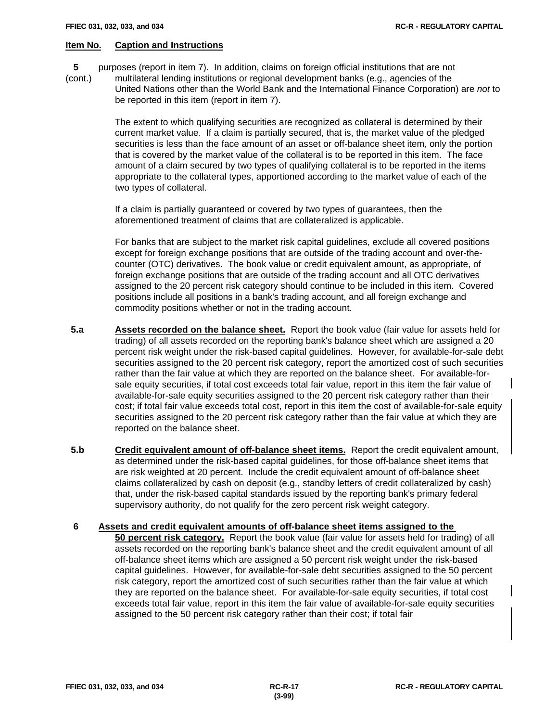- **5** purposes (report in item 7). In addition, claims on foreign official institutions that are not
- (cont.) multilateral lending institutions or regional development banks (e.g., agencies of the United Nations other than the World Bank and the International Finance Corporation) are *not* to be reported in this item (report in item 7).

The extent to which qualifying securities are recognized as collateral is determined by their current market value. If a claim is partially secured, that is, the market value of the pledged securities is less than the face amount of an asset or off-balance sheet item, only the portion that is covered by the market value of the collateral is to be reported in this item. The face amount of a claim secured by two types of qualifying collateral is to be reported in the items appropriate to the collateral types, apportioned according to the market value of each of the two types of collateral.

If a claim is partially guaranteed or covered by two types of guarantees, then the aforementioned treatment of claims that are collateralized is applicable.

For banks that are subject to the market risk capital guidelines, exclude all covered positions except for foreign exchange positions that are outside of the trading account and over-thecounter (OTC) derivatives. The book value or credit equivalent amount, as appropriate, of foreign exchange positions that are outside of the trading account and all OTC derivatives assigned to the 20 percent risk category should continue to be included in this item. Covered positions include all positions in a bank's trading account, and all foreign exchange and commodity positions whether or not in the trading account.

- **5.a Assets recorded on the balance sheet.** Report the book value (fair value for assets held for trading) of all assets recorded on the reporting bank's balance sheet which are assigned a 20 percent risk weight under the risk-based capital guidelines. However, for available-for-sale debt securities assigned to the 20 percent risk category, report the amortized cost of such securities rather than the fair value at which they are reported on the balance sheet. For available-forsale equity securities, if total cost exceeds total fair value, report in this item the fair value of available-for-sale equity securities assigned to the 20 percent risk category rather than their cost; if total fair value exceeds total cost, report in this item the cost of available-for-sale equity securities assigned to the 20 percent risk category rather than the fair value at which they are reported on the balance sheet.
- **5.b Credit equivalent amount of off-balance sheet items.** Report the credit equivalent amount, as determined under the risk-based capital guidelines, for those off-balance sheet items that are risk weighted at 20 percent. Include the credit equivalent amount of off-balance sheet claims collateralized by cash on deposit (e.g., standby letters of credit collateralized by cash) that, under the risk-based capital standards issued by the reporting bank's primary federal supervisory authority, do not qualify for the zero percent risk weight category.
- **6 Assets and credit equivalent amounts of off-balance sheet items assigned to the 50 percent risk category.** Report the book value (fair value for assets held for trading) of all assets recorded on the reporting bank's balance sheet and the credit equivalent amount of all off-balance sheet items which are assigned a 50 percent risk weight under the risk-based capital guidelines. However, for available-for-sale debt securities assigned to the 50 percent risk category, report the amortized cost of such securities rather than the fair value at which they are reported on the balance sheet. For available-for-sale equity securities, if total cost exceeds total fair value, report in this item the fair value of available-for-sale equity securities assigned to the 50 percent risk category rather than their cost; if total fair

 $\mathsf{l}$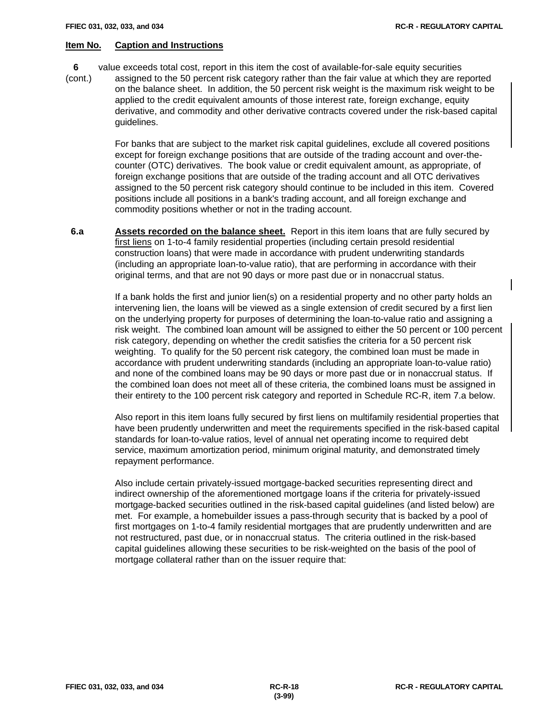$\mathsf{l}$ 

# **Item No. Caption and Instructions**

**6** value exceeds total cost, report in this item the cost of available-for-sale equity securities

(cont.) assigned to the 50 percent risk category rather than the fair value at which they are reported on the balance sheet. In addition, the 50 percent risk weight is the maximum risk weight to be applied to the credit equivalent amounts of those interest rate, foreign exchange, equity derivative, and commodity and other derivative contracts covered under the risk-based capital guidelines.

> For banks that are subject to the market risk capital guidelines, exclude all covered positions except for foreign exchange positions that are outside of the trading account and over-thecounter (OTC) derivatives. The book value or credit equivalent amount, as appropriate, of foreign exchange positions that are outside of the trading account and all OTC derivatives assigned to the 50 percent risk category should continue to be included in this item. Covered positions include all positions in a bank's trading account, and all foreign exchange and commodity positions whether or not in the trading account.

 **6.a Assets recorded on the balance sheet.** Report in this item loans that are fully secured by first liens on 1-to-4 family residential properties (including certain presold residential construction loans) that were made in accordance with prudent underwriting standards (including an appropriate loan-to-value ratio), that are performing in accordance with their original terms, and that are not 90 days or more past due or in nonaccrual status.

> If a bank holds the first and junior lien(s) on a residential property and no other party holds an intervening lien, the loans will be viewed as a single extension of credit secured by a first lien on the underlying property for purposes of determining the loan-to-value ratio and assigning a risk weight. The combined loan amount will be assigned to either the 50 percent or 100 percent risk category, depending on whether the credit satisfies the criteria for a 50 percent risk weighting. To qualify for the 50 percent risk category, the combined loan must be made in accordance with prudent underwriting standards (including an appropriate loan-to-value ratio) and none of the combined loans may be 90 days or more past due or in nonaccrual status. If the combined loan does not meet all of these criteria, the combined loans must be assigned in their entirety to the 100 percent risk category and reported in Schedule RC-R, item 7.a below.

> Also report in this item loans fully secured by first liens on multifamily residential properties that have been prudently underwritten and meet the requirements specified in the risk-based capital standards for loan-to-value ratios, level of annual net operating income to required debt service, maximum amortization period, minimum original maturity, and demonstrated timely repayment performance.

Also include certain privately-issued mortgage-backed securities representing direct and indirect ownership of the aforementioned mortgage loans if the criteria for privately-issued mortgage-backed securities outlined in the risk-based capital guidelines (and listed below) are met. For example, a homebuilder issues a pass-through security that is backed by a pool of first mortgages on 1-to-4 family residential mortgages that are prudently underwritten and are not restructured, past due, or in nonaccrual status. The criteria outlined in the risk-based capital guidelines allowing these securities to be risk-weighted on the basis of the pool of mortgage collateral rather than on the issuer require that: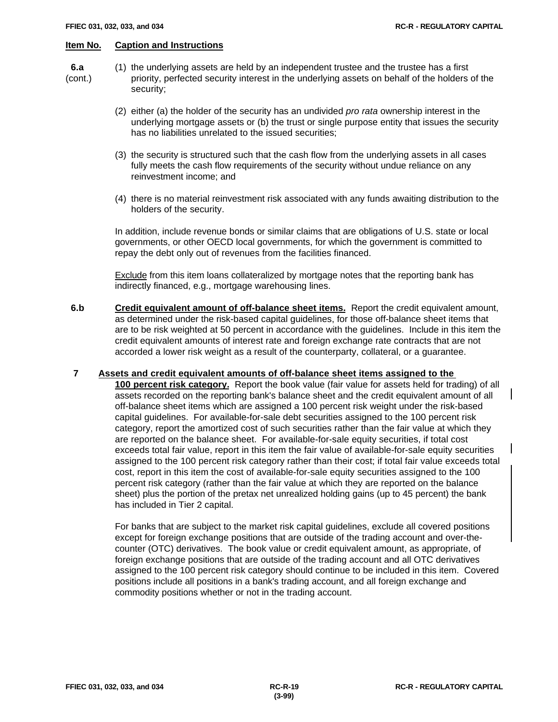- 
- **6.a** (1) the underlying assets are held by an independent trustee and the trustee has a first (cont.) priority, perfected security interest in the underlying assets on behalf of the holders of the security;
	- (2) either (a) the holder of the security has an undivided *pro rata* ownership interest in the underlying mortgage assets or (b) the trust or single purpose entity that issues the security has no liabilities unrelated to the issued securities;
	- (3) the security is structured such that the cash flow from the underlying assets in all cases fully meets the cash flow requirements of the security without undue reliance on any reinvestment income; and
	- (4) there is no material reinvestment risk associated with any funds awaiting distribution to the holders of the security.

In addition, include revenue bonds or similar claims that are obligations of U.S. state or local governments, or other OECD local governments, for which the government is committed to repay the debt only out of revenues from the facilities financed.

**Exclude** from this item loans collateralized by mortgage notes that the reporting bank has indirectly financed, e.g., mortgage warehousing lines.

**6.b Credit equivalent amount of off-balance sheet items.** Report the credit equivalent amount, as determined under the risk-based capital guidelines, for those off-balance sheet items that are to be risk weighted at 50 percent in accordance with the guidelines. Include in this item the credit equivalent amounts of interest rate and foreign exchange rate contracts that are not accorded a lower risk weight as a result of the counterparty, collateral, or a guarantee.

# **7 Assets and credit equivalent amounts of off-balance sheet items assigned to the**

**100 percent risk category.** Report the book value (fair value for assets held for trading) of all assets recorded on the reporting bank's balance sheet and the credit equivalent amount of all off-balance sheet items which are assigned a 100 percent risk weight under the risk-based capital guidelines. For available-for-sale debt securities assigned to the 100 percent risk category, report the amortized cost of such securities rather than the fair value at which they are reported on the balance sheet. For available-for-sale equity securities, if total cost exceeds total fair value, report in this item the fair value of available-for-sale equity securities assigned to the 100 percent risk category rather than their cost; if total fair value exceeds total cost, report in this item the cost of available-for-sale equity securities assigned to the 100 percent risk category (rather than the fair value at which they are reported on the balance sheet) plus the portion of the pretax net unrealized holding gains (up to 45 percent) the bank has included in Tier 2 capital.

For banks that are subject to the market risk capital guidelines, exclude all covered positions except for foreign exchange positions that are outside of the trading account and over-thecounter (OTC) derivatives. The book value or credit equivalent amount, as appropriate, of foreign exchange positions that are outside of the trading account and all OTC derivatives assigned to the 100 percent risk category should continue to be included in this item. Covered positions include all positions in a bank's trading account, and all foreign exchange and commodity positions whether or not in the trading account.

 $\mathsf{l}$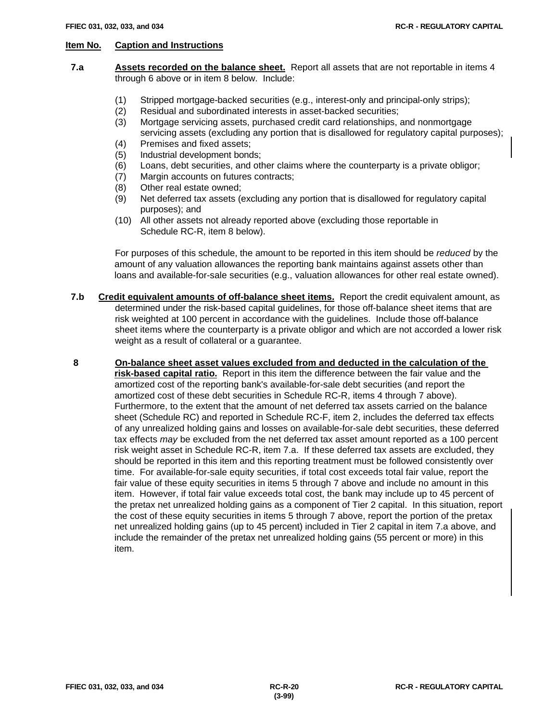- **7.a Assets recorded on the balance sheet.** Report all assets that are not reportable in items 4 through 6 above or in item 8 below. Include:
	- (1) Stripped mortgage-backed securities (e.g., interest-only and principal-only strips);
	- (2) Residual and subordinated interests in asset-backed securities;
	- (3) Mortgage servicing assets, purchased credit card relationships, and nonmortgage servicing assets (excluding any portion that is disallowed for regulatory capital purposes);
	- (4) Premises and fixed assets;
	- (5) Industrial development bonds;
	- (6) Loans, debt securities, and other claims where the counterparty is a private obligor;
	- (7) Margin accounts on futures contracts;
	- (8) Other real estate owned;
	- (9) Net deferred tax assets (excluding any portion that is disallowed for regulatory capital purposes); and
	- (10) All other assets not already reported above (excluding those reportable in Schedule RC-R, item 8 below).

For purposes of this schedule, the amount to be reported in this item should be *reduced* by the amount of any valuation allowances the reporting bank maintains against assets other than loans and available-for-sale securities (e.g., valuation allowances for other real estate owned).

- **7.b Credit equivalent amounts of off-balance sheet items.** Report the credit equivalent amount, as determined under the risk-based capital guidelines, for those off-balance sheet items that are risk weighted at 100 percent in accordance with the guidelines. Include those off-balance sheet items where the counterparty is a private obligor and which are not accorded a lower risk weight as a result of collateral or a guarantee.
- **8 On-balance sheet asset values excluded from and deducted in the calculation of the risk-based capital ratio.** Report in this item the difference between the fair value and the amortized cost of the reporting bank's available-for-sale debt securities (and report the amortized cost of these debt securities in Schedule RC-R, items 4 through 7 above). Furthermore, to the extent that the amount of net deferred tax assets carried on the balance sheet (Schedule RC) and reported in Schedule RC-F, item 2, includes the deferred tax effects of any unrealized holding gains and losses on available-for-sale debt securities, these deferred tax effects *may* be excluded from the net deferred tax asset amount reported as a 100 percent risk weight asset in Schedule RC-R, item 7.a. If these deferred tax assets are excluded, they should be reported in this item and this reporting treatment must be followed consistently over time. For available-for-sale equity securities, if total cost exceeds total fair value, report the fair value of these equity securities in items 5 through 7 above and include no amount in this item. However, if total fair value exceeds total cost, the bank may include up to 45 percent of the pretax net unrealized holding gains as a component of Tier 2 capital. In this situation, report the cost of these equity securities in items 5 through 7 above, report the portion of the pretax net unrealized holding gains (up to 45 percent) included in Tier 2 capital in item 7.a above, and include the remainder of the pretax net unrealized holding gains (55 percent or more) in this item.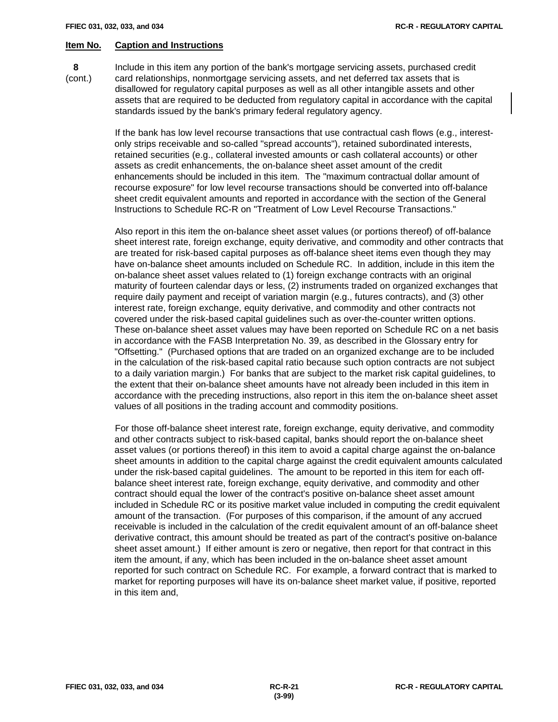**8** Include in this item any portion of the bank's mortgage servicing assets, purchased credit (cont.) card relationships, nonmortgage servicing assets, and net deferred tax assets that is disallowed for regulatory capital purposes as well as all other intangible assets and other assets that are required to be deducted from regulatory capital in accordance with the capital standards issued by the bank's primary federal regulatory agency.

> If the bank has low level recourse transactions that use contractual cash flows (e.g., interestonly strips receivable and so-called "spread accounts"), retained subordinated interests, retained securities (e.g., collateral invested amounts or cash collateral accounts) or other assets as credit enhancements, the on-balance sheet asset amount of the credit enhancements should be included in this item. The "maximum contractual dollar amount of recourse exposure" for low level recourse transactions should be converted into off-balance sheet credit equivalent amounts and reported in accordance with the section of the General Instructions to Schedule RC-R on "Treatment of Low Level Recourse Transactions."

Also report in this item the on-balance sheet asset values (or portions thereof) of off-balance sheet interest rate, foreign exchange, equity derivative, and commodity and other contracts that are treated for risk-based capital purposes as off-balance sheet items even though they may have on-balance sheet amounts included on Schedule RC. In addition, include in this item the on-balance sheet asset values related to (1) foreign exchange contracts with an original maturity of fourteen calendar days or less, (2) instruments traded on organized exchanges that require daily payment and receipt of variation margin (e.g., futures contracts), and (3) other interest rate, foreign exchange, equity derivative, and commodity and other contracts not covered under the risk-based capital guidelines such as over-the-counter written options. These on-balance sheet asset values may have been reported on Schedule RC on a net basis in accordance with the FASB Interpretation No. 39, as described in the Glossary entry for "Offsetting." (Purchased options that are traded on an organized exchange are to be included in the calculation of the risk-based capital ratio because such option contracts are not subject to a daily variation margin.) For banks that are subject to the market risk capital guidelines, to the extent that their on-balance sheet amounts have not already been included in this item in accordance with the preceding instructions, also report in this item the on-balance sheet asset values of all positions in the trading account and commodity positions.

For those off-balance sheet interest rate, foreign exchange, equity derivative, and commodity and other contracts subject to risk-based capital, banks should report the on-balance sheet asset values (or portions thereof) in this item to avoid a capital charge against the on-balance sheet amounts in addition to the capital charge against the credit equivalent amounts calculated under the risk-based capital guidelines. The amount to be reported in this item for each offbalance sheet interest rate, foreign exchange, equity derivative, and commodity and other contract should equal the lower of the contract's positive on-balance sheet asset amount included in Schedule RC or its positive market value included in computing the credit equivalent amount of the transaction. (For purposes of this comparison, if the amount of any accrued receivable is included in the calculation of the credit equivalent amount of an off-balance sheet derivative contract, this amount should be treated as part of the contract's positive on-balance sheet asset amount.) If either amount is zero or negative, then report for that contract in this item the amount, if any, which has been included in the on-balance sheet asset amount reported for such contract on Schedule RC. For example, a forward contract that is marked to market for reporting purposes will have its on-balance sheet market value, if positive, reported in this item and,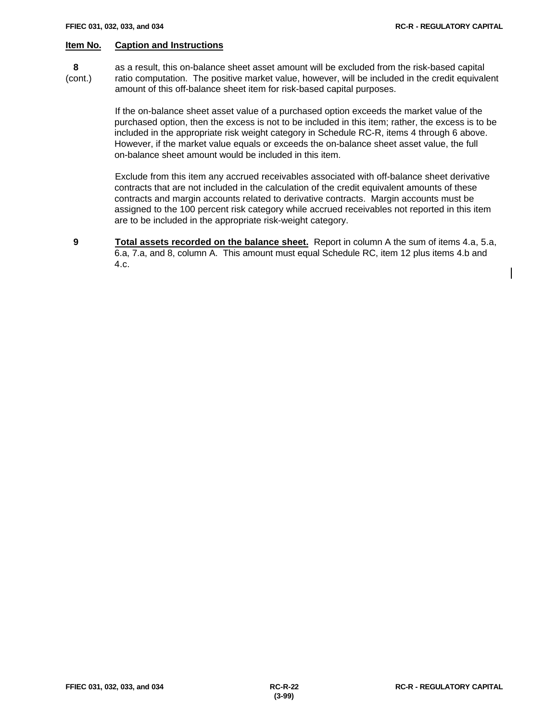$\mathbf l$ 

# **Item No. Caption and Instructions**

 **8** as a result, this on-balance sheet asset amount will be excluded from the risk-based capital (cont.) ratio computation. The positive market value, however, will be included in the credit equivalent amount of this off-balance sheet item for risk-based capital purposes.

> If the on-balance sheet asset value of a purchased option exceeds the market value of the purchased option, then the excess is not to be included in this item; rather, the excess is to be included in the appropriate risk weight category in Schedule RC-R, items 4 through 6 above. However, if the market value equals or exceeds the on-balance sheet asset value, the full on-balance sheet amount would be included in this item.

Exclude from this item any accrued receivables associated with off-balance sheet derivative contracts that are not included in the calculation of the credit equivalent amounts of these contracts and margin accounts related to derivative contracts. Margin accounts must be assigned to the 100 percent risk category while accrued receivables not reported in this item are to be included in the appropriate risk-weight category.

 **9 Total assets recorded on the balance sheet.** Report in column A the sum of items 4.a, 5.a, 6.a, 7.a, and 8, column A. This amount must equal Schedule RC, item 12 plus items 4.b and 4.c.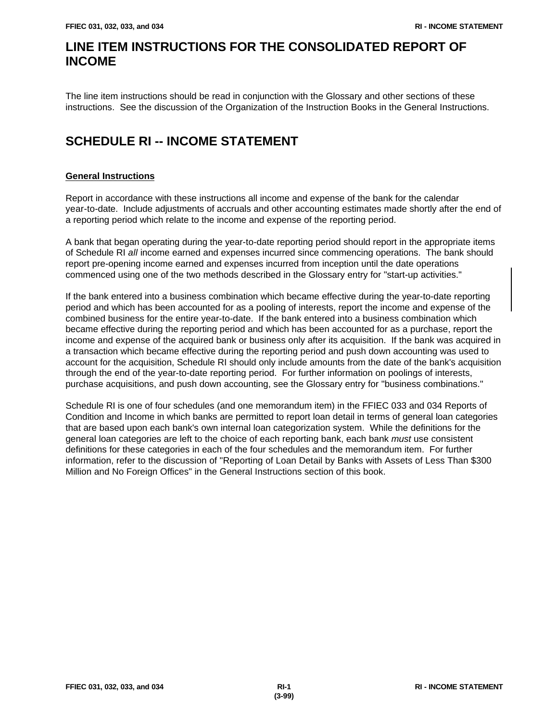# **LINE ITEM INSTRUCTIONS FOR THE CONSOLIDATED REPORT OF INCOME**

The line item instructions should be read in conjunction with the Glossary and other sections of these instructions. See the discussion of the Organization of the Instruction Books in the General Instructions.

# **SCHEDULE RI -- INCOME STATEMENT**

# **General Instructions**

Report in accordance with these instructions all income and expense of the bank for the calendar year-to-date. Include adjustments of accruals and other accounting estimates made shortly after the end of a reporting period which relate to the income and expense of the reporting period.

A bank that began operating during the year-to-date reporting period should report in the appropriate items of Schedule RI *all* income earned and expenses incurred since commencing operations. The bank should report pre-opening income earned and expenses incurred from inception until the date operations commenced using one of the two methods described in the Glossary entry for "start-up activities."

If the bank entered into a business combination which became effective during the year-to-date reporting period and which has been accounted for as a pooling of interests, report the income and expense of the combined business for the entire year-to-date. If the bank entered into a business combination which became effective during the reporting period and which has been accounted for as a purchase, report the income and expense of the acquired bank or business only after its acquisition. If the bank was acquired in a transaction which became effective during the reporting period and push down accounting was used to account for the acquisition, Schedule RI should only include amounts from the date of the bank's acquisition through the end of the year-to-date reporting period. For further information on poolings of interests, purchase acquisitions, and push down accounting, see the Glossary entry for "business combinations."

Schedule RI is one of four schedules (and one memorandum item) in the FFIEC 033 and 034 Reports of Condition and Income in which banks are permitted to report loan detail in terms of general loan categories that are based upon each bank's own internal loan categorization system. While the definitions for the general loan categories are left to the choice of each reporting bank, each bank *must* use consistent definitions for these categories in each of the four schedules and the memorandum item. For further information, refer to the discussion of "Reporting of Loan Detail by Banks with Assets of Less Than \$300 Million and No Foreign Offices" in the General Instructions section of this book.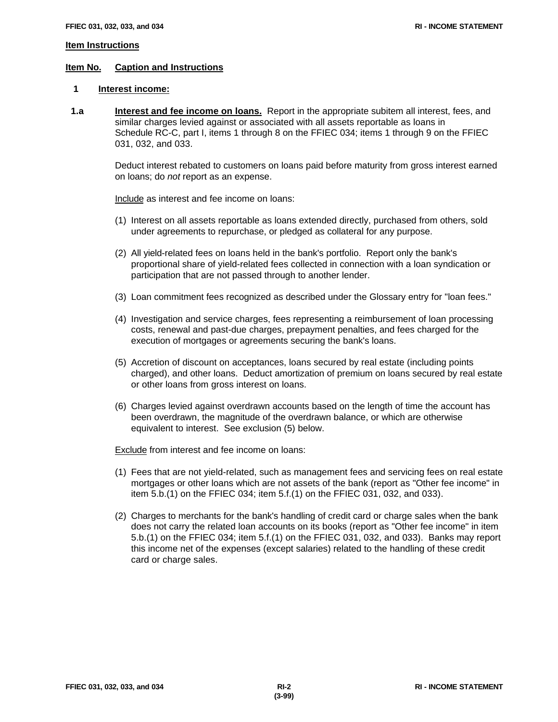#### **Item Instructions**

#### **Item No. Caption and Instructions**

#### **1 Interest income:**

**1.a Interest and fee income on loans.** Report in the appropriate subitem all interest, fees, and similar charges levied against or associated with all assets reportable as loans in Schedule RC-C, part I, items 1 through 8 on the FFIEC 034; items 1 through 9 on the FFIEC 031, 032, and 033.

> Deduct interest rebated to customers on loans paid before maturity from gross interest earned on loans; do *not* report as an expense.

Include as interest and fee income on loans:

- (1) Interest on all assets reportable as loans extended directly, purchased from others, sold under agreements to repurchase, or pledged as collateral for any purpose.
- (2) All yield-related fees on loans held in the bank's portfolio. Report only the bank's proportional share of yield-related fees collected in connection with a loan syndication or participation that are not passed through to another lender.
- (3) Loan commitment fees recognized as described under the Glossary entry for "loan fees."
- (4) Investigation and service charges, fees representing a reimbursement of loan processing costs, renewal and past-due charges, prepayment penalties, and fees charged for the execution of mortgages or agreements securing the bank's loans.
- (5) Accretion of discount on acceptances, loans secured by real estate (including points charged), and other loans. Deduct amortization of premium on loans secured by real estate or other loans from gross interest on loans.
- (6) Charges levied against overdrawn accounts based on the length of time the account has been overdrawn, the magnitude of the overdrawn balance, or which are otherwise equivalent to interest. See exclusion (5) below.

**Exclude** from interest and fee income on loans:

- (1) Fees that are not yield-related, such as management fees and servicing fees on real estate mortgages or other loans which are not assets of the bank (report as "Other fee income" in item 5.b.(1) on the FFIEC 034; item 5.f.(1) on the FFIEC 031, 032, and 033).
- (2) Charges to merchants for the bank's handling of credit card or charge sales when the bank does not carry the related loan accounts on its books (report as "Other fee income" in item 5.b.(1) on the FFIEC 034; item 5.f.(1) on the FFIEC 031, 032, and 033). Banks may report this income net of the expenses (except salaries) related to the handling of these credit card or charge sales.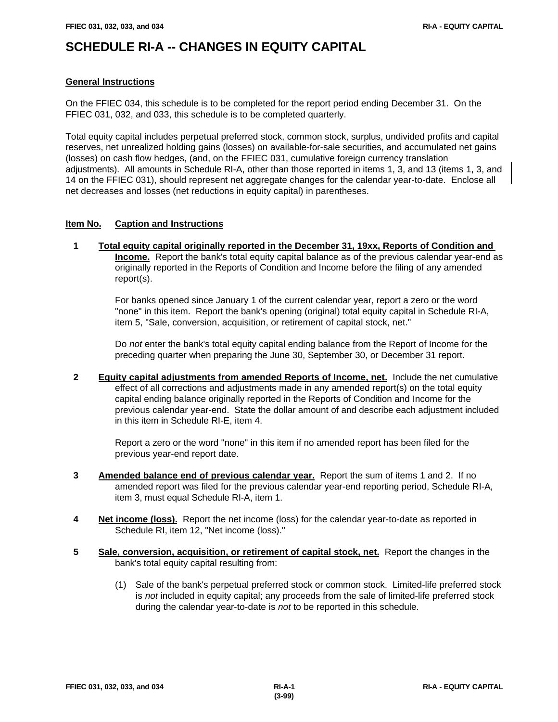# **SCHEDULE RI-A -- CHANGES IN EQUITY CAPITAL**

#### **General Instructions**

On the FFIEC 034, this schedule is to be completed for the report period ending December 31. On the FFIEC 031, 032, and 033, this schedule is to be completed quarterly.

Total equity capital includes perpetual preferred stock, common stock, surplus, undivided profits and capital reserves, net unrealized holding gains (losses) on available-for-sale securities, and accumulated net gains (losses) on cash flow hedges, (and, on the FFIEC 031, cumulative foreign currency translation adjustments). All amounts in Schedule RI-A, other than those reported in items 1, 3, and 13 (items 1, 3, and 14 on the FFIEC 031), should represent net aggregate changes for the calendar year-to-date. Enclose all net decreases and losses (net reductions in equity capital) in parentheses.

# **Item No. Caption and Instructions**

 **1 Total equity capital originally reported in the December 31, 19xx, Reports of Condition and Income.** Report the bank's total equity capital balance as of the previous calendar year-end as originally reported in the Reports of Condition and Income before the filing of any amended report(s).

For banks opened since January 1 of the current calendar year, report a zero or the word "none" in this item. Report the bank's opening (original) total equity capital in Schedule RI-A, item 5, "Sale, conversion, acquisition, or retirement of capital stock, net."

Do *not* enter the bank's total equity capital ending balance from the Report of Income for the preceding quarter when preparing the June 30, September 30, or December 31 report.

 **2 Equity capital adjustments from amended Reports of Income, net.** Include the net cumulative effect of all corrections and adjustments made in any amended report(s) on the total equity capital ending balance originally reported in the Reports of Condition and Income for the previous calendar year-end. State the dollar amount of and describe each adjustment included in this item in Schedule RI-E, item 4.

Report a zero or the word "none" in this item if no amended report has been filed for the previous year-end report date.

- **3 Amended balance end of previous calendar year.** Report the sum of items 1 and 2. If no amended report was filed for the previous calendar year-end reporting period, Schedule RI-A, item 3, must equal Schedule RI-A, item 1.
- **4 Net income (loss).** Report the net income (loss) for the calendar year-to-date as reported in Schedule RI, item 12, "Net income (loss)."
- **5 Sale, conversion, acquisition, or retirement of capital stock, net.** Report the changes in the bank's total equity capital resulting from:
	- (1) Sale of the bank's perpetual preferred stock or common stock. Limited-life preferred stock is *not* included in equity capital; any proceeds from the sale of limited-life preferred stock during the calendar year-to-date is *not* to be reported in this schedule.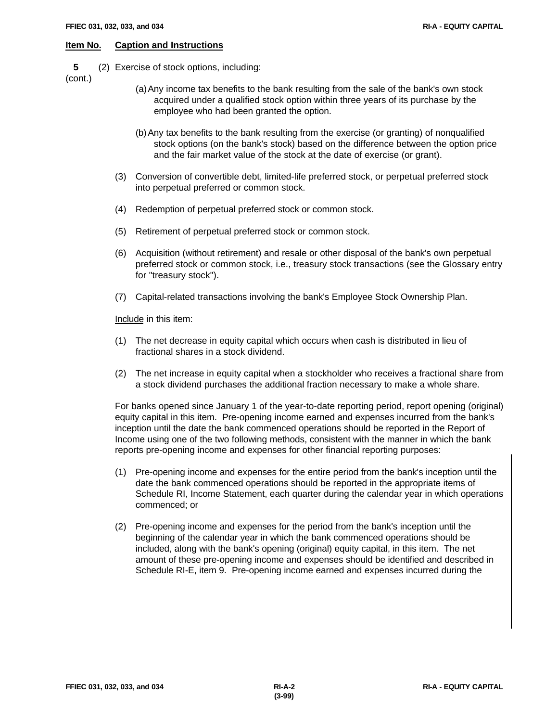**5** (2) Exercise of stock options, including:

(cont.)

- (a)Any income tax benefits to the bank resulting from the sale of the bank's own stock acquired under a qualified stock option within three years of its purchase by the employee who had been granted the option.
- (b)Any tax benefits to the bank resulting from the exercise (or granting) of nonqualified stock options (on the bank's stock) based on the difference between the option price and the fair market value of the stock at the date of exercise (or grant).
- (3) Conversion of convertible debt, limited-life preferred stock, or perpetual preferred stock into perpetual preferred or common stock.
- (4) Redemption of perpetual preferred stock or common stock.
- (5) Retirement of perpetual preferred stock or common stock.
- (6) Acquisition (without retirement) and resale or other disposal of the bank's own perpetual preferred stock or common stock, i.e., treasury stock transactions (see the Glossary entry for "treasury stock").
- (7) Capital-related transactions involving the bank's Employee Stock Ownership Plan.

Include in this item:

- (1) The net decrease in equity capital which occurs when cash is distributed in lieu of fractional shares in a stock dividend.
- (2) The net increase in equity capital when a stockholder who receives a fractional share from a stock dividend purchases the additional fraction necessary to make a whole share.

For banks opened since January 1 of the year-to-date reporting period, report opening (original) equity capital in this item. Pre-opening income earned and expenses incurred from the bank's inception until the date the bank commenced operations should be reported in the Report of Income using one of the two following methods, consistent with the manner in which the bank reports pre-opening income and expenses for other financial reporting purposes:

- (1) Pre-opening income and expenses for the entire period from the bank's inception until the date the bank commenced operations should be reported in the appropriate items of Schedule RI, Income Statement, each quarter during the calendar year in which operations commenced; or
- (2) Pre-opening income and expenses for the period from the bank's inception until the beginning of the calendar year in which the bank commenced operations should be included, along with the bank's opening (original) equity capital, in this item. The net amount of these pre-opening income and expenses should be identified and described in Schedule RI-E, item 9. Pre-opening income earned and expenses incurred during the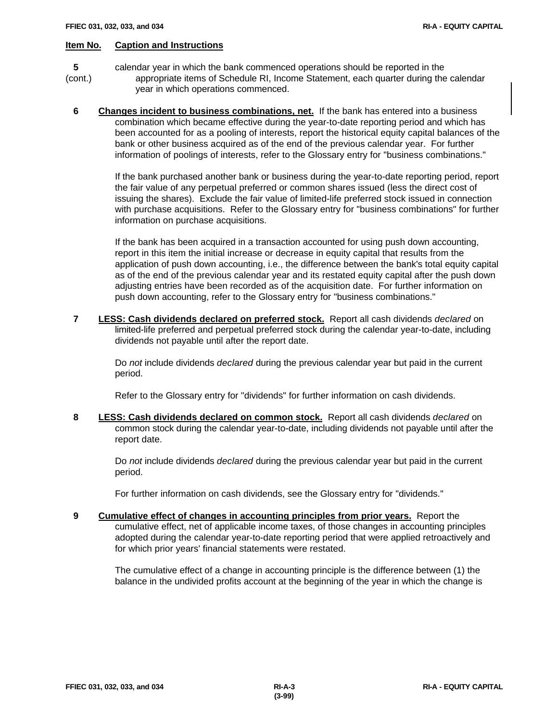- **5** calendar year in which the bank commenced operations should be reported in the (cont.) appropriate items of Schedule RI, Income Statement, each quarter during the calendar year in which operations commenced.
	- **6 Changes incident to business combinations, net.** If the bank has entered into a business combination which became effective during the year-to-date reporting period and which has been accounted for as a pooling of interests, report the historical equity capital balances of the bank or other business acquired as of the end of the previous calendar year. For further information of poolings of interests, refer to the Glossary entry for "business combinations."

If the bank purchased another bank or business during the year-to-date reporting period, report the fair value of any perpetual preferred or common shares issued (less the direct cost of issuing the shares). Exclude the fair value of limited-life preferred stock issued in connection with purchase acquisitions. Refer to the Glossary entry for "business combinations" for further information on purchase acquisitions.

If the bank has been acquired in a transaction accounted for using push down accounting, report in this item the initial increase or decrease in equity capital that results from the application of push down accounting, i.e., the difference between the bank's total equity capital as of the end of the previous calendar year and its restated equity capital after the push down adjusting entries have been recorded as of the acquisition date. For further information on push down accounting, refer to the Glossary entry for "business combinations."

 **7 LESS: Cash dividends declared on preferred stock.** Report all cash dividends *declared* on limited-life preferred and perpetual preferred stock during the calendar year-to-date, including dividends not payable until after the report date.

Do *not* include dividends *declared* during the previous calendar year but paid in the current period.

Refer to the Glossary entry for "dividends" for further information on cash dividends.

 **8 LESS: Cash dividends declared on common stock.** Report all cash dividends *declared* on common stock during the calendar year-to-date, including dividends not payable until after the report date.

Do *not* include dividends *declared* during the previous calendar year but paid in the current period.

For further information on cash dividends, see the Glossary entry for "dividends."

 **9 Cumulative effect of changes in accounting principles from prior years.** Report the cumulative effect, net of applicable income taxes, of those changes in accounting principles adopted during the calendar year-to-date reporting period that were applied retroactively and for which prior years' financial statements were restated.

The cumulative effect of a change in accounting principle is the difference between (1) the balance in the undivided profits account at the beginning of the year in which the change is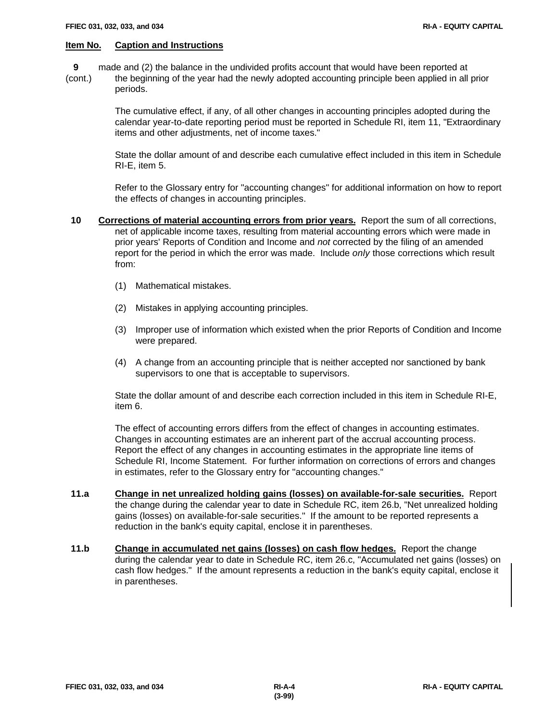- **9** made and (2) the balance in the undivided profits account that would have been reported at
- (cont.) the beginning of the year had the newly adopted accounting principle been applied in all prior periods.

The cumulative effect, if any, of all other changes in accounting principles adopted during the calendar year-to-date reporting period must be reported in Schedule RI, item 11, "Extraordinary items and other adjustments, net of income taxes."

State the dollar amount of and describe each cumulative effect included in this item in Schedule RI-E, item 5.

Refer to the Glossary entry for "accounting changes" for additional information on how to report the effects of changes in accounting principles.

- **10 Corrections of material accounting errors from prior years.** Report the sum of all corrections, net of applicable income taxes, resulting from material accounting errors which were made in prior years' Reports of Condition and Income and *not* corrected by the filing of an amended report for the period in which the error was made. Include *only* those corrections which result from:
	- (1) Mathematical mistakes.
	- (2) Mistakes in applying accounting principles.
	- (3) Improper use of information which existed when the prior Reports of Condition and Income were prepared.
	- (4) A change from an accounting principle that is neither accepted nor sanctioned by bank supervisors to one that is acceptable to supervisors.

State the dollar amount of and describe each correction included in this item in Schedule RI-E, item 6.

The effect of accounting errors differs from the effect of changes in accounting estimates. Changes in accounting estimates are an inherent part of the accrual accounting process. Report the effect of any changes in accounting estimates in the appropriate line items of Schedule RI, Income Statement. For further information on corrections of errors and changes in estimates, refer to the Glossary entry for "accounting changes."

- **11.a Change in net unrealized holding gains (losses) on available-for-sale securities.** Report the change during the calendar year to date in Schedule RC, item 26.b, "Net unrealized holding gains (losses) on available-for-sale securities." If the amount to be reported represents a reduction in the bank's equity capital, enclose it in parentheses.
- **11.b Change in accumulated net gains (losses) on cash flow hedges.** Report the change during the calendar year to date in Schedule RC, item 26.c, "Accumulated net gains (losses) on cash flow hedges." If the amount represents a reduction in the bank's equity capital, enclose it in parentheses.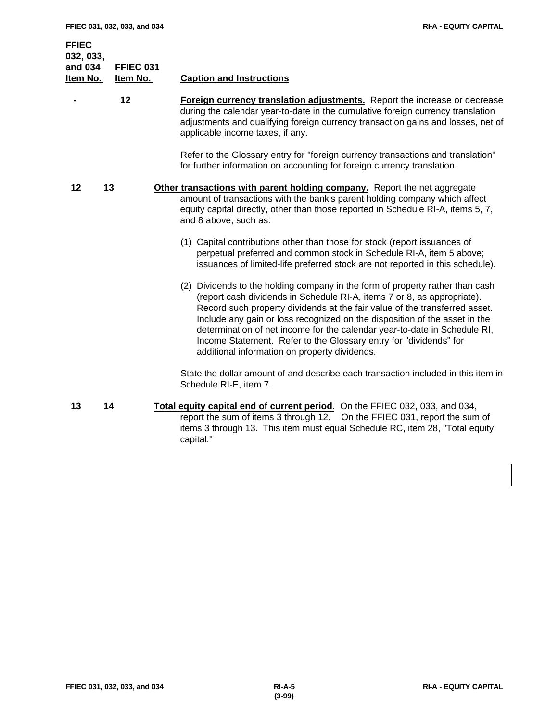**FFIEC 032, 033, and 034 FFIEC 031 Item No. Item No. Caption and Instructions - 12 Foreign currency translation adjustments.** Report the increase or decrease during the calendar year-to-date in the cumulative foreign currency translation adjustments and qualifying foreign currency transaction gains and losses, net of applicable income taxes, if any. Refer to the Glossary entry for "foreign currency transactions and translation" for further information on accounting for foreign currency translation. **12 13 Other transactions with parent holding company.** Report the net aggregate amount of transactions with the bank's parent holding company which affect equity capital directly, other than those reported in Schedule RI-A, items 5, 7, and 8 above, such as: (1) Capital contributions other than those for stock (report issuances of perpetual preferred and common stock in Schedule RI-A, item 5 above; issuances of limited-life preferred stock are not reported in this schedule). (2) Dividends to the holding company in the form of property rather than cash (report cash dividends in Schedule RI-A, items 7 or 8, as appropriate). Record such property dividends at the fair value of the transferred asset. Include any gain or loss recognized on the disposition of the asset in the determination of net income for the calendar year-to-date in Schedule RI, Income Statement. Refer to the Glossary entry for "dividends" for additional information on property dividends. State the dollar amount of and describe each transaction included in this item in Schedule RI-E, item 7.

 **13 14 Total equity capital end of current period.** On the FFIEC 032, 033, and 034, report the sum of items 3 through 12. On the FFIEC 031, report the sum of items 3 through 13. This item must equal Schedule RC, item 28, "Total equity capital."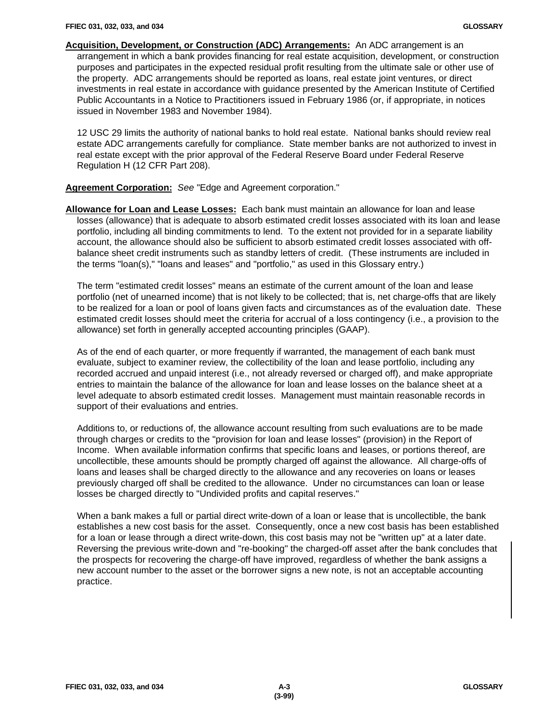**Acquisition, Development, or Construction (ADC) Arrangements:** An ADC arrangement is an arrangement in which a bank provides financing for real estate acquisition, development, or construction purposes and participates in the expected residual profit resulting from the ultimate sale or other use of the property. ADC arrangements should be reported as loans, real estate joint ventures, or direct investments in real estate in accordance with guidance presented by the American Institute of Certified Public Accountants in a Notice to Practitioners issued in February 1986 (or, if appropriate, in notices issued in November 1983 and November 1984).

12 USC 29 limits the authority of national banks to hold real estate. National banks should review real estate ADC arrangements carefully for compliance. State member banks are not authorized to invest in real estate except with the prior approval of the Federal Reserve Board under Federal Reserve Regulation H (12 CFR Part 208).

**Agreement Corporation:** *See* "Edge and Agreement corporation."

**Allowance for Loan and Lease Losses:** Each bank must maintain an allowance for loan and lease losses (allowance) that is adequate to absorb estimated credit losses associated with its loan and lease portfolio, including all binding commitments to lend. To the extent not provided for in a separate liability account, the allowance should also be sufficient to absorb estimated credit losses associated with offbalance sheet credit instruments such as standby letters of credit. (These instruments are included in the terms "loan(s)," "loans and leases" and "portfolio," as used in this Glossary entry.)

The term "estimated credit losses" means an estimate of the current amount of the loan and lease portfolio (net of unearned income) that is not likely to be collected; that is, net charge-offs that are likely to be realized for a loan or pool of loans given facts and circumstances as of the evaluation date. These estimated credit losses should meet the criteria for accrual of a loss contingency (i.e., a provision to the allowance) set forth in generally accepted accounting principles (GAAP).

As of the end of each quarter, or more frequently if warranted, the management of each bank must evaluate, subject to examiner review, the collectibility of the loan and lease portfolio, including any recorded accrued and unpaid interest (i.e., not already reversed or charged off), and make appropriate entries to maintain the balance of the allowance for loan and lease losses on the balance sheet at a level adequate to absorb estimated credit losses. Management must maintain reasonable records in support of their evaluations and entries.

Additions to, or reductions of, the allowance account resulting from such evaluations are to be made through charges or credits to the "provision for loan and lease losses" (provision) in the Report of Income. When available information confirms that specific loans and leases, or portions thereof, are uncollectible, these amounts should be promptly charged off against the allowance. All charge-offs of loans and leases shall be charged directly to the allowance and any recoveries on loans or leases previously charged off shall be credited to the allowance. Under no circumstances can loan or lease losses be charged directly to "Undivided profits and capital reserves."

When a bank makes a full or partial direct write-down of a loan or lease that is uncollectible, the bank establishes a new cost basis for the asset. Consequently, once a new cost basis has been established for a loan or lease through a direct write-down, this cost basis may not be "written up" at a later date. Reversing the previous write-down and "re-booking" the charged-off asset after the bank concludes that the prospects for recovering the charge-off have improved, regardless of whether the bank assigns a new account number to the asset or the borrower signs a new note, is not an acceptable accounting practice.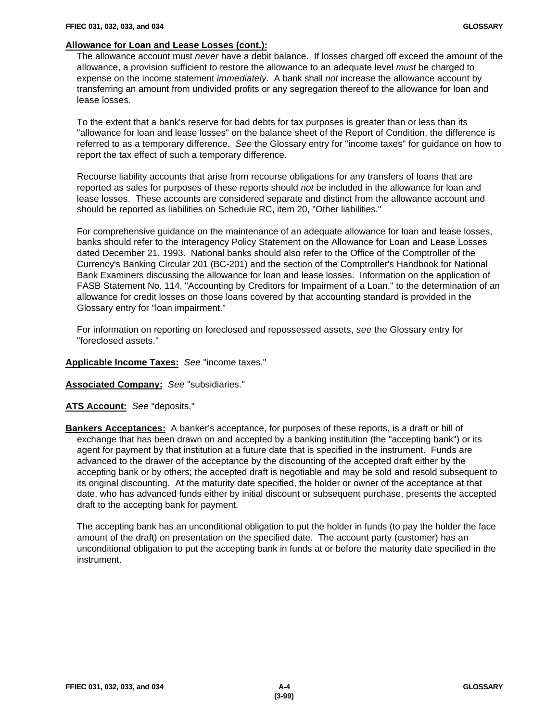## **Allowance for Loan and Lease Losses (cont.):**

The allowance account must *never* have a debit balance. If losses charged off exceed the amount of the allowance, a provision sufficient to restore the allowance to an adequate level *must* be charged to expense on the income statement *immediately*. A bank shall *not* increase the allowance account by transferring an amount from undivided profits or any segregation thereof to the allowance for loan and lease losses.

To the extent that a bank's reserve for bad debts for tax purposes is greater than or less than its "allowance for loan and lease losses" on the balance sheet of the Report of Condition, the difference is referred to as a temporary difference. *See* the Glossary entry for "income taxes" for guidance on how to report the tax effect of such a temporary difference.

Recourse liability accounts that arise from recourse obligations for any transfers of loans that are reported as sales for purposes of these reports should *not* be included in the allowance for loan and lease losses. These accounts are considered separate and distinct from the allowance account and should be reported as liabilities on Schedule RC, item 20, "Other liabilities."

For comprehensive guidance on the maintenance of an adequate allowance for loan and lease losses, banks should refer to the Interagency Policy Statement on the Allowance for Loan and Lease Losses dated December 21, 1993. National banks should also refer to the Office of the Comptroller of the Currency's Banking Circular 201 (BC-201) and the section of the Comptroller's Handbook for National Bank Examiners discussing the allowance for loan and lease losses. Information on the application of FASB Statement No. 114, "Accounting by Creditors for Impairment of a Loan," to the determination of an allowance for credit losses on those loans covered by that accounting standard is provided in the Glossary entry for "loan impairment."

For information on reporting on foreclosed and repossessed assets, *see* the Glossary entry for "foreclosed assets."

#### **Applicable Income Taxes:** *See* "income taxes."

**Associated Company:** *See* "subsidiaries."

**ATS Account:** *See* "deposits."

**Bankers Acceptances:** A banker's acceptance, for purposes of these reports, is a draft or bill of exchange that has been drawn on and accepted by a banking institution (the "accepting bank") or its agent for payment by that institution at a future date that is specified in the instrument. Funds are advanced to the drawer of the acceptance by the discounting of the accepted draft either by the accepting bank or by others; the accepted draft is negotiable and may be sold and resold subsequent to its original discounting. At the maturity date specified, the holder or owner of the acceptance at that date, who has advanced funds either by initial discount or subsequent purchase, presents the accepted draft to the accepting bank for payment.

The accepting bank has an unconditional obligation to put the holder in funds (to pay the holder the face amount of the draft) on presentation on the specified date. The account party (customer) has an unconditional obligation to put the accepting bank in funds at or before the maturity date specified in the instrument.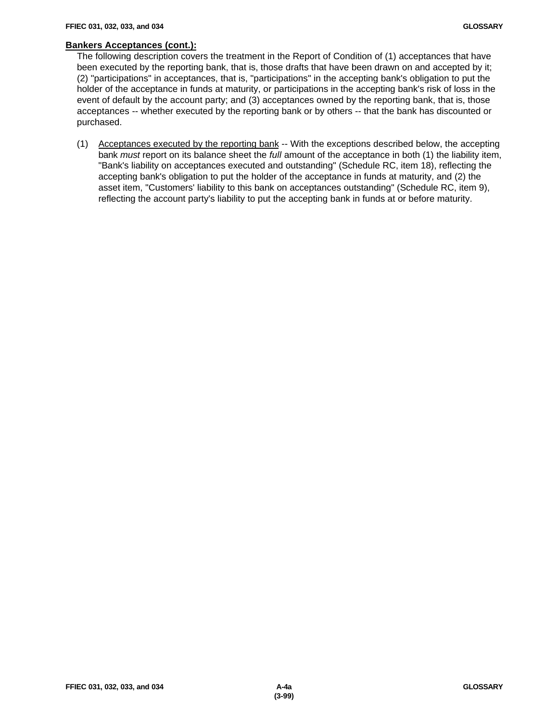#### **Bankers Acceptances (cont.):**

The following description covers the treatment in the Report of Condition of (1) acceptances that have been executed by the reporting bank, that is, those drafts that have been drawn on and accepted by it; (2) "participations" in acceptances, that is, "participations" in the accepting bank's obligation to put the holder of the acceptance in funds at maturity, or participations in the accepting bank's risk of loss in the event of default by the account party; and (3) acceptances owned by the reporting bank, that is, those acceptances -- whether executed by the reporting bank or by others -- that the bank has discounted or purchased.

(1) Acceptances executed by the reporting bank -- With the exceptions described below, the accepting bank *must* report on its balance sheet the *full* amount of the acceptance in both (1) the liability item, "Bank's liability on acceptances executed and outstanding" (Schedule RC, item 18), reflecting the accepting bank's obligation to put the holder of the acceptance in funds at maturity, and (2) the asset item, "Customers' liability to this bank on acceptances outstanding" (Schedule RC, item 9), reflecting the account party's liability to put the accepting bank in funds at or before maturity.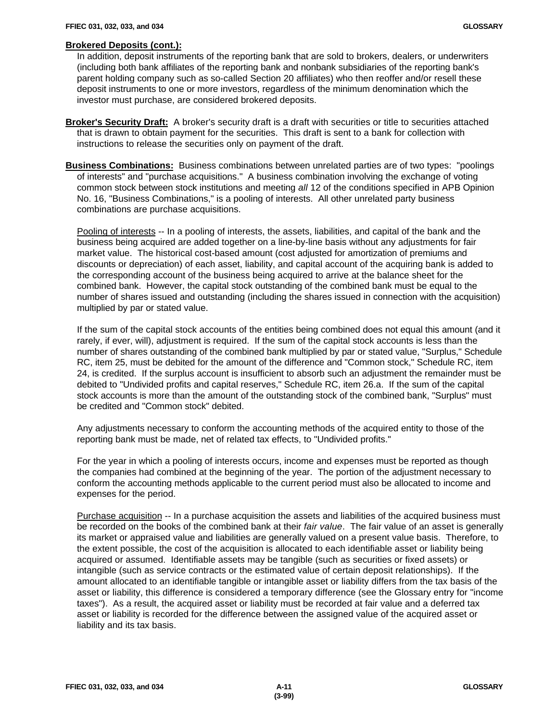#### **Brokered Deposits (cont.):**

In addition, deposit instruments of the reporting bank that are sold to brokers, dealers, or underwriters (including both bank affiliates of the reporting bank and nonbank subsidiaries of the reporting bank's parent holding company such as so-called Section 20 affiliates) who then reoffer and/or resell these deposit instruments to one or more investors, regardless of the minimum denomination which the investor must purchase, are considered brokered deposits.

- **Broker's Security Draft:** A broker's security draft is a draft with securities or title to securities attached that is drawn to obtain payment for the securities. This draft is sent to a bank for collection with instructions to release the securities only on payment of the draft.
- **Business Combinations:** Business combinations between unrelated parties are of two types: "poolings of interests" and "purchase acquisitions." A business combination involving the exchange of voting common stock between stock institutions and meeting *all* 12 of the conditions specified in APB Opinion No. 16, "Business Combinations," is a pooling of interests. All other unrelated party business combinations are purchase acquisitions.

Pooling of interests -- In a pooling of interests, the assets, liabilities, and capital of the bank and the business being acquired are added together on a line-by-line basis without any adjustments for fair market value. The historical cost-based amount (cost adjusted for amortization of premiums and discounts or depreciation) of each asset, liability, and capital account of the acquiring bank is added to the corresponding account of the business being acquired to arrive at the balance sheet for the combined bank. However, the capital stock outstanding of the combined bank must be equal to the number of shares issued and outstanding (including the shares issued in connection with the acquisition) multiplied by par or stated value.

If the sum of the capital stock accounts of the entities being combined does not equal this amount (and it rarely, if ever, will), adjustment is required. If the sum of the capital stock accounts is less than the number of shares outstanding of the combined bank multiplied by par or stated value, "Surplus," Schedule RC, item 25, must be debited for the amount of the difference and "Common stock," Schedule RC, item 24, is credited. If the surplus account is insufficient to absorb such an adjustment the remainder must be debited to "Undivided profits and capital reserves," Schedule RC, item 26.a. If the sum of the capital stock accounts is more than the amount of the outstanding stock of the combined bank, "Surplus" must be credited and "Common stock" debited.

Any adjustments necessary to conform the accounting methods of the acquired entity to those of the reporting bank must be made, net of related tax effects, to "Undivided profits."

For the year in which a pooling of interests occurs, income and expenses must be reported as though the companies had combined at the beginning of the year. The portion of the adjustment necessary to conform the accounting methods applicable to the current period must also be allocated to income and expenses for the period.

Purchase acquisition -- In a purchase acquisition the assets and liabilities of the acquired business must be recorded on the books of the combined bank at their *fair value*. The fair value of an asset is generally its market or appraised value and liabilities are generally valued on a present value basis. Therefore, to the extent possible, the cost of the acquisition is allocated to each identifiable asset or liability being acquired or assumed. Identifiable assets may be tangible (such as securities or fixed assets) or intangible (such as service contracts or the estimated value of certain deposit relationships). If the amount allocated to an identifiable tangible or intangible asset or liability differs from the tax basis of the asset or liability, this difference is considered a temporary difference (see the Glossary entry for "income taxes"). As a result, the acquired asset or liability must be recorded at fair value and a deferred tax asset or liability is recorded for the difference between the assigned value of the acquired asset or liability and its tax basis.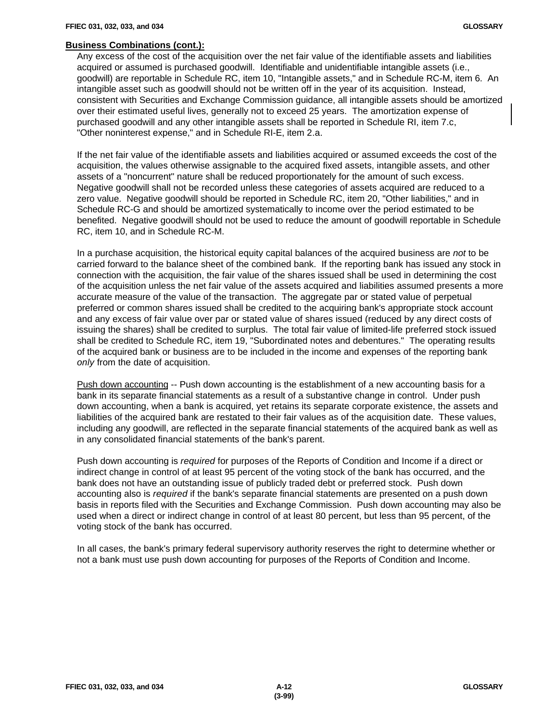# **Business Combinations (cont.):**

Any excess of the cost of the acquisition over the net fair value of the identifiable assets and liabilities acquired or assumed is purchased goodwill. Identifiable and unidentifiable intangible assets (i.e., goodwill) are reportable in Schedule RC, item 10, "Intangible assets," and in Schedule RC-M, item 6. An intangible asset such as goodwill should not be written off in the year of its acquisition. Instead, consistent with Securities and Exchange Commission guidance, all intangible assets should be amortized over their estimated useful lives, generally not to exceed 25 years. The amortization expense of purchased goodwill and any other intangible assets shall be reported in Schedule RI, item 7.c, "Other noninterest expense," and in Schedule RI-E, item 2.a.

If the net fair value of the identifiable assets and liabilities acquired or assumed exceeds the cost of the acquisition, the values otherwise assignable to the acquired fixed assets, intangible assets, and other assets of a "noncurrent" nature shall be reduced proportionately for the amount of such excess. Negative goodwill shall not be recorded unless these categories of assets acquired are reduced to a zero value. Negative goodwill should be reported in Schedule RC, item 20, "Other liabilities," and in Schedule RC-G and should be amortized systematically to income over the period estimated to be benefited. Negative goodwill should not be used to reduce the amount of goodwill reportable in Schedule RC, item 10, and in Schedule RC-M.

In a purchase acquisition, the historical equity capital balances of the acquired business are *not* to be carried forward to the balance sheet of the combined bank. If the reporting bank has issued any stock in connection with the acquisition, the fair value of the shares issued shall be used in determining the cost of the acquisition unless the net fair value of the assets acquired and liabilities assumed presents a more accurate measure of the value of the transaction. The aggregate par or stated value of perpetual preferred or common shares issued shall be credited to the acquiring bank's appropriate stock account and any excess of fair value over par or stated value of shares issued (reduced by any direct costs of issuing the shares) shall be credited to surplus. The total fair value of limited-life preferred stock issued shall be credited to Schedule RC, item 19, "Subordinated notes and debentures." The operating results of the acquired bank or business are to be included in the income and expenses of the reporting bank *only* from the date of acquisition.

Push down accounting -- Push down accounting is the establishment of a new accounting basis for a bank in its separate financial statements as a result of a substantive change in control. Under push down accounting, when a bank is acquired, yet retains its separate corporate existence, the assets and liabilities of the acquired bank are restated to their fair values as of the acquisition date. These values, including any goodwill, are reflected in the separate financial statements of the acquired bank as well as in any consolidated financial statements of the bank's parent.

Push down accounting is *required* for purposes of the Reports of Condition and Income if a direct or indirect change in control of at least 95 percent of the voting stock of the bank has occurred, and the bank does not have an outstanding issue of publicly traded debt or preferred stock. Push down accounting also is *required* if the bank's separate financial statements are presented on a push down basis in reports filed with the Securities and Exchange Commission. Push down accounting may also be used when a direct or indirect change in control of at least 80 percent, but less than 95 percent, of the voting stock of the bank has occurred.

In all cases, the bank's primary federal supervisory authority reserves the right to determine whether or not a bank must use push down accounting for purposes of the Reports of Condition and Income.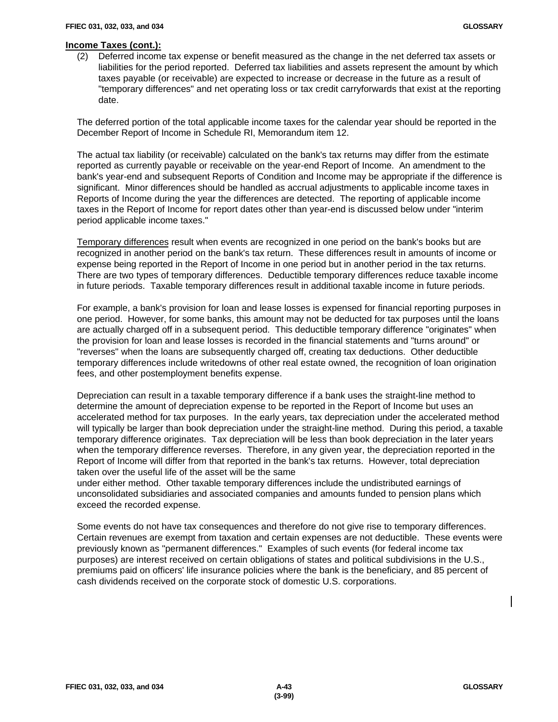(2) Deferred income tax expense or benefit measured as the change in the net deferred tax assets or liabilities for the period reported. Deferred tax liabilities and assets represent the amount by which taxes payable (or receivable) are expected to increase or decrease in the future as a result of "temporary differences" and net operating loss or tax credit carryforwards that exist at the reporting date.

The deferred portion of the total applicable income taxes for the calendar year should be reported in the December Report of Income in Schedule RI, Memorandum item 12.

The actual tax liability (or receivable) calculated on the bank's tax returns may differ from the estimate reported as currently payable or receivable on the year-end Report of Income. An amendment to the bank's year-end and subsequent Reports of Condition and Income may be appropriate if the difference is significant. Minor differences should be handled as accrual adjustments to applicable income taxes in Reports of Income during the year the differences are detected. The reporting of applicable income taxes in the Report of Income for report dates other than year-end is discussed below under "interim period applicable income taxes."

Temporary differences result when events are recognized in one period on the bank's books but are recognized in another period on the bank's tax return. These differences result in amounts of income or expense being reported in the Report of Income in one period but in another period in the tax returns. There are two types of temporary differences. Deductible temporary differences reduce taxable income in future periods. Taxable temporary differences result in additional taxable income in future periods.

For example, a bank's provision for loan and lease losses is expensed for financial reporting purposes in one period. However, for some banks, this amount may not be deducted for tax purposes until the loans are actually charged off in a subsequent period. This deductible temporary difference "originates" when the provision for loan and lease losses is recorded in the financial statements and "turns around" or "reverses" when the loans are subsequently charged off, creating tax deductions. Other deductible temporary differences include writedowns of other real estate owned, the recognition of loan origination fees, and other postemployment benefits expense.

Depreciation can result in a taxable temporary difference if a bank uses the straight-line method to determine the amount of depreciation expense to be reported in the Report of Income but uses an accelerated method for tax purposes. In the early years, tax depreciation under the accelerated method will typically be larger than book depreciation under the straight-line method. During this period, a taxable temporary difference originates. Tax depreciation will be less than book depreciation in the later years when the temporary difference reverses. Therefore, in any given year, the depreciation reported in the Report of Income will differ from that reported in the bank's tax returns. However, total depreciation taken over the useful life of the asset will be the same

under either method. Other taxable temporary differences include the undistributed earnings of unconsolidated subsidiaries and associated companies and amounts funded to pension plans which exceed the recorded expense.

Some events do not have tax consequences and therefore do not give rise to temporary differences. Certain revenues are exempt from taxation and certain expenses are not deductible. These events were previously known as "permanent differences." Examples of such events (for federal income tax purposes) are interest received on certain obligations of states and political subdivisions in the U.S., premiums paid on officers' life insurance policies where the bank is the beneficiary, and 85 percent of cash dividends received on the corporate stock of domestic U.S. corporations.

 $\mathsf{l}$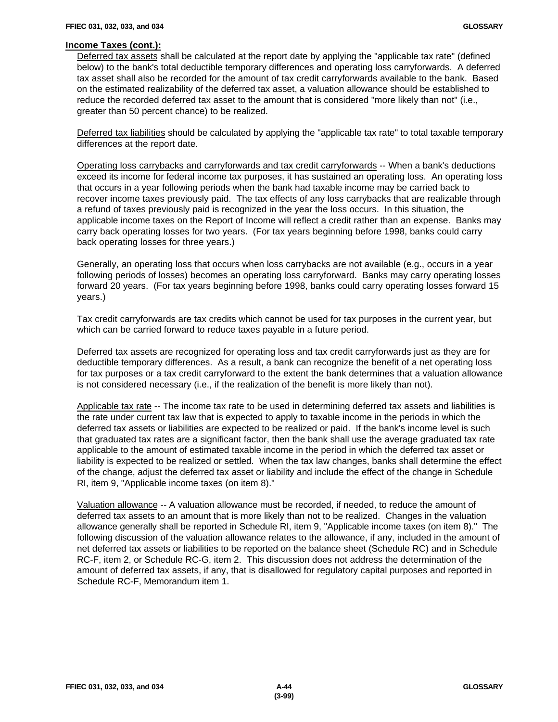Deferred tax assets shall be calculated at the report date by applying the "applicable tax rate" (defined below) to the bank's total deductible temporary differences and operating loss carryforwards. A deferred tax asset shall also be recorded for the amount of tax credit carryforwards available to the bank. Based on the estimated realizability of the deferred tax asset, a valuation allowance should be established to reduce the recorded deferred tax asset to the amount that is considered "more likely than not" (i.e., greater than 50 percent chance) to be realized.

Deferred tax liabilities should be calculated by applying the "applicable tax rate" to total taxable temporary differences at the report date.

Operating loss carrybacks and carryforwards and tax credit carryforwards -- When a bank's deductions exceed its income for federal income tax purposes, it has sustained an operating loss. An operating loss that occurs in a year following periods when the bank had taxable income may be carried back to recover income taxes previously paid. The tax effects of any loss carrybacks that are realizable through a refund of taxes previously paid is recognized in the year the loss occurs. In this situation, the applicable income taxes on the Report of Income will reflect a credit rather than an expense. Banks may carry back operating losses for two years. (For tax years beginning before 1998, banks could carry back operating losses for three years.)

Generally, an operating loss that occurs when loss carrybacks are not available (e.g., occurs in a year following periods of losses) becomes an operating loss carryforward. Banks may carry operating losses forward 20 years. (For tax years beginning before 1998, banks could carry operating losses forward 15 years.)

Tax credit carryforwards are tax credits which cannot be used for tax purposes in the current year, but which can be carried forward to reduce taxes payable in a future period.

Deferred tax assets are recognized for operating loss and tax credit carryforwards just as they are for deductible temporary differences. As a result, a bank can recognize the benefit of a net operating loss for tax purposes or a tax credit carryforward to the extent the bank determines that a valuation allowance is not considered necessary (i.e., if the realization of the benefit is more likely than not).

Applicable tax rate -- The income tax rate to be used in determining deferred tax assets and liabilities is the rate under current tax law that is expected to apply to taxable income in the periods in which the deferred tax assets or liabilities are expected to be realized or paid. If the bank's income level is such that graduated tax rates are a significant factor, then the bank shall use the average graduated tax rate applicable to the amount of estimated taxable income in the period in which the deferred tax asset or liability is expected to be realized or settled. When the tax law changes, banks shall determine the effect of the change, adjust the deferred tax asset or liability and include the effect of the change in Schedule RI, item 9, "Applicable income taxes (on item 8)."

Valuation allowance -- A valuation allowance must be recorded, if needed, to reduce the amount of deferred tax assets to an amount that is more likely than not to be realized. Changes in the valuation allowance generally shall be reported in Schedule RI, item 9, "Applicable income taxes (on item 8)." The following discussion of the valuation allowance relates to the allowance, if any, included in the amount of net deferred tax assets or liabilities to be reported on the balance sheet (Schedule RC) and in Schedule RC-F, item 2, or Schedule RC-G, item 2. This discussion does not address the determination of the amount of deferred tax assets, if any, that is disallowed for regulatory capital purposes and reported in Schedule RC-F, Memorandum item 1.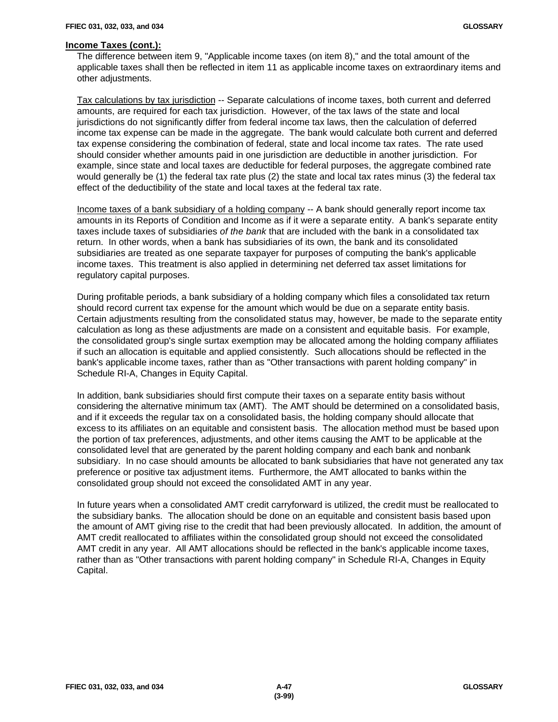The difference between item 9, "Applicable income taxes (on item 8)," and the total amount of the applicable taxes shall then be reflected in item 11 as applicable income taxes on extraordinary items and other adjustments.

Tax calculations by tax jurisdiction -- Separate calculations of income taxes, both current and deferred amounts, are required for each tax jurisdiction. However, of the tax laws of the state and local jurisdictions do not significantly differ from federal income tax laws, then the calculation of deferred income tax expense can be made in the aggregate. The bank would calculate both current and deferred tax expense considering the combination of federal, state and local income tax rates. The rate used should consider whether amounts paid in one jurisdiction are deductible in another jurisdiction. For example, since state and local taxes are deductible for federal purposes, the aggregate combined rate would generally be (1) the federal tax rate plus (2) the state and local tax rates minus (3) the federal tax effect of the deductibility of the state and local taxes at the federal tax rate.

Income taxes of a bank subsidiary of a holding company -- A bank should generally report income tax amounts in its Reports of Condition and Income as if it were a separate entity. A bank's separate entity taxes include taxes of subsidiaries *of the bank* that are included with the bank in a consolidated tax return. In other words, when a bank has subsidiaries of its own, the bank and its consolidated subsidiaries are treated as one separate taxpayer for purposes of computing the bank's applicable income taxes. This treatment is also applied in determining net deferred tax asset limitations for regulatory capital purposes.

During profitable periods, a bank subsidiary of a holding company which files a consolidated tax return should record current tax expense for the amount which would be due on a separate entity basis. Certain adjustments resulting from the consolidated status may, however, be made to the separate entity calculation as long as these adjustments are made on a consistent and equitable basis. For example, the consolidated group's single surtax exemption may be allocated among the holding company affiliates if such an allocation is equitable and applied consistently. Such allocations should be reflected in the bank's applicable income taxes, rather than as "Other transactions with parent holding company" in Schedule RI-A, Changes in Equity Capital.

In addition, bank subsidiaries should first compute their taxes on a separate entity basis without considering the alternative minimum tax (AMT). The AMT should be determined on a consolidated basis, and if it exceeds the regular tax on a consolidated basis, the holding company should allocate that excess to its affiliates on an equitable and consistent basis. The allocation method must be based upon the portion of tax preferences, adjustments, and other items causing the AMT to be applicable at the consolidated level that are generated by the parent holding company and each bank and nonbank subsidiary. In no case should amounts be allocated to bank subsidiaries that have not generated any tax preference or positive tax adjustment items. Furthermore, the AMT allocated to banks within the consolidated group should not exceed the consolidated AMT in any year.

In future years when a consolidated AMT credit carryforward is utilized, the credit must be reallocated to the subsidiary banks. The allocation should be done on an equitable and consistent basis based upon the amount of AMT giving rise to the credit that had been previously allocated. In addition, the amount of AMT credit reallocated to affiliates within the consolidated group should not exceed the consolidated AMT credit in any year. All AMT allocations should be reflected in the bank's applicable income taxes, rather than as "Other transactions with parent holding company" in Schedule RI-A, Changes in Equity Capital.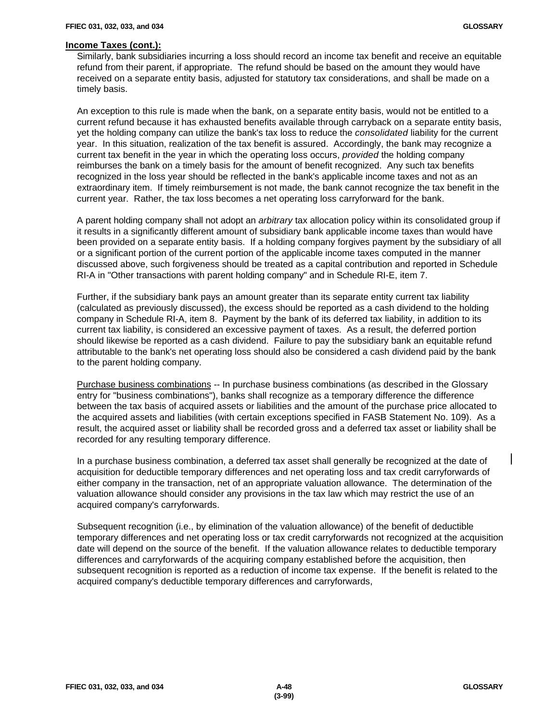Similarly, bank subsidiaries incurring a loss should record an income tax benefit and receive an equitable refund from their parent, if appropriate. The refund should be based on the amount they would have received on a separate entity basis, adjusted for statutory tax considerations, and shall be made on a timely basis.

An exception to this rule is made when the bank, on a separate entity basis, would not be entitled to a current refund because it has exhausted benefits available through carryback on a separate entity basis, yet the holding company can utilize the bank's tax loss to reduce the *consolidated* liability for the current year. In this situation, realization of the tax benefit is assured. Accordingly, the bank may recognize a current tax benefit in the year in which the operating loss occurs, *provided* the holding company reimburses the bank on a timely basis for the amount of benefit recognized. Any such tax benefits recognized in the loss year should be reflected in the bank's applicable income taxes and not as an extraordinary item. If timely reimbursement is not made, the bank cannot recognize the tax benefit in the current year. Rather, the tax loss becomes a net operating loss carryforward for the bank.

A parent holding company shall not adopt an *arbitrary* tax allocation policy within its consolidated group if it results in a significantly different amount of subsidiary bank applicable income taxes than would have been provided on a separate entity basis. If a holding company forgives payment by the subsidiary of all or a significant portion of the current portion of the applicable income taxes computed in the manner discussed above, such forgiveness should be treated as a capital contribution and reported in Schedule RI-A in "Other transactions with parent holding company" and in Schedule RI-E, item 7.

Further, if the subsidiary bank pays an amount greater than its separate entity current tax liability (calculated as previously discussed), the excess should be reported as a cash dividend to the holding company in Schedule RI-A, item 8. Payment by the bank of its deferred tax liability, in addition to its current tax liability, is considered an excessive payment of taxes. As a result, the deferred portion should likewise be reported as a cash dividend. Failure to pay the subsidiary bank an equitable refund attributable to the bank's net operating loss should also be considered a cash dividend paid by the bank to the parent holding company.

Purchase business combinations -- In purchase business combinations (as described in the Glossary entry for "business combinations"), banks shall recognize as a temporary difference the difference between the tax basis of acquired assets or liabilities and the amount of the purchase price allocated to the acquired assets and liabilities (with certain exceptions specified in FASB Statement No. 109). As a result, the acquired asset or liability shall be recorded gross and a deferred tax asset or liability shall be recorded for any resulting temporary difference.

In a purchase business combination, a deferred tax asset shall generally be recognized at the date of acquisition for deductible temporary differences and net operating loss and tax credit carryforwards of either company in the transaction, net of an appropriate valuation allowance. The determination of the valuation allowance should consider any provisions in the tax law which may restrict the use of an acquired company's carryforwards.

Subsequent recognition (i.e., by elimination of the valuation allowance) of the benefit of deductible temporary differences and net operating loss or tax credit carryforwards not recognized at the acquisition date will depend on the source of the benefit. If the valuation allowance relates to deductible temporary differences and carryforwards of the acquiring company established before the acquisition, then subsequent recognition is reported as a reduction of income tax expense. If the benefit is related to the acquired company's deductible temporary differences and carryforwards,

 $\mathbf l$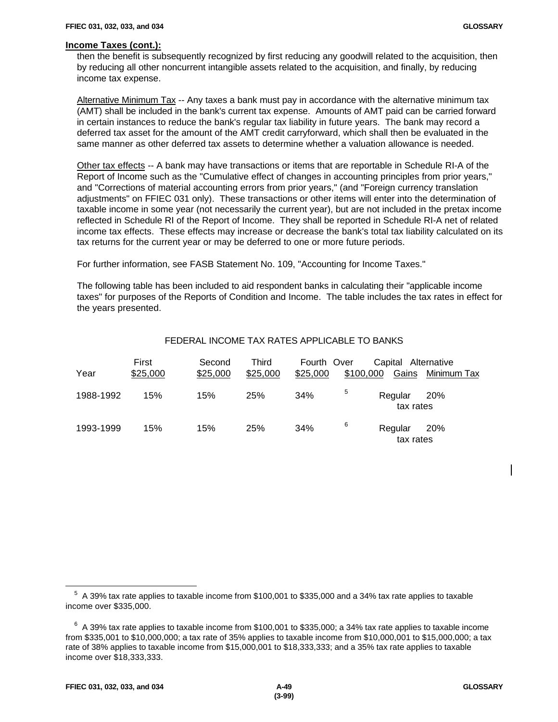then the benefit is subsequently recognized by first reducing any goodwill related to the acquisition, then by reducing all other noncurrent intangible assets related to the acquisition, and finally, by reducing income tax expense.

Alternative Minimum Tax -- Any taxes a bank must pay in accordance with the alternative minimum tax (AMT) shall be included in the bank's current tax expense. Amounts of AMT paid can be carried forward in certain instances to reduce the bank's regular tax liability in future years. The bank may record a deferred tax asset for the amount of the AMT credit carryforward, which shall then be evaluated in the same manner as other deferred tax assets to determine whether a valuation allowance is needed.

Other tax effects -- A bank may have transactions or items that are reportable in Schedule RI-A of the Report of Income such as the "Cumulative effect of changes in accounting principles from prior years," and "Corrections of material accounting errors from prior years," (and "Foreign currency translation adjustments" on FFIEC 031 only). These transactions or other items will enter into the determination of taxable income in some year (not necessarily the current year), but are not included in the pretax income reflected in Schedule RI of the Report of Income. They shall be reported in Schedule RI-A net of related income tax effects. These effects may increase or decrease the bank's total tax liability calculated on its tax returns for the current year or may be deferred to one or more future periods.

For further information, see FASB Statement No. 109, "Accounting for Income Taxes."

The following table has been included to aid respondent banks in calculating their "applicable income taxes" for purposes of the Reports of Condition and Income. The table includes the tax rates in effect for the years presented.

| Year      | First<br>\$25,000 | Second<br>\$25,000 | Third<br>\$25,000 | Fourth Over<br>\$25,000 | \$100,000 | Capital Alternative<br>Gains | Minimum Tax |
|-----------|-------------------|--------------------|-------------------|-------------------------|-----------|------------------------------|-------------|
| 1988-1992 | 15%               | 15%                | 25%               | 34%                     | 5         | Regular<br>tax rates         | 20%         |
| 1993-1999 | 15%               | 15%                | 25%               | 34%                     | 6         | Regular<br>tax rates         | 20%         |

# FEDERAL INCOME TAX RATES APPLICABLE TO BANKS

 $\overline{a}$ 

 $\mathbf l$ 

 $^5$  A 39% tax rate applies to taxable income from \$100,001 to \$335,000 and a 34% tax rate applies to taxable income over \$335,000.

 $^6$  A 39% tax rate applies to taxable income from \$100,001 to \$335,000; a 34% tax rate applies to taxable income from \$335,001 to \$10,000,000; a tax rate of 35% applies to taxable income from \$10,000,001 to \$15,000,000; a tax rate of 38% applies to taxable income from \$15,000,001 to \$18,333,333; and a 35% tax rate applies to taxable income over \$18,333,333.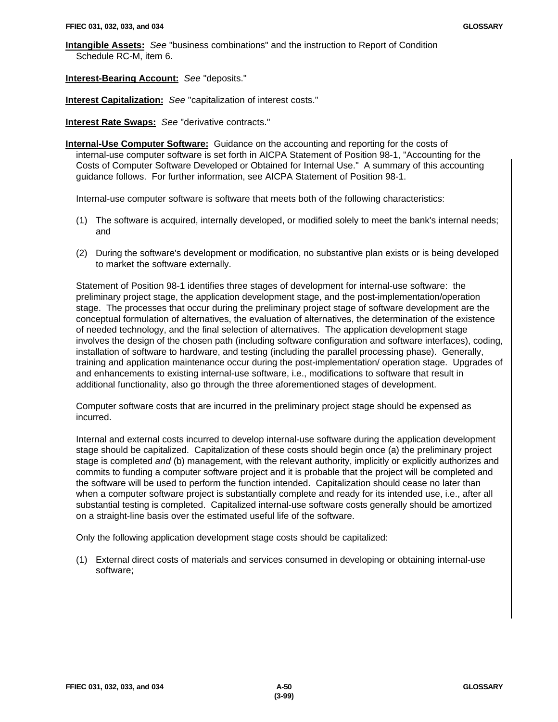**Intangible Assets:** *See* "business combinations" and the instruction to Report of Condition Schedule RC-M, item 6.

**Interest-Bearing Account:** *See* "deposits."

**Interest Capitalization:** *See* "capitalization of interest costs."

**Interest Rate Swaps:** *See* "derivative contracts."

**Internal-Use Computer Software:** Guidance on the accounting and reporting for the costs of internal-use computer software is set forth in AICPA Statement of Position 98-1, "Accounting for the Costs of Computer Software Developed or Obtained for Internal Use." A summary of this accounting guidance follows. For further information, see AICPA Statement of Position 98-1.

Internal-use computer software is software that meets both of the following characteristics:

- (1) The software is acquired, internally developed, or modified solely to meet the bank's internal needs; and
- (2) During the software's development or modification, no substantive plan exists or is being developed to market the software externally.

Statement of Position 98-1 identifies three stages of development for internal-use software: the preliminary project stage, the application development stage, and the post-implementation/operation stage. The processes that occur during the preliminary project stage of software development are the conceptual formulation of alternatives, the evaluation of alternatives, the determination of the existence of needed technology, and the final selection of alternatives. The application development stage involves the design of the chosen path (including software configuration and software interfaces), coding, installation of software to hardware, and testing (including the parallel processing phase). Generally, training and application maintenance occur during the post-implementation/ operation stage. Upgrades of and enhancements to existing internal-use software, i.e., modifications to software that result in additional functionality, also go through the three aforementioned stages of development.

Computer software costs that are incurred in the preliminary project stage should be expensed as incurred.

Internal and external costs incurred to develop internal-use software during the application development stage should be capitalized. Capitalization of these costs should begin once (a) the preliminary project stage is completed *and* (b) management, with the relevant authority, implicitly or explicitly authorizes and commits to funding a computer software project and it is probable that the project will be completed and the software will be used to perform the function intended. Capitalization should cease no later than when a computer software project is substantially complete and ready for its intended use, i.e., after all substantial testing is completed. Capitalized internal-use software costs generally should be amortized on a straight-line basis over the estimated useful life of the software.

Only the following application development stage costs should be capitalized:

(1) External direct costs of materials and services consumed in developing or obtaining internal-use software;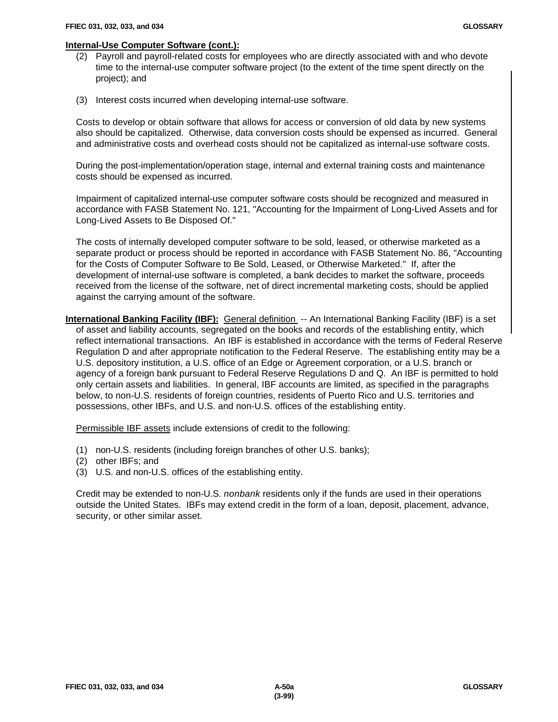#### **Internal-Use Computer Software (cont.):**

- (2) Payroll and payroll-related costs for employees who are directly associated with and who devote time to the internal-use computer software project (to the extent of the time spent directly on the project); and
- (3) Interest costs incurred when developing internal-use software.

Costs to develop or obtain software that allows for access or conversion of old data by new systems also should be capitalized. Otherwise, data conversion costs should be expensed as incurred. General and administrative costs and overhead costs should not be capitalized as internal-use software costs.

During the post-implementation/operation stage, internal and external training costs and maintenance costs should be expensed as incurred.

Impairment of capitalized internal-use computer software costs should be recognized and measured in accordance with FASB Statement No. 121, "Accounting for the Impairment of Long-Lived Assets and for Long-Lived Assets to Be Disposed Of."

The costs of internally developed computer software to be sold, leased, or otherwise marketed as a separate product or process should be reported in accordance with FASB Statement No. 86, "Accounting for the Costs of Computer Software to Be Sold, Leased, or Otherwise Marketed." If, after the development of internal-use software is completed, a bank decides to market the software, proceeds received from the license of the software, net of direct incremental marketing costs, should be applied against the carrying amount of the software.

**International Banking Facility (IBF):** General definition -- An International Banking Facility (IBF) is a set of asset and liability accounts, segregated on the books and records of the establishing entity, which reflect international transactions. An IBF is established in accordance with the terms of Federal Reserve Regulation D and after appropriate notification to the Federal Reserve. The establishing entity may be a U.S. depository institution, a U.S. office of an Edge or Agreement corporation, or a U.S. branch or agency of a foreign bank pursuant to Federal Reserve Regulations D and Q. An IBF is permitted to hold only certain assets and liabilities. In general, IBF accounts are limited, as specified in the paragraphs below, to non-U.S. residents of foreign countries, residents of Puerto Rico and U.S. territories and possessions, other IBFs, and U.S. and non-U.S. offices of the establishing entity.

Permissible IBF assets include extensions of credit to the following:

- (1) non-U.S. residents (including foreign branches of other U.S. banks);
- (2) other IBFs; and
- (3) U.S. and non-U.S. offices of the establishing entity.

Credit may be extended to non-U.S. *nonbank* residents only if the funds are used in their operations outside the United States. IBFs may extend credit in the form of a loan, deposit, placement, advance, security, or other similar asset.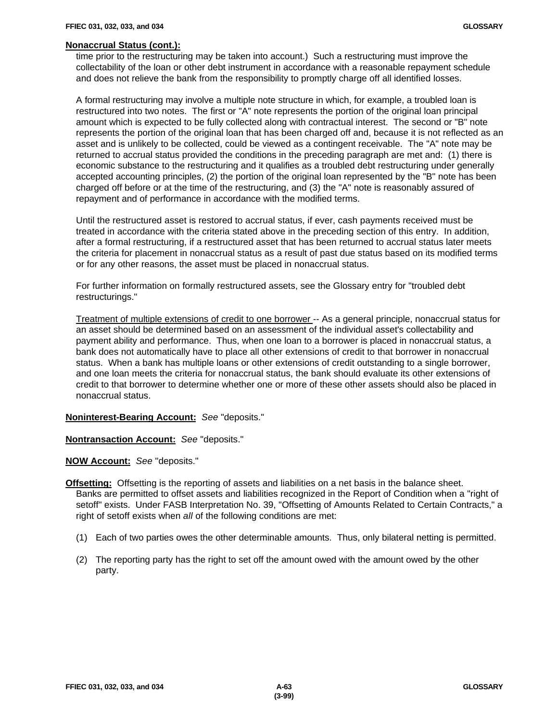#### **Nonaccrual Status (cont.):**

time prior to the restructuring may be taken into account.) Such a restructuring must improve the collectability of the loan or other debt instrument in accordance with a reasonable repayment schedule and does not relieve the bank from the responsibility to promptly charge off all identified losses.

A formal restructuring may involve a multiple note structure in which, for example, a troubled loan is restructured into two notes. The first or "A" note represents the portion of the original loan principal amount which is expected to be fully collected along with contractual interest. The second or "B" note represents the portion of the original loan that has been charged off and, because it is not reflected as an asset and is unlikely to be collected, could be viewed as a contingent receivable. The "A" note may be returned to accrual status provided the conditions in the preceding paragraph are met and: (1) there is economic substance to the restructuring and it qualifies as a troubled debt restructuring under generally accepted accounting principles, (2) the portion of the original loan represented by the "B" note has been charged off before or at the time of the restructuring, and (3) the "A" note is reasonably assured of repayment and of performance in accordance with the modified terms.

Until the restructured asset is restored to accrual status, if ever, cash payments received must be treated in accordance with the criteria stated above in the preceding section of this entry. In addition, after a formal restructuring, if a restructured asset that has been returned to accrual status later meets the criteria for placement in nonaccrual status as a result of past due status based on its modified terms or for any other reasons, the asset must be placed in nonaccrual status.

For further information on formally restructured assets, see the Glossary entry for "troubled debt restructurings."

Treatment of multiple extensions of credit to one borrower -- As a general principle, nonaccrual status for an asset should be determined based on an assessment of the individual asset's collectability and payment ability and performance. Thus, when one loan to a borrower is placed in nonaccrual status, a bank does not automatically have to place all other extensions of credit to that borrower in nonaccrual status. When a bank has multiple loans or other extensions of credit outstanding to a single borrower, and one loan meets the criteria for nonaccrual status, the bank should evaluate its other extensions of credit to that borrower to determine whether one or more of these other assets should also be placed in nonaccrual status.

**Noninterest-Bearing Account:** *See* "deposits."

**Nontransaction Account:** *See* "deposits."

**NOW Account:** *See* "deposits."

**Offsetting:** Offsetting is the reporting of assets and liabilities on a net basis in the balance sheet. Banks are permitted to offset assets and liabilities recognized in the Report of Condition when a "right of setoff" exists. Under FASB Interpretation No. 39, "Offsetting of Amounts Related to Certain Contracts," a right of setoff exists when *all* of the following conditions are met:

- (1) Each of two parties owes the other determinable amounts. Thus, only bilateral netting is permitted.
- (2) The reporting party has the right to set off the amount owed with the amount owed by the other party.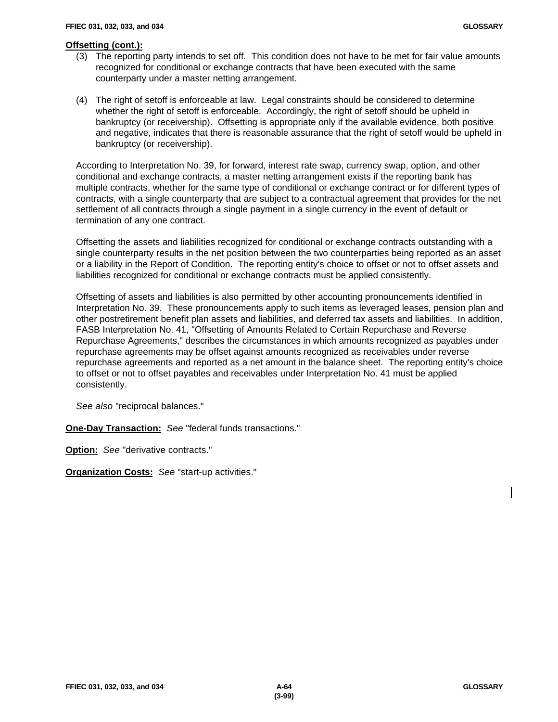# **Offsetting (cont.):**

- (3) The reporting party intends to set off. This condition does not have to be met for fair value amounts recognized for conditional or exchange contracts that have been executed with the same counterparty under a master netting arrangement.
- (4) The right of setoff is enforceable at law. Legal constraints should be considered to determine whether the right of setoff is enforceable. Accordingly, the right of setoff should be upheld in bankruptcy (or receivership). Offsetting is appropriate only if the available evidence, both positive and negative, indicates that there is reasonable assurance that the right of setoff would be upheld in bankruptcy (or receivership).

According to Interpretation No. 39, for forward, interest rate swap, currency swap, option, and other conditional and exchange contracts, a master netting arrangement exists if the reporting bank has multiple contracts, whether for the same type of conditional or exchange contract or for different types of contracts, with a single counterparty that are subject to a contractual agreement that provides for the net settlement of all contracts through a single payment in a single currency in the event of default or termination of any one contract.

Offsetting the assets and liabilities recognized for conditional or exchange contracts outstanding with a single counterparty results in the net position between the two counterparties being reported as an asset or a liability in the Report of Condition. The reporting entity's choice to offset or not to offset assets and liabilities recognized for conditional or exchange contracts must be applied consistently.

Offsetting of assets and liabilities is also permitted by other accounting pronouncements identified in Interpretation No. 39. These pronouncements apply to such items as leveraged leases, pension plan and other postretirement benefit plan assets and liabilities, and deferred tax assets and liabilities. In addition, FASB Interpretation No. 41, "Offsetting of Amounts Related to Certain Repurchase and Reverse Repurchase Agreements," describes the circumstances in which amounts recognized as payables under repurchase agreements may be offset against amounts recognized as receivables under reverse repurchase agreements and reported as a net amount in the balance sheet. The reporting entity's choice to offset or not to offset payables and receivables under Interpretation No. 41 must be applied consistently.

*See also* "reciprocal balances."

**One-Day Transaction:** *See* "federal funds transactions."

**Option:** *See* "derivative contracts."

**Organization Costs:** *See* "start-up activities."

 $\mathsf{l}$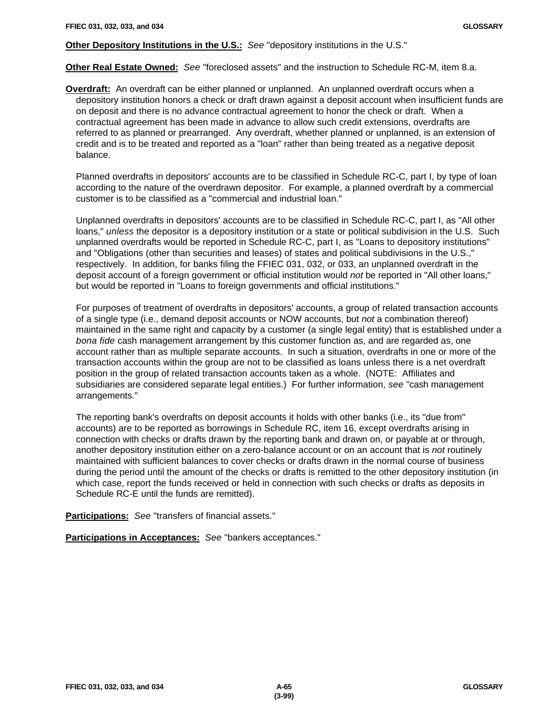### **Other Depository Institutions in the U.S.:** *See* "depository institutions in the U.S."

**Other Real Estate Owned:** *See* "foreclosed assets" and the instruction to Schedule RC-M, item 8.a.

**Overdraft:** An overdraft can be either planned or unplanned. An unplanned overdraft occurs when a depository institution honors a check or draft drawn against a deposit account when insufficient funds are on deposit and there is no advance contractual agreement to honor the check or draft. When a contractual agreement has been made in advance to allow such credit extensions, overdrafts are referred to as planned or prearranged. Any overdraft, whether planned or unplanned, is an extension of credit and is to be treated and reported as a "loan" rather than being treated as a negative deposit balance.

Planned overdrafts in depositors' accounts are to be classified in Schedule RC-C, part I, by type of loan according to the nature of the overdrawn depositor. For example, a planned overdraft by a commercial customer is to be classified as a "commercial and industrial loan."

Unplanned overdrafts in depositors' accounts are to be classified in Schedule RC-C, part I, as "All other loans," *unless* the depositor is a depository institution or a state or political subdivision in the U.S. Such unplanned overdrafts would be reported in Schedule RC-C, part I, as "Loans to depository institutions" and "Obligations (other than securities and leases) of states and political subdivisions in the U.S.," respectively. In addition, for banks filing the FFIEC 031, 032, or 033, an unplanned overdraft in the deposit account of a foreign government or official institution would *not* be reported in "All other loans," but would be reported in "Loans to foreign governments and official institutions."

For purposes of treatment of overdrafts in depositors' accounts, a group of related transaction accounts of a single type (i.e., demand deposit accounts or NOW accounts, but *not* a combination thereof) maintained in the same right and capacity by a customer (a single legal entity) that is established under a *bona fide* cash management arrangement by this customer function as, and are regarded as, one account rather than as multiple separate accounts. In such a situation, overdrafts in one or more of the transaction accounts within the group are not to be classified as loans unless there is a net overdraft position in the group of related transaction accounts taken as a whole. (NOTE: Affiliates and subsidiaries are considered separate legal entities.) For further information, *see* "cash management arrangements."

The reporting bank's overdrafts on deposit accounts it holds with other banks (i.e., its "due from" accounts) are to be reported as borrowings in Schedule RC, item 16, except overdrafts arising in connection with checks or drafts drawn by the reporting bank and drawn on, or payable at or through, another depository institution either on a zero-balance account or on an account that is *not* routinely maintained with sufficient balances to cover checks or drafts drawn in the normal course of business during the period until the amount of the checks or drafts is remitted to the other depository institution (in which case, report the funds received or held in connection with such checks or drafts as deposits in Schedule RC-E until the funds are remitted).

**Participations:** *See* "transfers of financial assets."

**Participations in Acceptances:** *See* "bankers acceptances."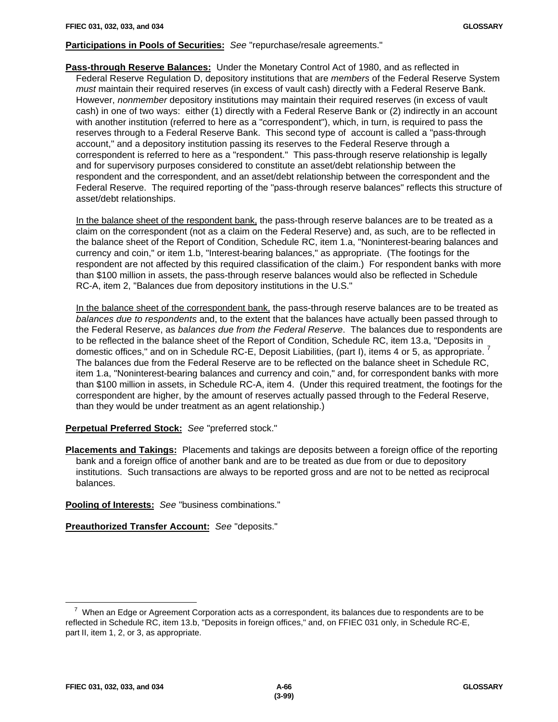# **Participations in Pools of Securities:** *See* "repurchase/resale agreements."

**Pass-through Reserve Balances:** Under the Monetary Control Act of 1980, and as reflected in Federal Reserve Regulation D, depository institutions that are *members* of the Federal Reserve System *must* maintain their required reserves (in excess of vault cash) directly with a Federal Reserve Bank. However, *nonmember* depository institutions may maintain their required reserves (in excess of vault cash) in one of two ways: either (1) directly with a Federal Reserve Bank or (2) indirectly in an account with another institution (referred to here as a "correspondent"), which, in turn, is required to pass the reserves through to a Federal Reserve Bank. This second type of account is called a "pass-through account," and a depository institution passing its reserves to the Federal Reserve through a correspondent is referred to here as a "respondent." This pass-through reserve relationship is legally and for supervisory purposes considered to constitute an asset/debt relationship between the respondent and the correspondent, and an asset/debt relationship between the correspondent and the Federal Reserve. The required reporting of the "pass-through reserve balances" reflects this structure of asset/debt relationships.

In the balance sheet of the respondent bank, the pass-through reserve balances are to be treated as a claim on the correspondent (not as a claim on the Federal Reserve) and, as such, are to be reflected in the balance sheet of the Report of Condition, Schedule RC, item 1.a, "Noninterest-bearing balances and currency and coin," or item 1.b, "Interest-bearing balances," as appropriate. (The footings for the respondent are not affected by this required classification of the claim.) For respondent banks with more than \$100 million in assets, the pass-through reserve balances would also be reflected in Schedule RC-A, item 2, "Balances due from depository institutions in the U.S."

In the balance sheet of the correspondent bank, the pass-through reserve balances are to be treated as *balances due to respondents* and, to the extent that the balances have actually been passed through to the Federal Reserve, as *balances due from the Federal Reserve*. The balances due to respondents are to be reflected in the balance sheet of the Report of Condition, Schedule RC, item 13.a, "Deposits in domestic offices," and on in Schedule RC-E, Deposit Liabilities, (part I), items 4 or 5, as appropriate.<sup>7</sup> The balances due from the Federal Reserve are to be reflected on the balance sheet in Schedule RC, item 1.a, "Noninterest-bearing balances and currency and coin," and, for correspondent banks with more than \$100 million in assets, in Schedule RC-A, item 4. (Under this required treatment, the footings for the correspondent are higher, by the amount of reserves actually passed through to the Federal Reserve, than they would be under treatment as an agent relationship.)

**Perpetual Preferred Stock:** *See* "preferred stock."

**Placements and Takings:** Placements and takings are deposits between a foreign office of the reporting bank and a foreign office of another bank and are to be treated as due from or due to depository institutions. Such transactions are always to be reported gross and are not to be netted as reciprocal balances.

**Pooling of Interests:** *See* "business combinations."

**Preauthorized Transfer Account:** *See* "deposits."

 $\overline{a}$ 

 $^7$  When an Edge or Agreement Corporation acts as a correspondent, its balances due to respondents are to be reflected in Schedule RC, item 13.b, "Deposits in foreign offices," and, on FFIEC 031 only, in Schedule RC-E, part II, item 1, 2, or 3, as appropriate.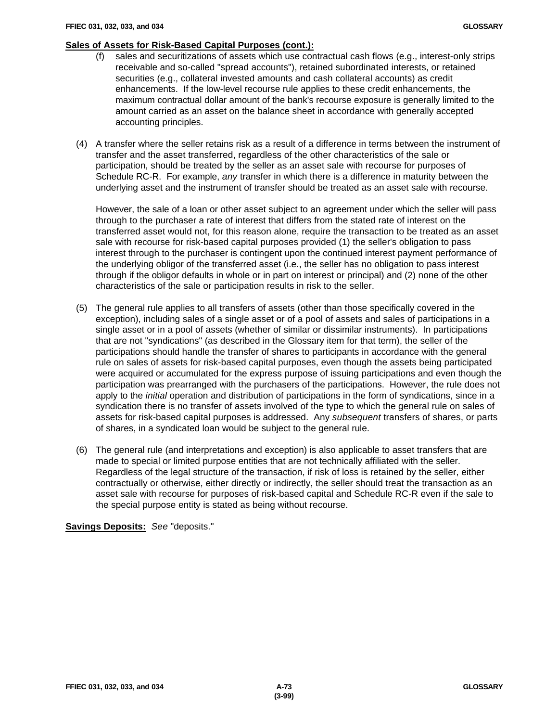# **Sales of Assets for Risk-Based Capital Purposes (cont.):**

- (f) sales and securitizations of assets which use contractual cash flows (e.g., interest-only strips receivable and so-called "spread accounts"), retained subordinated interests, or retained securities (e.g., collateral invested amounts and cash collateral accounts) as credit enhancements. If the low-level recourse rule applies to these credit enhancements, the maximum contractual dollar amount of the bank's recourse exposure is generally limited to the amount carried as an asset on the balance sheet in accordance with generally accepted accounting principles.
- (4) A transfer where the seller retains risk as a result of a difference in terms between the instrument of transfer and the asset transferred, regardless of the other characteristics of the sale or participation, should be treated by the seller as an asset sale with recourse for purposes of Schedule RC-R. For example, *any* transfer in which there is a difference in maturity between the underlying asset and the instrument of transfer should be treated as an asset sale with recourse.

However, the sale of a loan or other asset subject to an agreement under which the seller will pass through to the purchaser a rate of interest that differs from the stated rate of interest on the transferred asset would not, for this reason alone, require the transaction to be treated as an asset sale with recourse for risk-based capital purposes provided (1) the seller's obligation to pass interest through to the purchaser is contingent upon the continued interest payment performance of the underlying obligor of the transferred asset (i.e., the seller has no obligation to pass interest through if the obligor defaults in whole or in part on interest or principal) and (2) none of the other characteristics of the sale or participation results in risk to the seller.

- (5) The general rule applies to all transfers of assets (other than those specifically covered in the exception), including sales of a single asset or of a pool of assets and sales of participations in a single asset or in a pool of assets (whether of similar or dissimilar instruments). In participations that are not "syndications" (as described in the Glossary item for that term), the seller of the participations should handle the transfer of shares to participants in accordance with the general rule on sales of assets for risk-based capital purposes, even though the assets being participated were acquired or accumulated for the express purpose of issuing participations and even though the participation was prearranged with the purchasers of the participations. However, the rule does not apply to the *initial* operation and distribution of participations in the form of syndications, since in a syndication there is no transfer of assets involved of the type to which the general rule on sales of assets for risk-based capital purposes is addressed. Any *subsequent* transfers of shares, or parts of shares, in a syndicated loan would be subject to the general rule.
- (6) The general rule (and interpretations and exception) is also applicable to asset transfers that are made to special or limited purpose entities that are not technically affiliated with the seller. Regardless of the legal structure of the transaction, if risk of loss is retained by the seller, either contractually or otherwise, either directly or indirectly, the seller should treat the transaction as an asset sale with recourse for purposes of risk-based capital and Schedule RC-R even if the sale to the special purpose entity is stated as being without recourse.

# **Savings Deposits:** *See* "deposits."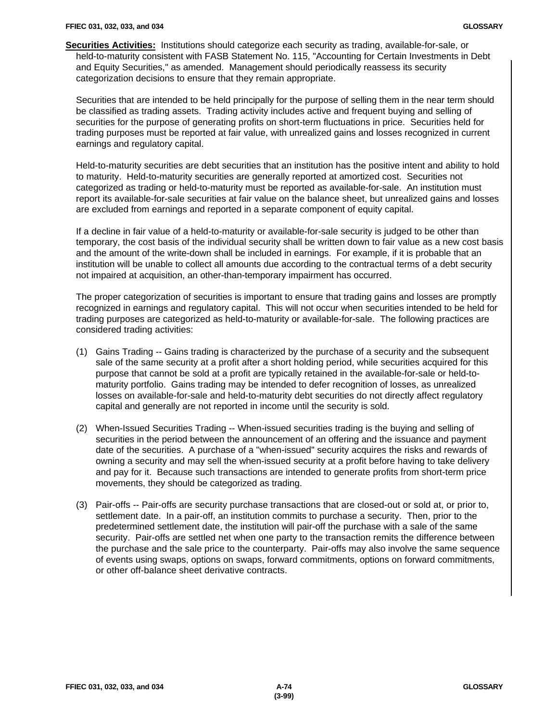**Securities Activities:** Institutions should categorize each security as trading, available-for-sale, or held-to-maturity consistent with FASB Statement No. 115, "Accounting for Certain Investments in Debt and Equity Securities," as amended. Management should periodically reassess its security categorization decisions to ensure that they remain appropriate.

Securities that are intended to be held principally for the purpose of selling them in the near term should be classified as trading assets. Trading activity includes active and frequent buying and selling of securities for the purpose of generating profits on short-term fluctuations in price. Securities held for trading purposes must be reported at fair value, with unrealized gains and losses recognized in current earnings and regulatory capital.

Held-to-maturity securities are debt securities that an institution has the positive intent and ability to hold to maturity. Held-to-maturity securities are generally reported at amortized cost. Securities not categorized as trading or held-to-maturity must be reported as available-for-sale. An institution must report its available-for-sale securities at fair value on the balance sheet, but unrealized gains and losses are excluded from earnings and reported in a separate component of equity capital.

If a decline in fair value of a held-to-maturity or available-for-sale security is judged to be other than temporary, the cost basis of the individual security shall be written down to fair value as a new cost basis and the amount of the write-down shall be included in earnings. For example, if it is probable that an institution will be unable to collect all amounts due according to the contractual terms of a debt security not impaired at acquisition, an other-than-temporary impairment has occurred.

The proper categorization of securities is important to ensure that trading gains and losses are promptly recognized in earnings and regulatory capital. This will not occur when securities intended to be held for trading purposes are categorized as held-to-maturity or available-for-sale. The following practices are considered trading activities:

- (1) Gains Trading -- Gains trading is characterized by the purchase of a security and the subsequent sale of the same security at a profit after a short holding period, while securities acquired for this purpose that cannot be sold at a profit are typically retained in the available-for-sale or held-tomaturity portfolio. Gains trading may be intended to defer recognition of losses, as unrealized losses on available-for-sale and held-to-maturity debt securities do not directly affect regulatory capital and generally are not reported in income until the security is sold.
- (2) When-Issued Securities Trading -- When-issued securities trading is the buying and selling of securities in the period between the announcement of an offering and the issuance and payment date of the securities. A purchase of a "when-issued" security acquires the risks and rewards of owning a security and may sell the when-issued security at a profit before having to take delivery and pay for it. Because such transactions are intended to generate profits from short-term price movements, they should be categorized as trading.
- (3) Pair-offs -- Pair-offs are security purchase transactions that are closed-out or sold at, or prior to, settlement date. In a pair-off, an institution commits to purchase a security. Then, prior to the predetermined settlement date, the institution will pair-off the purchase with a sale of the same security. Pair-offs are settled net when one party to the transaction remits the difference between the purchase and the sale price to the counterparty. Pair-offs may also involve the same sequence of events using swaps, options on swaps, forward commitments, options on forward commitments, or other off-balance sheet derivative contracts.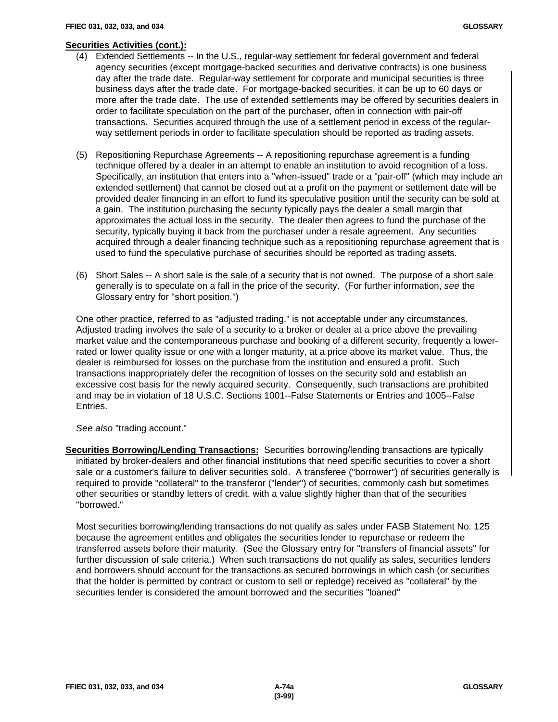#### **Securities Activities (cont.):**

- (4) Extended Settlements -- In the U.S., regular-way settlement for federal government and federal agency securities (except mortgage-backed securities and derivative contracts) is one business day after the trade date. Regular-way settlement for corporate and municipal securities is three business days after the trade date. For mortgage-backed securities, it can be up to 60 days or more after the trade date. The use of extended settlements may be offered by securities dealers in order to facilitate speculation on the part of the purchaser, often in connection with pair-off transactions. Securities acquired through the use of a settlement period in excess of the regularway settlement periods in order to facilitate speculation should be reported as trading assets.
- (5) Repositioning Repurchase Agreements -- A repositioning repurchase agreement is a funding technique offered by a dealer in an attempt to enable an institution to avoid recognition of a loss. Specifically, an institution that enters into a "when-issued" trade or a "pair-off" (which may include an extended settlement) that cannot be closed out at a profit on the payment or settlement date will be provided dealer financing in an effort to fund its speculative position until the security can be sold at a gain. The institution purchasing the security typically pays the dealer a small margin that approximates the actual loss in the security. The dealer then agrees to fund the purchase of the security, typically buying it back from the purchaser under a resale agreement. Any securities acquired through a dealer financing technique such as a repositioning repurchase agreement that is used to fund the speculative purchase of securities should be reported as trading assets.
- (6) Short Sales -- A short sale is the sale of a security that is not owned. The purpose of a short sale generally is to speculate on a fall in the price of the security. (For further information, *see* the Glossary entry for "short position.")

One other practice, referred to as "adjusted trading," is not acceptable under any circumstances. Adjusted trading involves the sale of a security to a broker or dealer at a price above the prevailing market value and the contemporaneous purchase and booking of a different security, frequently a lowerrated or lower quality issue or one with a longer maturity, at a price above its market value. Thus, the dealer is reimbursed for losses on the purchase from the institution and ensured a profit. Such transactions inappropriately defer the recognition of losses on the security sold and establish an excessive cost basis for the newly acquired security. Consequently, such transactions are prohibited and may be in violation of 18 U.S.C. Sections 1001--False Statements or Entries and 1005--False Entries.

*See also* "trading account."

**Securities Borrowing/Lending Transactions:** Securities borrowing/lending transactions are typically initiated by broker-dealers and other financial institutions that need specific securities to cover a short sale or a customer's failure to deliver securities sold. A transferee ("borrower") of securities generally is required to provide "collateral" to the transferor ("lender") of securities, commonly cash but sometimes other securities or standby letters of credit, with a value slightly higher than that of the securities "borrowed."

Most securities borrowing/lending transactions do not qualify as sales under FASB Statement No. 125 because the agreement entitles and obligates the securities lender to repurchase or redeem the transferred assets before their maturity. (See the Glossary entry for "transfers of financial assets" for further discussion of sale criteria.) When such transactions do not qualify as sales, securities lenders and borrowers should account for the transactions as secured borrowings in which cash (or securities that the holder is permitted by contract or custom to sell or repledge) received as "collateral" by the securities lender is considered the amount borrowed and the securities "loaned"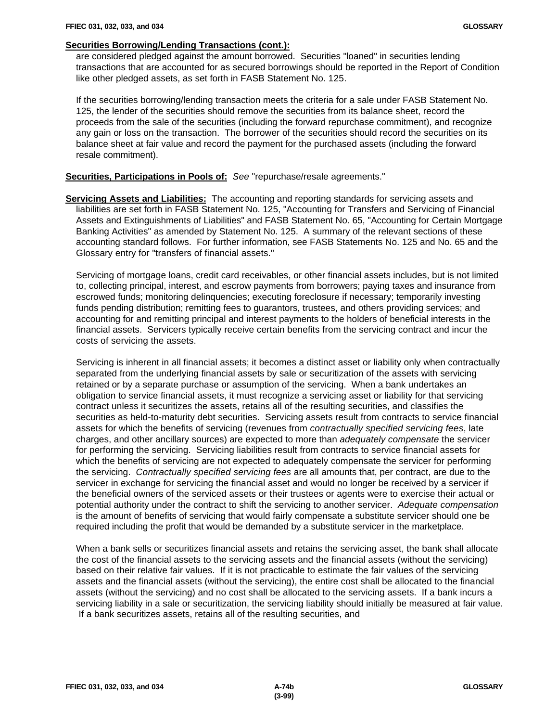# **Securities Borrowing/Lending Transactions (cont.):**

are considered pledged against the amount borrowed. Securities "loaned" in securities lending transactions that are accounted for as secured borrowings should be reported in the Report of Condition like other pledged assets, as set forth in FASB Statement No. 125.

If the securities borrowing/lending transaction meets the criteria for a sale under FASB Statement No. 125, the lender of the securities should remove the securities from its balance sheet, record the proceeds from the sale of the securities (including the forward repurchase commitment), and recognize any gain or loss on the transaction. The borrower of the securities should record the securities on its balance sheet at fair value and record the payment for the purchased assets (including the forward resale commitment).

## **Securities, Participations in Pools of:** *See* "repurchase/resale agreements."

**Servicing Assets and Liabilities:** The accounting and reporting standards for servicing assets and liabilities are set forth in FASB Statement No. 125, "Accounting for Transfers and Servicing of Financial Assets and Extinguishments of Liabilities" and FASB Statement No. 65, "Accounting for Certain Mortgage Banking Activities" as amended by Statement No. 125. A summary of the relevant sections of these accounting standard follows. For further information, see FASB Statements No. 125 and No. 65 and the Glossary entry for "transfers of financial assets."

Servicing of mortgage loans, credit card receivables, or other financial assets includes, but is not limited to, collecting principal, interest, and escrow payments from borrowers; paying taxes and insurance from escrowed funds; monitoring delinquencies; executing foreclosure if necessary; temporarily investing funds pending distribution; remitting fees to guarantors, trustees, and others providing services; and accounting for and remitting principal and interest payments to the holders of beneficial interests in the financial assets. Servicers typically receive certain benefits from the servicing contract and incur the costs of servicing the assets.

Servicing is inherent in all financial assets; it becomes a distinct asset or liability only when contractually separated from the underlying financial assets by sale or securitization of the assets with servicing retained or by a separate purchase or assumption of the servicing. When a bank undertakes an obligation to service financial assets, it must recognize a servicing asset or liability for that servicing contract unless it securitizes the assets, retains all of the resulting securities, and classifies the securities as held-to-maturity debt securities. Servicing assets result from contracts to service financial assets for which the benefits of servicing (revenues from *contractually specified servicing fees*, late charges, and other ancillary sources) are expected to more than *adequately compensate* the servicer for performing the servicing. Servicing liabilities result from contracts to service financial assets for which the benefits of servicing are not expected to adequately compensate the servicer for performing the servicing. *Contractually specified servicing fees* are all amounts that, per contract, are due to the servicer in exchange for servicing the financial asset and would no longer be received by a servicer if the beneficial owners of the serviced assets or their trustees or agents were to exercise their actual or potential authority under the contract to shift the servicing to another servicer. *Adequate compensation* is the amount of benefits of servicing that would fairly compensate a substitute servicer should one be required including the profit that would be demanded by a substitute servicer in the marketplace.

When a bank sells or securitizes financial assets and retains the servicing asset, the bank shall allocate the cost of the financial assets to the servicing assets and the financial assets (without the servicing) based on their relative fair values. If it is not practicable to estimate the fair values of the servicing assets and the financial assets (without the servicing), the entire cost shall be allocated to the financial assets (without the servicing) and no cost shall be allocated to the servicing assets. If a bank incurs a servicing liability in a sale or securitization, the servicing liability should initially be measured at fair value. If a bank securitizes assets, retains all of the resulting securities, and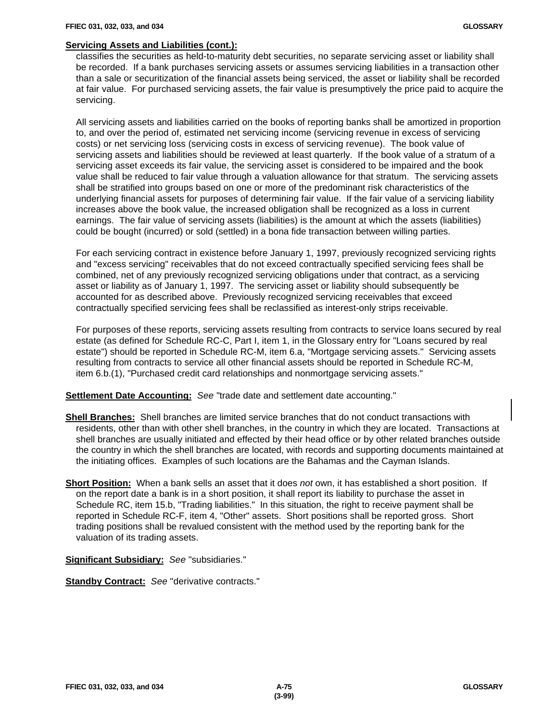#### **Servicing Assets and Liabilities (cont.):**

classifies the securities as held-to-maturity debt securities, no separate servicing asset or liability shall be recorded. If a bank purchases servicing assets or assumes servicing liabilities in a transaction other than a sale or securitization of the financial assets being serviced, the asset or liability shall be recorded at fair value. For purchased servicing assets, the fair value is presumptively the price paid to acquire the servicing.

All servicing assets and liabilities carried on the books of reporting banks shall be amortized in proportion to, and over the period of, estimated net servicing income (servicing revenue in excess of servicing costs) or net servicing loss (servicing costs in excess of servicing revenue). The book value of servicing assets and liabilities should be reviewed at least quarterly. If the book value of a stratum of a servicing asset exceeds its fair value, the servicing asset is considered to be impaired and the book value shall be reduced to fair value through a valuation allowance for that stratum. The servicing assets shall be stratified into groups based on one or more of the predominant risk characteristics of the underlying financial assets for purposes of determining fair value. If the fair value of a servicing liability increases above the book value, the increased obligation shall be recognized as a loss in current earnings. The fair value of servicing assets (liabilities) is the amount at which the assets (liabilities) could be bought (incurred) or sold (settled) in a bona fide transaction between willing parties.

For each servicing contract in existence before January 1, 1997, previously recognized servicing rights and "excess servicing" receivables that do not exceed contractually specified servicing fees shall be combined, net of any previously recognized servicing obligations under that contract, as a servicing asset or liability as of January 1, 1997. The servicing asset or liability should subsequently be accounted for as described above. Previously recognized servicing receivables that exceed contractually specified servicing fees shall be reclassified as interest-only strips receivable.

For purposes of these reports, servicing assets resulting from contracts to service loans secured by real estate (as defined for Schedule RC-C, Part I, item 1, in the Glossary entry for "Loans secured by real estate") should be reported in Schedule RC-M, item 6.a, "Mortgage servicing assets." Servicing assets resulting from contracts to service all other financial assets should be reported in Schedule RC-M, item 6.b.(1), "Purchased credit card relationships and nonmortgage servicing assets."

**Settlement Date Accounting:** *See* "trade date and settlement date accounting."

- **Shell Branches:** Shell branches are limited service branches that do not conduct transactions with residents, other than with other shell branches, in the country in which they are located. Transactions at shell branches are usually initiated and effected by their head office or by other related branches outside the country in which the shell branches are located, with records and supporting documents maintained at the initiating offices. Examples of such locations are the Bahamas and the Cayman Islands.
- **Short Position:** When a bank sells an asset that it does *not* own, it has established a short position. If on the report date a bank is in a short position, it shall report its liability to purchase the asset in Schedule RC, item 15.b, "Trading liabilities." In this situation, the right to receive payment shall be reported in Schedule RC-F, item 4, "Other" assets. Short positions shall be reported gross. Short trading positions shall be revalued consistent with the method used by the reporting bank for the valuation of its trading assets.

**Significant Subsidiary:** *See* "subsidiaries."

**Standby Contract:** *See* "derivative contracts."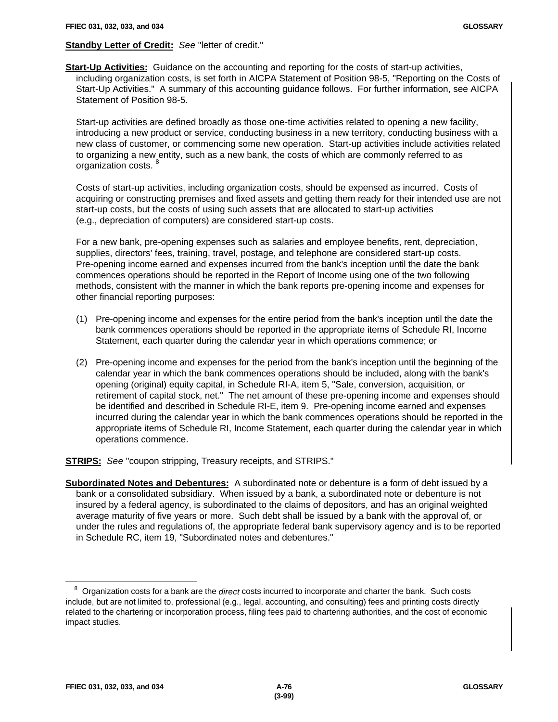# **Standby Letter of Credit:** *See* "letter of credit."

**Start-Up Activities:** Guidance on the accounting and reporting for the costs of start-up activities, including organization costs, is set forth in AICPA Statement of Position 98-5, "Reporting on the Costs of Start-Up Activities." A summary of this accounting guidance follows. For further information, see AICPA Statement of Position 98-5.

Start-up activities are defined broadly as those one-time activities related to opening a new facility, introducing a new product or service, conducting business in a new territory, conducting business with a new class of customer, or commencing some new operation. Start-up activities include activities related to organizing a new entity, such as a new bank, the costs of which are commonly referred to as organization costs.<sup>8</sup>

Costs of start-up activities, including organization costs, should be expensed as incurred. Costs of acquiring or constructing premises and fixed assets and getting them ready for their intended use are not start-up costs, but the costs of using such assets that are allocated to start-up activities (e.g., depreciation of computers) are considered start-up costs.

For a new bank, pre-opening expenses such as salaries and employee benefits, rent, depreciation, supplies, directors' fees, training, travel, postage, and telephone are considered start-up costs. Pre-opening income earned and expenses incurred from the bank's inception until the date the bank commences operations should be reported in the Report of Income using one of the two following methods, consistent with the manner in which the bank reports pre-opening income and expenses for other financial reporting purposes:

- (1) Pre-opening income and expenses for the entire period from the bank's inception until the date the bank commences operations should be reported in the appropriate items of Schedule RI, Income Statement, each quarter during the calendar year in which operations commence; or
- (2) Pre-opening income and expenses for the period from the bank's inception until the beginning of the calendar year in which the bank commences operations should be included, along with the bank's opening (original) equity capital, in Schedule RI-A, item 5, "Sale, conversion, acquisition, or retirement of capital stock, net." The net amount of these pre-opening income and expenses should be identified and described in Schedule RI-E, item 9. Pre-opening income earned and expenses incurred during the calendar year in which the bank commences operations should be reported in the appropriate items of Schedule RI, Income Statement, each quarter during the calendar year in which operations commence.

**STRIPS:** *See* "coupon stripping, Treasury receipts, and STRIPS."

**Subordinated Notes and Debentures:** A subordinated note or debenture is a form of debt issued by a bank or a consolidated subsidiary. When issued by a bank, a subordinated note or debenture is not insured by a federal agency, is subordinated to the claims of depositors, and has an original weighted average maturity of five years or more. Such debt shall be issued by a bank with the approval of, or under the rules and regulations of, the appropriate federal bank supervisory agency and is to be reported in Schedule RC, item 19, "Subordinated notes and debentures."

 $\overline{a}$ 

<sup>8</sup> Organization costs for a bank are the *direct* costs incurred to incorporate and charter the bank. Such costs include, but are not limited to, professional (e.g., legal, accounting, and consulting) fees and printing costs directly related to the chartering or incorporation process, filing fees paid to chartering authorities, and the cost of economic impact studies.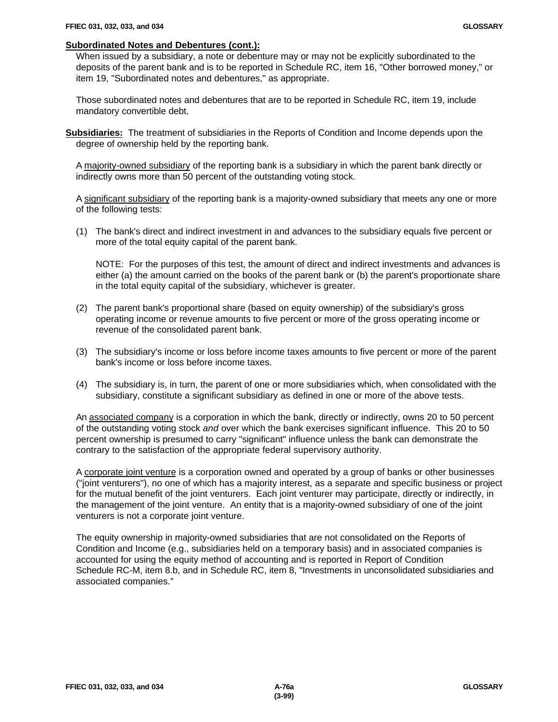#### **Subordinated Notes and Debentures (cont.):**

When issued by a subsidiary, a note or debenture may or may not be explicitly subordinated to the deposits of the parent bank and is to be reported in Schedule RC, item 16, "Other borrowed money," or item 19, "Subordinated notes and debentures," as appropriate.

Those subordinated notes and debentures that are to be reported in Schedule RC, item 19, include mandatory convertible debt.

**Subsidiaries:** The treatment of subsidiaries in the Reports of Condition and Income depends upon the degree of ownership held by the reporting bank.

A majority-owned subsidiary of the reporting bank is a subsidiary in which the parent bank directly or indirectly owns more than 50 percent of the outstanding voting stock.

A significant subsidiary of the reporting bank is a majority-owned subsidiary that meets any one or more of the following tests:

(1) The bank's direct and indirect investment in and advances to the subsidiary equals five percent or more of the total equity capital of the parent bank.

NOTE: For the purposes of this test, the amount of direct and indirect investments and advances is either (a) the amount carried on the books of the parent bank or (b) the parent's proportionate share in the total equity capital of the subsidiary, whichever is greater.

- (2) The parent bank's proportional share (based on equity ownership) of the subsidiary's gross operating income or revenue amounts to five percent or more of the gross operating income or revenue of the consolidated parent bank.
- (3) The subsidiary's income or loss before income taxes amounts to five percent or more of the parent bank's income or loss before income taxes.
- (4) The subsidiary is, in turn, the parent of one or more subsidiaries which, when consolidated with the subsidiary, constitute a significant subsidiary as defined in one or more of the above tests.

An associated company is a corporation in which the bank, directly or indirectly, owns 20 to 50 percent of the outstanding voting stock *and* over which the bank exercises significant influence. This 20 to 50 percent ownership is presumed to carry "significant" influence unless the bank can demonstrate the contrary to the satisfaction of the appropriate federal supervisory authority.

A corporate joint venture is a corporation owned and operated by a group of banks or other businesses ("joint venturers"), no one of which has a majority interest, as a separate and specific business or project for the mutual benefit of the joint venturers. Each joint venturer may participate, directly or indirectly, in the management of the joint venture. An entity that is a majority-owned subsidiary of one of the joint venturers is not a corporate joint venture.

The equity ownership in majority-owned subsidiaries that are not consolidated on the Reports of Condition and Income (e.g., subsidiaries held on a temporary basis) and in associated companies is accounted for using the equity method of accounting and is reported in Report of Condition Schedule RC-M, item 8.b, and in Schedule RC, item 8, "Investments in unconsolidated subsidiaries and associated companies."